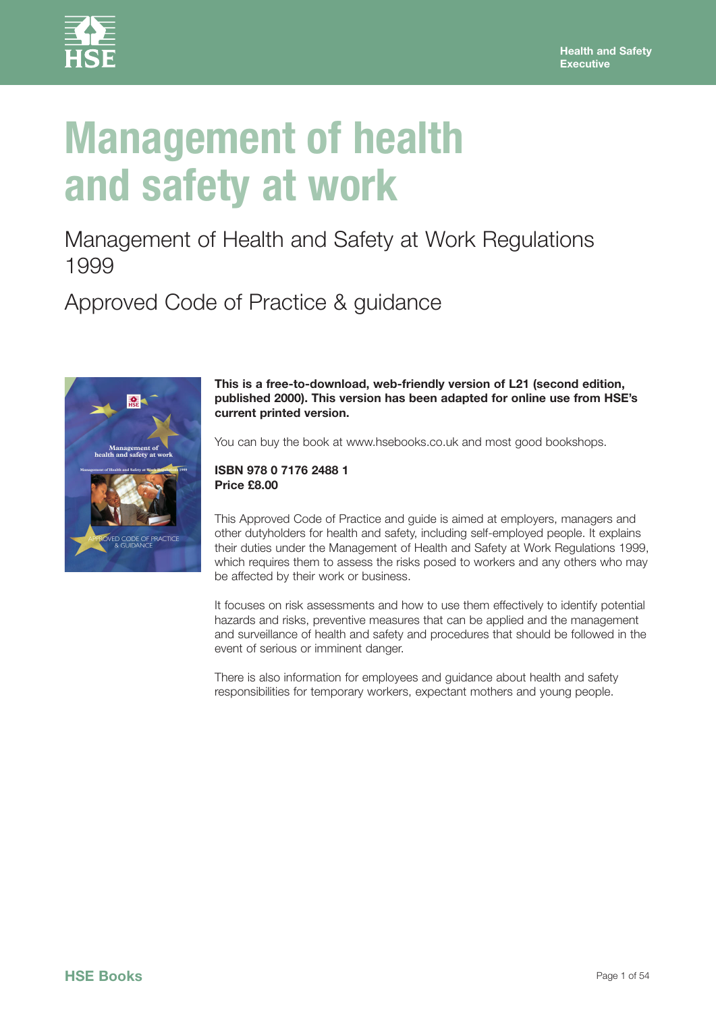

# **Management of health and safety at work**

### Management of Health and Safety at Work Regulations 1999

### Approved Code of Practice & guidance



**This is a free-to-download, web-friendly version of L21 (second edition, published 2000). This version has been adapted for online use from HSE's current printed version.**

You can buy the book at www.hsebooks.co.uk and most good bookshops.

#### **ISBN 978 0 7176 2488 1 Price £8.00**

This Approved Code of Practice and guide is aimed at employers, managers and other dutyholders for health and safety, including self-employed people. It explains their duties under the Management of Health and Safety at Work Regulations 1999, which requires them to assess the risks posed to workers and any others who may be affected by their work or business.

It focuses on risk assessments and how to use them effectively to identify potential hazards and risks, preventive measures that can be applied and the management and surveillance of health and safety and procedures that should be followed in the event of serious or imminent danger.

There is also information for employees and guidance about health and safety responsibilities for temporary workers, expectant mothers and young people.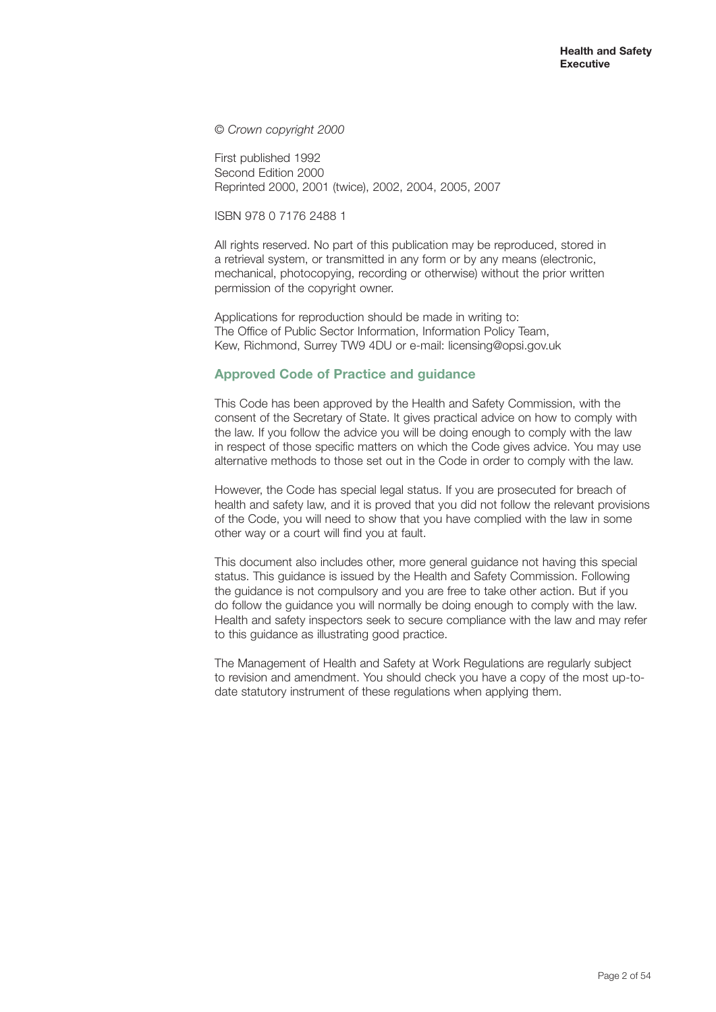© *Crown copyright 2000*

First published 1992 Second Edition 2000 Reprinted 2000, 2001 (twice), 2002, 2004, 2005, 2007

ISBN 978 0 7176 2488 1

All rights reserved. No part of this publication may be reproduced, stored in a retrieval system, or transmitted in any form or by any means (electronic, mechanical, photocopying, recording or otherwise) without the prior written permission of the copyright owner.

Applications for reproduction should be made in writing to: The Office of Public Sector Information, Information Policy Team, Kew, Richmond, Surrey TW9 4DU or e-mail: licensing@opsi.gov.uk

#### **Approved Code of Practice and guidance**

This Code has been approved by the Health and Safety Commission, with the consent of the Secretary of State. It gives practical advice on how to comply with the law. If you follow the advice you will be doing enough to comply with the law in respect of those specific matters on which the Code gives advice. You may use alternative methods to those set out in the Code in order to comply with the law.

However, the Code has special legal status. If you are prosecuted for breach of health and safety law, and it is proved that you did not follow the relevant provisions of the Code, you will need to show that you have complied with the law in some other way or a court will find you at fault.

This document also includes other, more general guidance not having this special status. This guidance is issued by the Health and Safety Commission. Following the guidance is not compulsory and you are free to take other action. But if you do follow the guidance you will normally be doing enough to comply with the law. Health and safety inspectors seek to secure compliance with the law and may refer to this guidance as illustrating good practice.

The Management of Health and Safety at Work Regulations are regularly subject to revision and amendment. You should check you have a copy of the most up-todate statutory instrument of these regulations when applying them.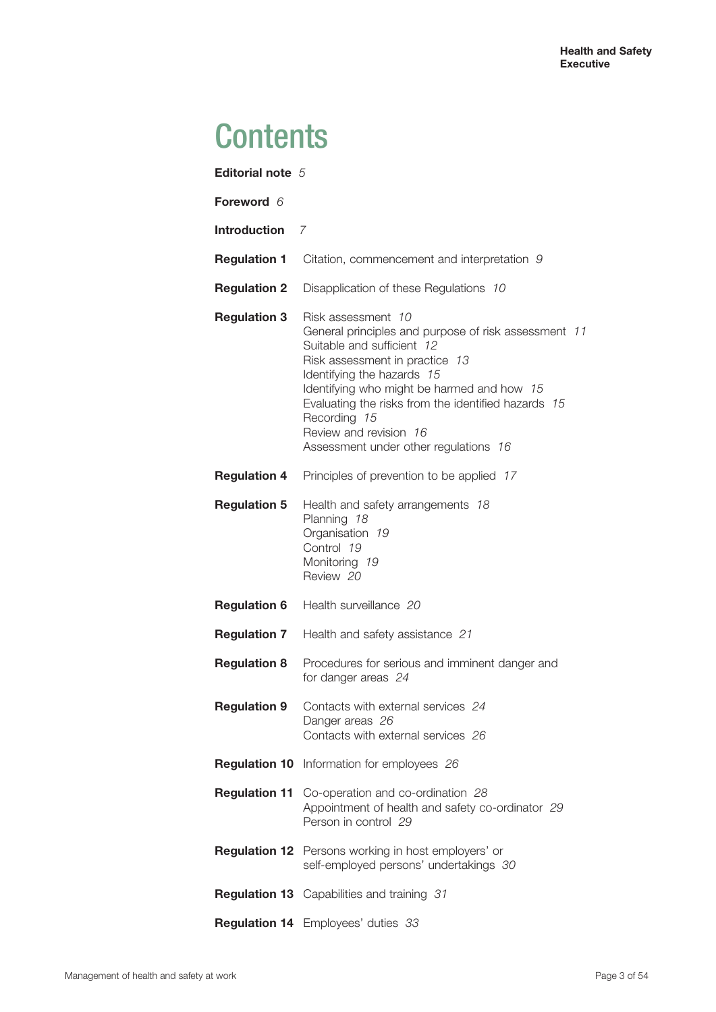## **Contents**

| <b>Editorial note 5</b> |                                                                                                                                                                                                                                                                                                                                                                  |
|-------------------------|------------------------------------------------------------------------------------------------------------------------------------------------------------------------------------------------------------------------------------------------------------------------------------------------------------------------------------------------------------------|
| Foreword $6$            |                                                                                                                                                                                                                                                                                                                                                                  |
| <b>Introduction</b>     | $\overline{7}$                                                                                                                                                                                                                                                                                                                                                   |
| <b>Regulation 1</b>     | Citation, commencement and interpretation 9                                                                                                                                                                                                                                                                                                                      |
| <b>Regulation 2</b>     | Disapplication of these Regulations 10                                                                                                                                                                                                                                                                                                                           |
| <b>Regulation 3</b>     | Risk assessment 10<br>General principles and purpose of risk assessment 11<br>Suitable and sufficient 12<br>Risk assessment in practice 13<br>Identifying the hazards 15<br>Identifying who might be harmed and how 15<br>Evaluating the risks from the identified hazards 15<br>Recording 15<br>Review and revision 16<br>Assessment under other regulations 16 |
| <b>Regulation 4</b>     | Principles of prevention to be applied 17                                                                                                                                                                                                                                                                                                                        |
| <b>Regulation 5</b>     | Health and safety arrangements 18<br>Planning 18<br>Organisation 19<br>Control 19<br>Monitoring 19<br>Review 20                                                                                                                                                                                                                                                  |
| <b>Regulation 6</b>     | Health surveillance 20                                                                                                                                                                                                                                                                                                                                           |
| <b>Regulation 7</b>     | Health and safety assistance 21                                                                                                                                                                                                                                                                                                                                  |
| <b>Regulation 8</b>     | Procedures for serious and imminent danger and<br>for danger areas 24                                                                                                                                                                                                                                                                                            |
| <b>Regulation 9</b>     | Contacts with external services 24<br>Danger areas 26<br>Contacts with external services 26                                                                                                                                                                                                                                                                      |
|                         | <b>Regulation 10</b> Information for employees 26                                                                                                                                                                                                                                                                                                                |
| <b>Regulation 11</b>    | Co-operation and co-ordination 28<br>Appointment of health and safety co-ordinator 29<br>Person in control 29                                                                                                                                                                                                                                                    |
|                         | <b>Regulation 12</b> Persons working in host employers' or<br>self-employed persons' undertakings 30                                                                                                                                                                                                                                                             |
|                         | <b>Regulation 13</b> Capabilities and training 31                                                                                                                                                                                                                                                                                                                |
|                         | <b>Regulation 14</b> Employees' duties 33                                                                                                                                                                                                                                                                                                                        |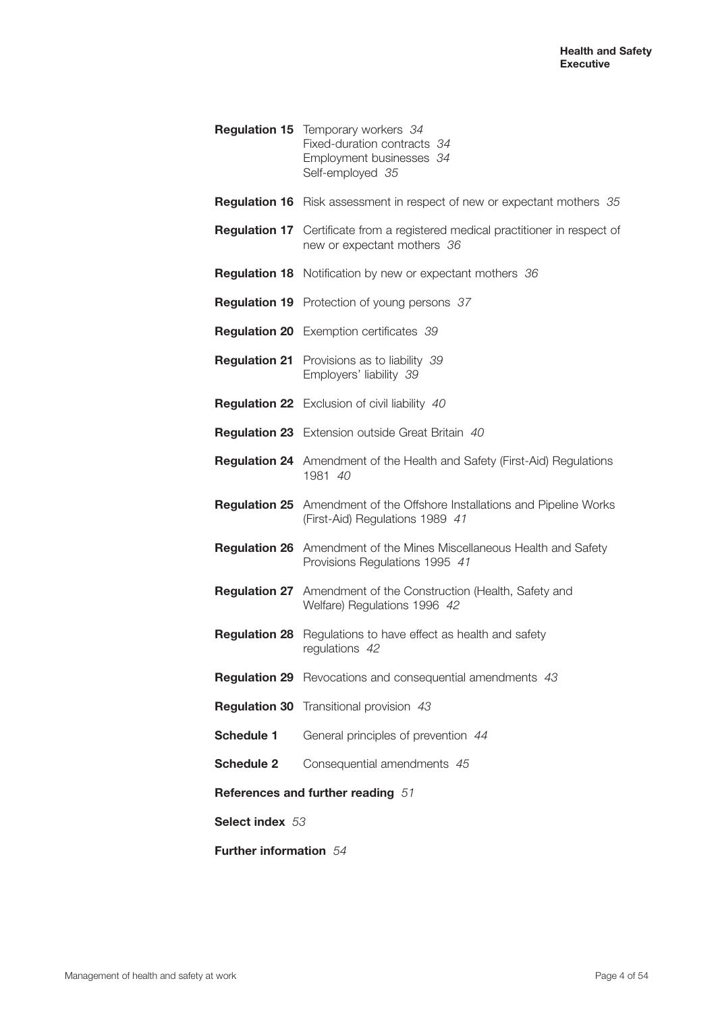|                                   | <b>Regulation 15</b> Temporary workers 34<br>Fixed-duration contracts 34<br>Employment businesses 34<br>Self-employed 35 |  |
|-----------------------------------|--------------------------------------------------------------------------------------------------------------------------|--|
|                                   | <b>Regulation 16</b> Risk assessment in respect of new or expectant mothers 35                                           |  |
|                                   | <b>Regulation 17</b> Certificate from a registered medical practitioner in respect of<br>new or expectant mothers 36     |  |
|                                   | <b>Regulation 18</b> Notification by new or expectant mothers 36                                                         |  |
|                                   | <b>Regulation 19</b> Protection of young persons 37                                                                      |  |
|                                   | <b>Regulation 20</b> Exemption certificates 39                                                                           |  |
|                                   | <b>Regulation 21</b> Provisions as to liability 39<br>Employers' liability 39                                            |  |
|                                   | <b>Regulation 22</b> Exclusion of civil liability 40                                                                     |  |
|                                   | Regulation 23 Extension outside Great Britain 40                                                                         |  |
|                                   | <b>Regulation 24</b> Amendment of the Health and Safety (First-Aid) Regulations<br>1981 40                               |  |
|                                   | <b>Regulation 25</b> Amendment of the Offshore Installations and Pipeline Works<br>(First-Aid) Regulations 1989 41       |  |
|                                   | <b>Regulation 26</b> Amendment of the Mines Miscellaneous Health and Safety<br>Provisions Regulations 1995 41            |  |
|                                   | <b>Regulation 27</b> Amendment of the Construction (Health, Safety and<br>Welfare) Regulations 1996 42                   |  |
|                                   | <b>Regulation 28</b> Regulations to have effect as health and safety<br>regulations 42                                   |  |
|                                   | <b>Regulation 29</b> Revocations and consequential amendments 43                                                         |  |
|                                   | <b>Regulation 30</b> Transitional provision 43                                                                           |  |
| <b>Schedule 1</b>                 | General principles of prevention 44                                                                                      |  |
| <b>Schedule 2</b>                 | Consequential amendments 45                                                                                              |  |
| References and further reading 51 |                                                                                                                          |  |
| Select index 53                   |                                                                                                                          |  |

**Further information** *54*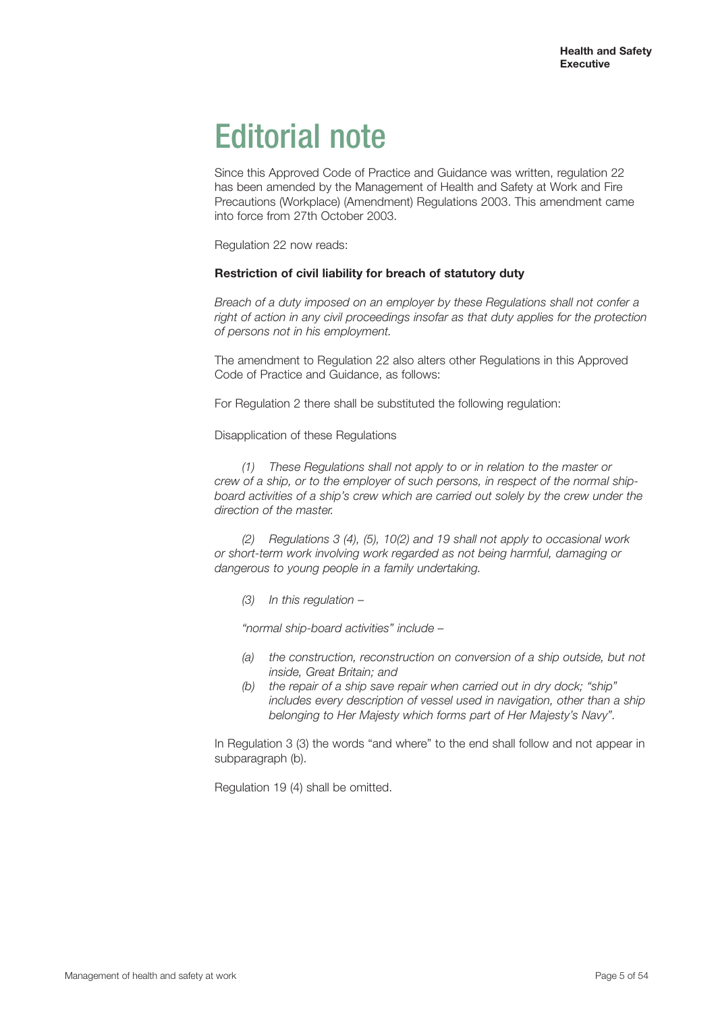## Editorial note

Since this Approved Code of Practice and Guidance was written, regulation 22 has been amended by the Management of Health and Safety at Work and Fire Precautions (Workplace) (Amendment) Regulations 2003. This amendment came into force from 27th October 2003.

Regulation 22 now reads:

#### **Restriction of civil liability for breach of statutory duty**

*Breach of a duty imposed on an employer by these Regulations shall not confer a right of action in any civil proceedings insofar as that duty applies for the protection of persons not in his employment.*

The amendment to Regulation 22 also alters other Regulations in this Approved Code of Practice and Guidance, as follows:

For Regulation 2 there shall be substituted the following regulation:

Disapplication of these Regulations

*(1) These Regulations shall not apply to or in relation to the master or crew of a ship, or to the employer of such persons, in respect of the normal ship*board activities of a ship's crew which are carried out solely by the crew under the *direction of the master.*

*(2) Regulations 3 (4), (5), 10(2) and 19 shall not apply to occasional work or short-term work involving work regarded as not being harmful, damaging or dangerous to young people in a family undertaking.*

*(3) In this regulation –*

*"normal ship-board activities" include –*

- *(a) the construction, reconstruction on conversion of a ship outside, but not inside, Great Britain; and*
- *(b) the repair of a ship save repair when carried out in dry dock; "ship" includes every description of vessel used in navigation, other than a ship belonging to Her Majesty which forms part of Her Majesty's Navy".*

In Regulation 3 (3) the words "and where" to the end shall follow and not appear in subparagraph (b).

Regulation 19 (4) shall be omitted.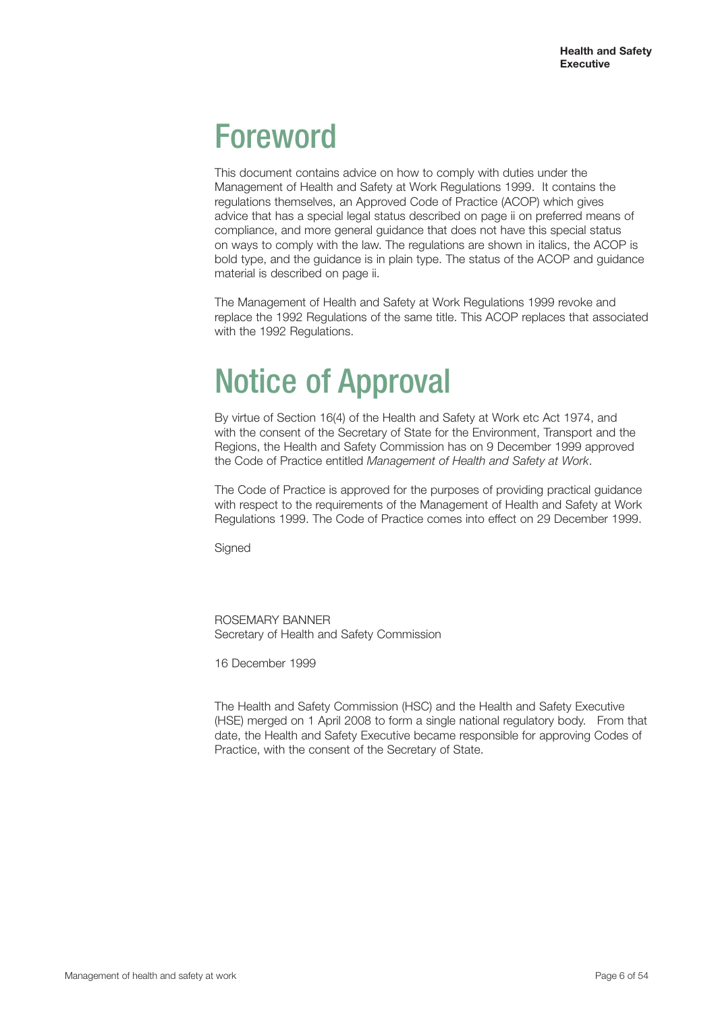## Foreword

This document contains advice on how to comply with duties under the Management of Health and Safety at Work Regulations 1999. It contains the regulations themselves, an Approved Code of Practice (ACOP) which gives advice that has a special legal status described on page ii on preferred means of compliance, and more general guidance that does not have this special status on ways to comply with the law. The regulations are shown in italics, the ACOP is bold type, and the guidance is in plain type. The status of the ACOP and guidance material is described on page ii.

The Management of Health and Safety at Work Regulations 1999 revoke and replace the 1992 Regulations of the same title. This ACOP replaces that associated with the 1992 Regulations.

## Notice of Approval

By virtue of Section 16(4) of the Health and Safety at Work etc Act 1974, and with the consent of the Secretary of State for the Environment, Transport and the Regions, the Health and Safety Commission has on 9 December 1999 approved the Code of Practice entitled *Management of Health and Safety at Work*.

The Code of Practice is approved for the purposes of providing practical guidance with respect to the requirements of the Management of Health and Safety at Work Regulations 1999. The Code of Practice comes into effect on 29 December 1999.

**Signed** 

ROSEMARY BANNER Secretary of Health and Safety Commission

16 December 1999

The Health and Safety Commission (HSC) and the Health and Safety Executive (HSE) merged on 1 April 2008 to form a single national regulatory body. From that date, the Health and Safety Executive became responsible for approving Codes of Practice, with the consent of the Secretary of State.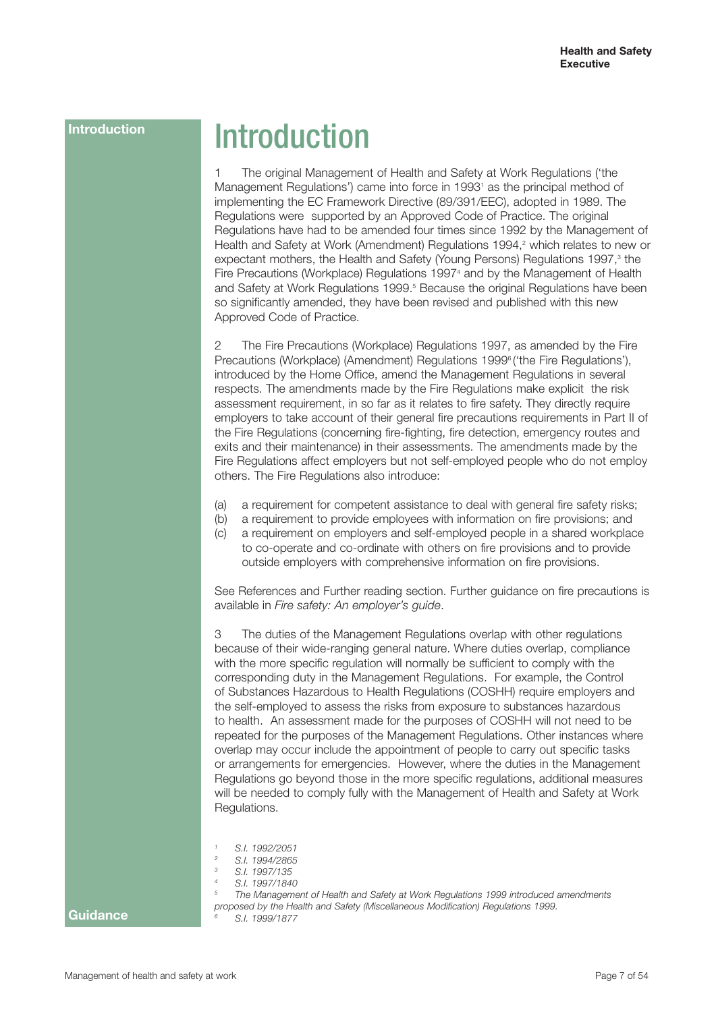### **Introduction**

## Introduction

1 The original Management of Health and Safety at Work Regulations ('the Management Regulations') came into force in 1993<sup>1</sup> as the principal method of implementing the EC Framework Directive (89/391/EEC), adopted in 1989. The Regulations were supported by an Approved Code of Practice. The original Regulations have had to be amended four times since 1992 by the Management of Health and Safety at Work (Amendment) Regulations 1994,<sup>2</sup> which relates to new or expectant mothers, the Health and Safety (Young Persons) Regulations 1997,<sup>3</sup> the Fire Precautions (Workplace) Regulations 1997<sup>4</sup> and by the Management of Health and Safety at Work Regulations 1999.<sup>5</sup> Because the original Regulations have been so significantly amended, they have been revised and published with this new Approved Code of Practice.

2 The Fire Precautions (Workplace) Regulations 1997, as amended by the Fire Precautions (Workplace) (Amendment) Regulations 1999<sup>6</sup> ('the Fire Regulations'), introduced by the Home Office, amend the Management Regulations in several respects. The amendments made by the Fire Regulations make explicit the risk assessment requirement, in so far as it relates to fire safety. They directly require employers to take account of their general fire precautions requirements in Part II of the Fire Regulations (concerning fire-fighting, fire detection, emergency routes and exits and their maintenance) in their assessments. The amendments made by the Fire Regulations affect employers but not self-employed people who do not employ others. The Fire Regulations also introduce:

- (a) a requirement for competent assistance to deal with general fire safety risks;
- (b) a requirement to provide employees with information on fire provisions; and
- (c) a requirement on employers and self-employed people in a shared workplace to co-operate and co-ordinate with others on fire provisions and to provide outside employers with comprehensive information on fire provisions.

See References and Further reading section. Further guidance on fire precautions is available in *Fire safety: An employer's guide*.

3 The duties of the Management Regulations overlap with other regulations because of their wide-ranging general nature. Where duties overlap, compliance with the more specific regulation will normally be sufficient to comply with the corresponding duty in the Management Regulations. For example, the Control of Substances Hazardous to Health Regulations (COSHH) require employers and the self-employed to assess the risks from exposure to substances hazardous to health. An assessment made for the purposes of COSHH will not need to be repeated for the purposes of the Management Regulations. Other instances where overlap may occur include the appointment of people to carry out specific tasks or arrangements for emergencies. However, where the duties in the Management Regulations go beyond those in the more specific regulations, additional measures will be needed to comply fully with the Management of Health and Safety at Work Regulations.

- *<sup>1</sup> S.I. 1992/2051*
- *<sup>2</sup> S.I. 1994/2865*
- *<sup>3</sup> S.I. 1997/135*
- *<sup>4</sup> S.I. 1997/1840*
- *<sup>5</sup> The Management of Health and Safety at Work Regulations 1999 introduced amendments proposed by the Health and Safety (Miscellaneous Modification) Regulations 1999. <sup>6</sup> S.I. 1999/1877*

**Guidance**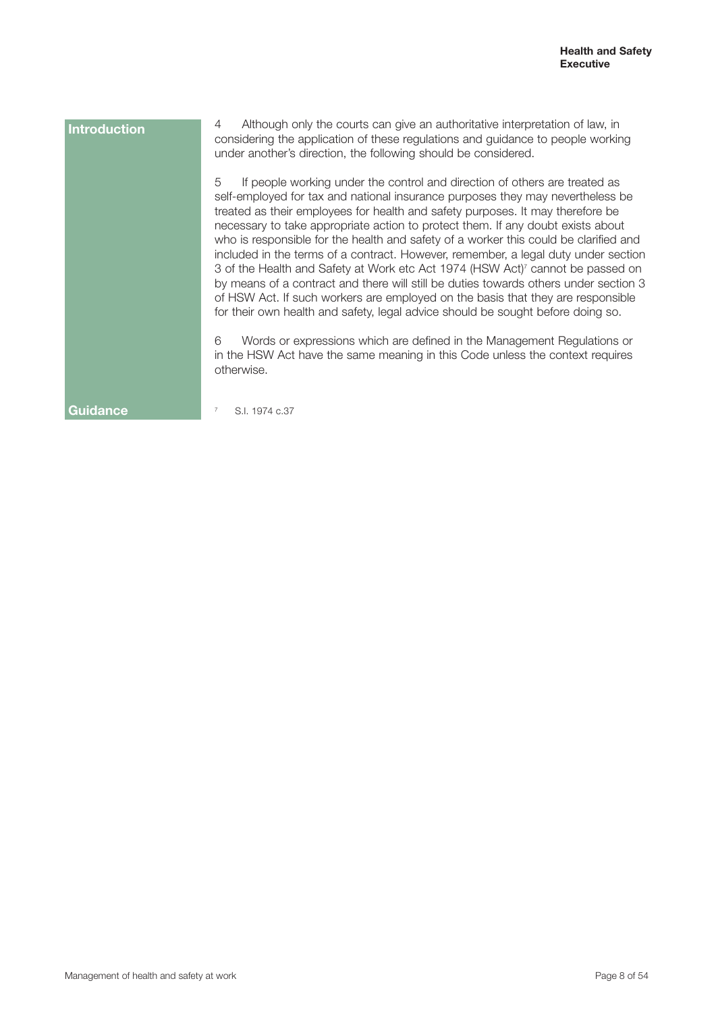considering the application of these regulations and guidance to people working under another's direction, the following should be considered. 5 If people working under the control and direction of others are treated as self-employed for tax and national insurance purposes they may nevertheless be treated as their employees for health and safety purposes. It may therefore be necessary to take appropriate action to protect them. If any doubt exists about who is responsible for the health and safety of a worker this could be clarified and included in the terms of a contract. However, remember, a legal duty under section 3 of the Health and Safety at Work etc Act 1974 (HSW Act)<sup>7</sup> cannot be passed on by means of a contract and there will still be duties towards others under section 3 of HSW Act. If such workers are employed on the basis that they are responsible for their own health and safety, legal advice should be sought before doing so. 6 Words or expressions which are defined in the Management Regulations or in the HSW Act have the same meaning in this Code unless the context requires otherwise. **Introduction** 

4 Although only the courts can give an authoritative interpretation of law, in

**Guidance**

<sup>7</sup> S.I. 1974 c.37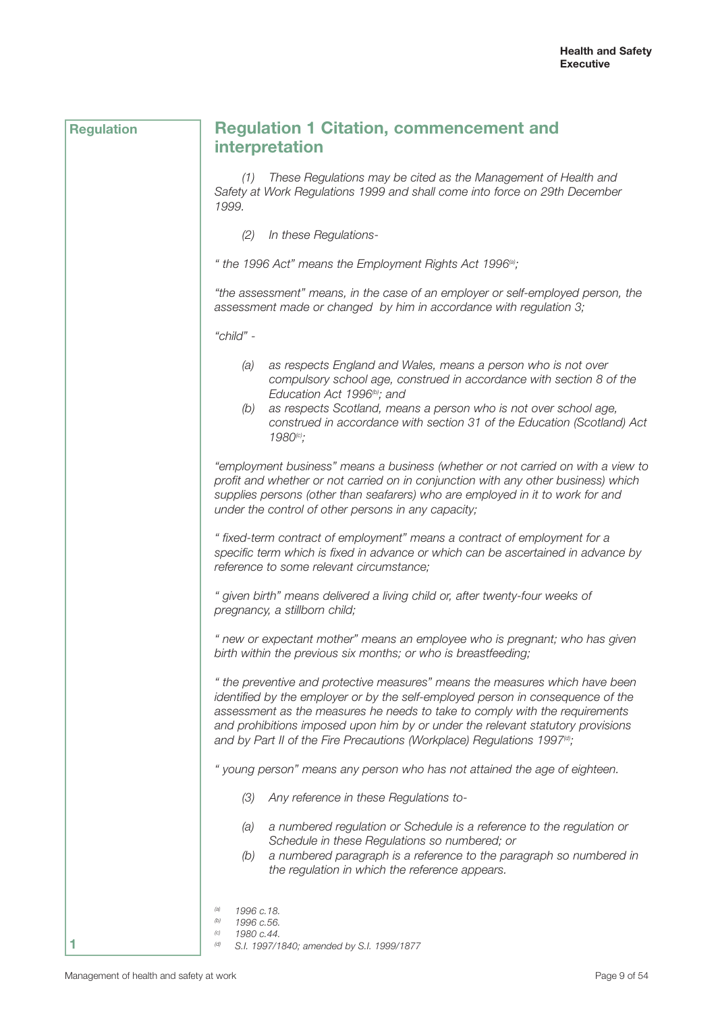### **Regulation 1 Citation, commencement and interpretation**

*(1) These Regulations may be cited as the Management of Health and Safety at Work Regulations 1999 and shall come into force on 29th December 1999.*

*(2) In these Regulations-*

*" the 1996 Act" means the Employment Rights Act 1996(a);*

*"the assessment" means, in the case of an employer or self-employed person, the assessment made or changed by him in accordance with regulation 3;*

*"child" -*

**Regulation** 

| (a) | as respects England and Wales, means a person who is not over        |
|-----|----------------------------------------------------------------------|
|     | compulsory school age, construed in accordance with section 8 of the |
|     | Education Act 1996 <sup>(b)</sup> ; and                              |

*(b) as respects Scotland, means a person who is not over school age, construed in accordance with section 31 of the Education (Scotland) Act 1980(c);*

*"employment business" means a business (whether or not carried on with a view to profit and whether or not carried on in conjunction with any other business) which supplies persons (other than seafarers) who are employed in it to work for and under the control of other persons in any capacity;*

*" fixed-term contract of employment" means a contract of employment for a specific term which is fixed in advance or which can be ascertained in advance by reference to some relevant circumstance;*

*" given birth" means delivered a living child or, after twenty-four weeks of pregnancy, a stillborn child;*

*" new or expectant mother" means an employee who is pregnant; who has given birth within the previous six months; or who is breastfeeding;*

*" the preventive and protective measures" means the measures which have been identified by the employer or by the self-employed person in consequence of the assessment as the measures he needs to take to comply with the requirements and prohibitions imposed upon him by or under the relevant statutory provisions*  and by Part II of the Fire Precautions (Workplace) Regulations 1997<sup>(d)</sup>;

*" young person" means any person who has not attained the age of eighteen.*

- *(3) Any reference in these Regulations to-*
- *(a) a numbered regulation or Schedule is a reference to the regulation or Schedule in these Regulations so numbered; or*
- *(b) a numbered paragraph is a reference to the paragraph so numbered in the regulation in which the reference appears.*
- *(a) 1996 c.18.*

- *(c) 1980 c.44.*
- *(d) S.I. 1997/1840; amended by S.I. 1999/1877*

*<sup>(</sup>b) 1996 c.56.*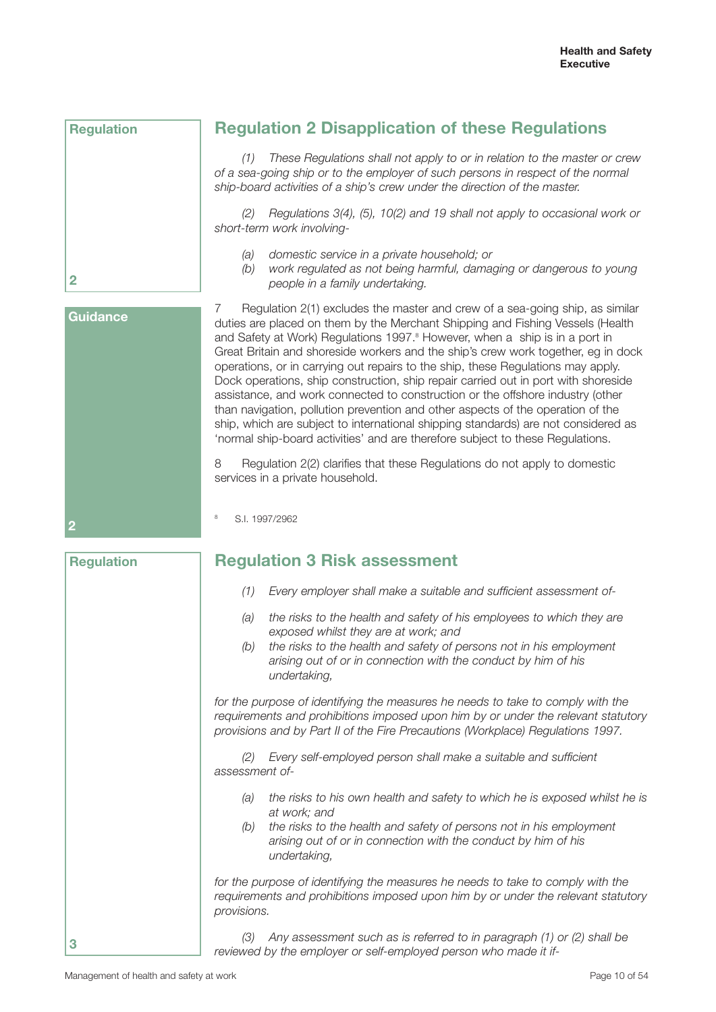**Regulation** 

**2**

**2**

**Guidance** 

### **Regulation 2 Disapplication of these Regulations**

*(1) These Regulations shall not apply to or in relation to the master or crew of a sea-going ship or to the employer of such persons in respect of the normal ship-board activities of a ship's crew under the direction of the master.*

*(2) Regulations 3(4), (5), 10(2) and 19 shall not apply to occasional work or short-term work involving-*

- *(a) domestic service in a private household; or*
- *(b) work regulated as not being harmful, damaging or dangerous to young people in a family undertaking.*

7 Regulation 2(1) excludes the master and crew of a sea-going ship, as similar duties are placed on them by the Merchant Shipping and Fishing Vessels (Health and Safety at Work) Regulations 1997.<sup>8</sup> However, when a ship is in a port in Great Britain and shoreside workers and the ship's crew work together, eg in dock operations, or in carrying out repairs to the ship, these Regulations may apply. Dock operations, ship construction, ship repair carried out in port with shoreside assistance, and work connected to construction or the offshore industry (other than navigation, pollution prevention and other aspects of the operation of the ship, which are subject to international shipping standards) are not considered as 'normal ship-board activities' and are therefore subject to these Regulations.

8 Regulation 2(2) clarifies that these Regulations do not apply to domestic services in a private household.

<sup>8</sup> S.I. 1997/2962

| <b>Regulation</b> | <b>Regulation 3 Risk assessment</b>                                                                                                                                                                                                                                                  |
|-------------------|--------------------------------------------------------------------------------------------------------------------------------------------------------------------------------------------------------------------------------------------------------------------------------------|
|                   | Every employer shall make a suitable and sufficient assessment of-<br>(1)                                                                                                                                                                                                            |
|                   | the risks to the health and safety of his employees to which they are<br>(a)<br>exposed whilst they are at work; and<br>the risks to the health and safety of persons not in his employment<br>(b)<br>arising out of or in connection with the conduct by him of his<br>undertaking, |
|                   | for the purpose of identifying the measures he needs to take to comply with the<br>requirements and prohibitions imposed upon him by or under the relevant statutory<br>provisions and by Part II of the Fire Precautions (Workplace) Regulations 1997.                              |
|                   | Every self-employed person shall make a suitable and sufficient<br>(2)<br>assessment of-                                                                                                                                                                                             |
|                   | the risks to his own health and safety to which he is exposed whilst he is<br>(a)<br>at work; and<br>the risks to the health and safety of persons not in his employment<br>(b)<br>arising out of or in connection with the conduct by him of his<br>undertaking,                    |
|                   | for the purpose of identifying the measures he needs to take to comply with the<br>requirements and prohibitions imposed upon him by or under the relevant statutory<br>provisions.                                                                                                  |
| 3                 | Any assessment such as is referred to in paragraph (1) or (2) shall be<br>(3)<br>reviewed by the employer or self-employed person who made it if-                                                                                                                                    |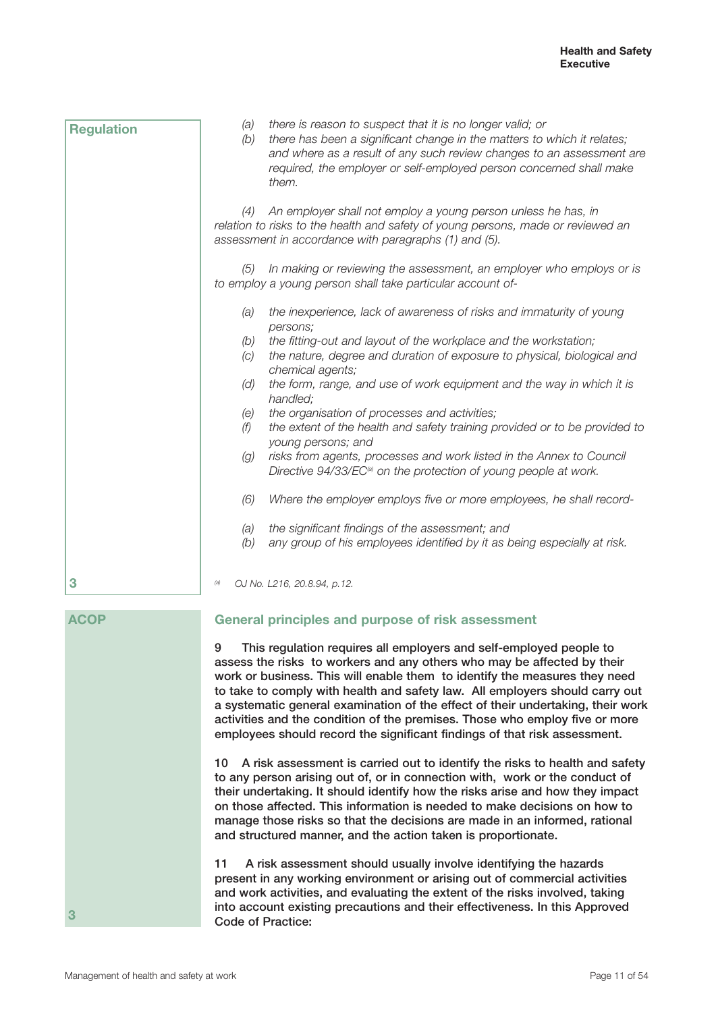| <b>Regulation</b> | there is reason to suspect that it is no longer valid; or<br>(a)<br>there has been a significant change in the matters to which it relates;<br>(b)<br>and where as a result of any such review changes to an assessment are<br>required, the employer or self-employed person concerned shall make<br>them. |
|-------------------|-------------------------------------------------------------------------------------------------------------------------------------------------------------------------------------------------------------------------------------------------------------------------------------------------------------|
|                   | (4) An employer shall not employ a young person unless he has, in<br>relation to risks to the health and safety of young persons, made or reviewed an<br>assessment in accordance with paragraphs (1) and (5).                                                                                              |
|                   | In making or reviewing the assessment, an employer who employs or is<br>(5)<br>to employ a young person shall take particular account of-                                                                                                                                                                   |
|                   | the inexperience, lack of awareness of risks and immaturity of young<br>(a)<br>persons;                                                                                                                                                                                                                     |
|                   | the fitting-out and layout of the workplace and the workstation;<br>(b)                                                                                                                                                                                                                                     |
|                   | the nature, degree and duration of exposure to physical, biological and<br>(C)<br>chemical agents;                                                                                                                                                                                                          |
|                   | the form, range, and use of work equipment and the way in which it is<br>(d)<br>handled;                                                                                                                                                                                                                    |
|                   | the organisation of processes and activities;<br>(e)                                                                                                                                                                                                                                                        |
|                   | the extent of the health and safety training provided or to be provided to<br>(f)<br>young persons; and                                                                                                                                                                                                     |
|                   | risks from agents, processes and work listed in the Annex to Council<br>(g)<br>Directive 94/33/EC <sup>(a)</sup> on the protection of young people at work.                                                                                                                                                 |
|                   | (6)<br>Where the employer employs five or more employees, he shall record-                                                                                                                                                                                                                                  |
|                   | (a)<br>the significant findings of the assessment; and                                                                                                                                                                                                                                                      |
|                   | (b)<br>any group of his employees identified by it as being especially at risk.                                                                                                                                                                                                                             |
| 3                 | (a)<br>OJ No. L216, 20.8.94, p.12.                                                                                                                                                                                                                                                                          |
| <b>ACOP</b>       | General principles and purpose of risk assessment                                                                                                                                                                                                                                                           |

9 This regulation requires all employers and self-employed people to assess the risks to workers and any others who may be affected by their work or business. This will enable them to identify the measures they need to take to comply with health and safety law. All employers should carry out a systematic general examination of the effect of their undertaking, their work activities and the condition of the premises. Those who employ five or more employees should record the significant findings of that risk assessment.

10 A risk assessment is carried out to identify the risks to health and safety to any person arising out of, or in connection with, work or the conduct of their undertaking. It should identify how the risks arise and how they impact on those affected. This information is needed to make decisions on how to manage those risks so that the decisions are made in an informed, rational and structured manner, and the action taken is proportionate.

11 A risk assessment should usually involve identifying the hazards present in any working environment or arising out of commercial activities and work activities, and evaluating the extent of the risks involved, taking into account existing precautions and their effectiveness. In this Approved Code of Practice: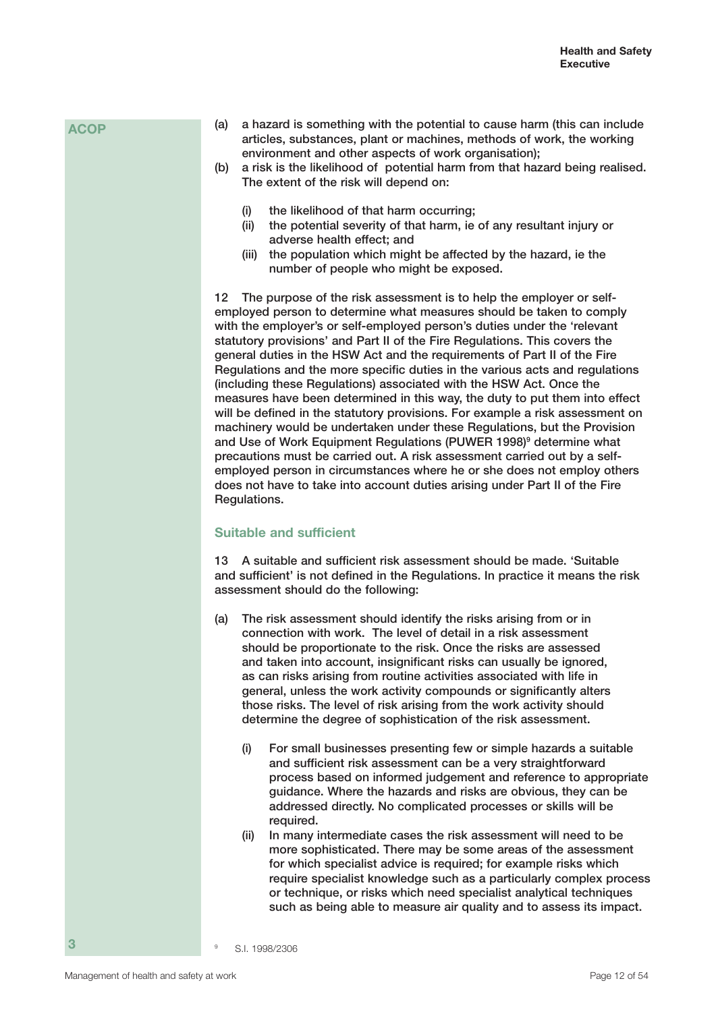- (a) a hazard is something with the potential to cause harm (this can include articles, substances, plant or machines, methods of work, the working environment and other aspects of work organisation);
- (b) a risk is the likelihood of potential harm from that hazard being realised. The extent of the risk will depend on:
	- (i) the likelihood of that harm occurring;
	- (ii) the potential severity of that harm, ie of any resultant injury or adverse health effect; and
	- (iii) the population which might be affected by the hazard, ie the number of people who might be exposed.

12 The purpose of the risk assessment is to help the employer or selfemployed person to determine what measures should be taken to comply with the employer's or self-employed person's duties under the 'relevant statutory provisions' and Part II of the Fire Regulations. This covers the general duties in the HSW Act and the requirements of Part II of the Fire Regulations and the more specific duties in the various acts and regulations (including these Regulations) associated with the HSW Act. Once the measures have been determined in this way, the duty to put them into effect will be defined in the statutory provisions. For example a risk assessment on machinery would be undertaken under these Regulations, but the Provision and Use of Work Equipment Regulations (PUWER 1998)<sup>9</sup> determine what precautions must be carried out. A risk assessment carried out by a selfemployed person in circumstances where he or she does not employ others does not have to take into account duties arising under Part II of the Fire Regulations.

### **Suitable and sufficient**

13 A suitable and sufficient risk assessment should be made. 'Suitable and sufficient' is not defined in the Regulations. In practice it means the risk assessment should do the following:

- (a) The risk assessment should identify the risks arising from or in connection with work. The level of detail in a risk assessment should be proportionate to the risk. Once the risks are assessed and taken into account, insignificant risks can usually be ignored, as can risks arising from routine activities associated with life in general, unless the work activity compounds or significantly alters those risks. The level of risk arising from the work activity should determine the degree of sophistication of the risk assessment.
	- (i) For small businesses presenting few or simple hazards a suitable and sufficient risk assessment can be a very straightforward process based on informed judgement and reference to appropriate guidance. Where the hazards and risks are obvious, they can be addressed directly. No complicated processes or skills will be required.
	- (ii) In many intermediate cases the risk assessment will need to be more sophisticated. There may be some areas of the assessment for which specialist advice is required; for example risks which require specialist knowledge such as a particularly complex process or technique, or risks which need specialist analytical techniques such as being able to measure air quality and to assess its impact.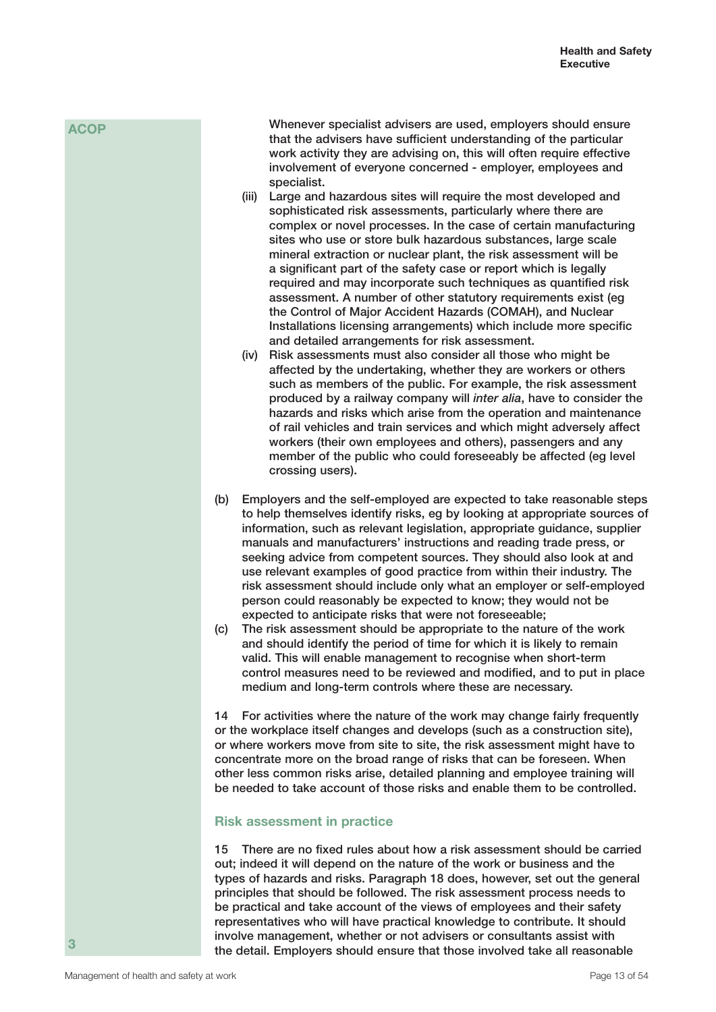Whenever specialist advisers are used, employers should ensure that the advisers have sufficient understanding of the particular work activity they are advising on, this will often require effective involvement of everyone concerned - employer, employees and specialist.

- (iii) Large and hazardous sites will require the most developed and sophisticated risk assessments, particularly where there are complex or novel processes. In the case of certain manufacturing sites who use or store bulk hazardous substances, large scale mineral extraction or nuclear plant, the risk assessment will be a significant part of the safety case or report which is legally required and may incorporate such techniques as quantified risk assessment. A number of other statutory requirements exist (eg the Control of Major Accident Hazards (COMAH), and Nuclear Installations licensing arrangements) which include more specific and detailed arrangements for risk assessment.
- (iv) Risk assessments must also consider all those who might be affected by the undertaking, whether they are workers or others such as members of the public. For example, the risk assessment produced by a railway company will *inter alia*, have to consider the hazards and risks which arise from the operation and maintenance of rail vehicles and train services and which might adversely affect workers (their own employees and others), passengers and any member of the public who could foreseeably be affected (eg level crossing users).
- (b) Employers and the self-employed are expected to take reasonable steps to help themselves identify risks, eg by looking at appropriate sources of information, such as relevant legislation, appropriate guidance, supplier manuals and manufacturers' instructions and reading trade press, or seeking advice from competent sources. They should also look at and use relevant examples of good practice from within their industry. The risk assessment should include only what an employer or self-employed person could reasonably be expected to know; they would not be expected to anticipate risks that were not foreseeable;
- (c) The risk assessment should be appropriate to the nature of the work and should identify the period of time for which it is likely to remain valid. This will enable management to recognise when short-term control measures need to be reviewed and modified, and to put in place medium and long-term controls where these are necessary.

14 For activities where the nature of the work may change fairly frequently or the workplace itself changes and develops (such as a construction site), or where workers move from site to site, the risk assessment might have to concentrate more on the broad range of risks that can be foreseen. When other less common risks arise, detailed planning and employee training will be needed to take account of those risks and enable them to be controlled.

#### **Risk assessment in practice**

15 There are no fixed rules about how a risk assessment should be carried out; indeed it will depend on the nature of the work or business and the types of hazards and risks. Paragraph 18 does, however, set out the general principles that should be followed. The risk assessment process needs to be practical and take account of the views of employees and their safety representatives who will have practical knowledge to contribute. It should involve management, whether or not advisers or consultants assist with the detail. Employers should ensure that those involved take all reasonable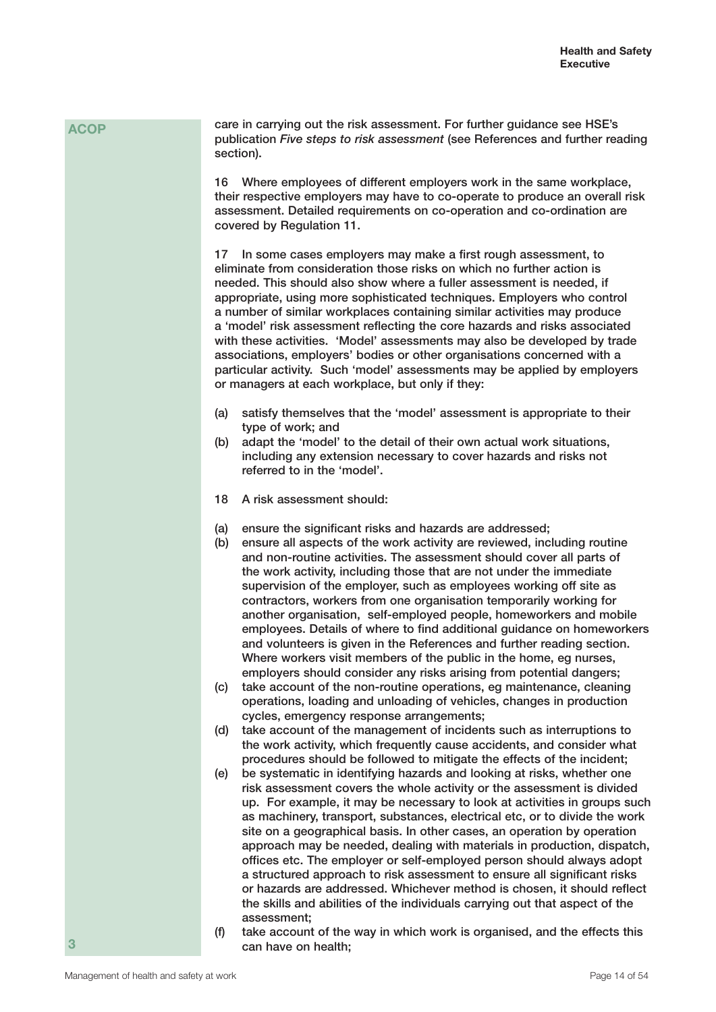care in carrying out the risk assessment. For further guidance see HSE's publication *Five steps to risk assessment* (see References and further reading section).

16 Where employees of different employers work in the same workplace, their respective employers may have to co-operate to produce an overall risk assessment. Detailed requirements on co-operation and co-ordination are covered by Regulation 11.

17 In some cases employers may make a first rough assessment, to eliminate from consideration those risks on which no further action is needed. This should also show where a fuller assessment is needed, if appropriate, using more sophisticated techniques. Employers who control a number of similar workplaces containing similar activities may produce a 'model' risk assessment reflecting the core hazards and risks associated with these activities. 'Model' assessments may also be developed by trade associations, employers' bodies or other organisations concerned with a particular activity. Such 'model' assessments may be applied by employers or managers at each workplace, but only if they:

- (a) satisfy themselves that the 'model' assessment is appropriate to their type of work; and
- (b) adapt the 'model' to the detail of their own actual work situations, including any extension necessary to cover hazards and risks not referred to in the 'model'.
- 18 A risk assessment should:
- (a) ensure the significant risks and hazards are addressed;
- (b) ensure all aspects of the work activity are reviewed, including routine and non-routine activities. The assessment should cover all parts of the work activity, including those that are not under the immediate supervision of the employer, such as employees working off site as contractors, workers from one organisation temporarily working for another organisation, self-employed people, homeworkers and mobile employees. Details of where to find additional guidance on homeworkers and volunteers is given in the References and further reading section. Where workers visit members of the public in the home, eg nurses, employers should consider any risks arising from potential dangers;
- (c) take account of the non-routine operations, eg maintenance, cleaning operations, loading and unloading of vehicles, changes in production cycles, emergency response arrangements;
- (d) take account of the management of incidents such as interruptions to the work activity, which frequently cause accidents, and consider what procedures should be followed to mitigate the effects of the incident;
- (e) be systematic in identifying hazards and looking at risks, whether one risk assessment covers the whole activity or the assessment is divided up. For example, it may be necessary to look at activities in groups such as machinery, transport, substances, electrical etc, or to divide the work site on a geographical basis. In other cases, an operation by operation approach may be needed, dealing with materials in production, dispatch, offices etc. The employer or self-employed person should always adopt a structured approach to risk assessment to ensure all significant risks or hazards are addressed. Whichever method is chosen, it should reflect the skills and abilities of the individuals carrying out that aspect of the assessment;
- (f) take account of the way in which work is organised, and the effects this can have on health;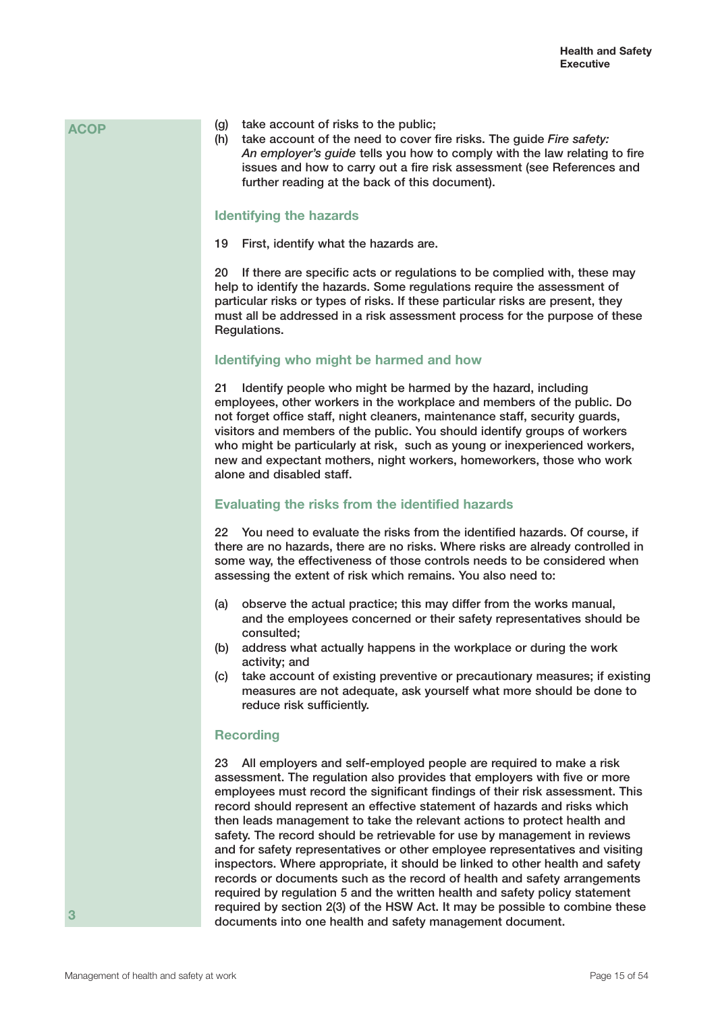- (g) take account of risks to the public;
- (h) take account of the need to cover fire risks. The guide *Fire safety: An employer's guide* tells you how to comply with the law relating to fire issues and how to carry out a fire risk assessment (see References and further reading at the back of this document).

#### **Identifying the hazards**

19 First, identify what the hazards are.

20 If there are specific acts or regulations to be complied with, these may help to identify the hazards. Some regulations require the assessment of particular risks or types of risks. If these particular risks are present, they must all be addressed in a risk assessment process for the purpose of these Regulations.

#### **Identifying who might be harmed and how**

21 Identify people who might be harmed by the hazard, including employees, other workers in the workplace and members of the public. Do not forget office staff, night cleaners, maintenance staff, security guards, visitors and members of the public. You should identify groups of workers who might be particularly at risk, such as young or inexperienced workers, new and expectant mothers, night workers, homeworkers, those who work alone and disabled staff.

#### **Evaluating the risks from the identified hazards**

22 You need to evaluate the risks from the identified hazards. Of course, if there are no hazards, there are no risks. Where risks are already controlled in some way, the effectiveness of those controls needs to be considered when assessing the extent of risk which remains. You also need to:

- (a) observe the actual practice; this may differ from the works manual, and the employees concerned or their safety representatives should be consulted;
- (b) address what actually happens in the workplace or during the work activity; and
- (c) take account of existing preventive or precautionary measures; if existing measures are not adequate, ask yourself what more should be done to reduce risk sufficiently.

### **Recording**

23 All employers and self-employed people are required to make a risk assessment. The regulation also provides that employers with five or more employees must record the significant findings of their risk assessment. This record should represent an effective statement of hazards and risks which then leads management to take the relevant actions to protect health and safety. The record should be retrievable for use by management in reviews and for safety representatives or other employee representatives and visiting inspectors. Where appropriate, it should be linked to other health and safety records or documents such as the record of health and safety arrangements required by regulation 5 and the written health and safety policy statement required by section 2(3) of the HSW Act. It may be possible to combine these documents into one health and safety management document.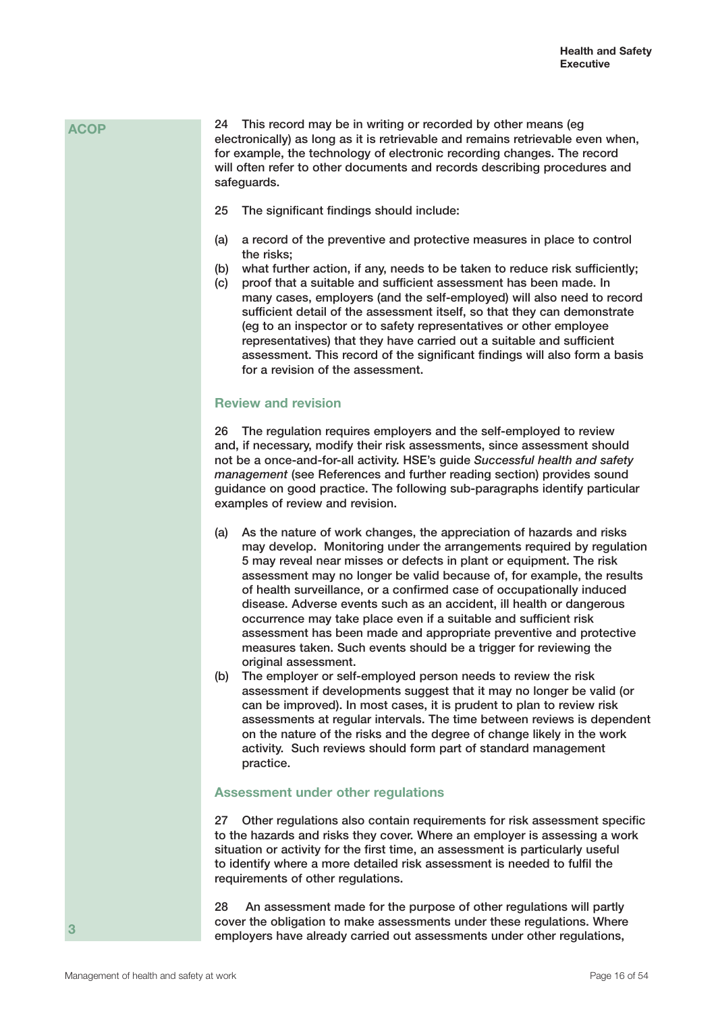| <b>ACOP</b> | 24 This record may be in writing or recorded by other means (eg<br>electronically) as long as it is retrievable and remains retrievable even when,<br>for example, the technology of electronic recording changes. The record<br>will often refer to other documents and records describing procedures and<br>safeguards.                                                                                                                                                                                                                                                                                                                                             |
|-------------|-----------------------------------------------------------------------------------------------------------------------------------------------------------------------------------------------------------------------------------------------------------------------------------------------------------------------------------------------------------------------------------------------------------------------------------------------------------------------------------------------------------------------------------------------------------------------------------------------------------------------------------------------------------------------|
|             | 25<br>The significant findings should include:                                                                                                                                                                                                                                                                                                                                                                                                                                                                                                                                                                                                                        |
|             | a record of the preventive and protective measures in place to control<br>(a)<br>the risks;<br>what further action, if any, needs to be taken to reduce risk sufficiently;<br>(b)<br>proof that a suitable and sufficient assessment has been made. In<br>(c)<br>many cases, employers (and the self-employed) will also need to record<br>sufficient detail of the assessment itself, so that they can demonstrate                                                                                                                                                                                                                                                   |
|             | (eg to an inspector or to safety representatives or other employee<br>representatives) that they have carried out a suitable and sufficient<br>assessment. This record of the significant findings will also form a basis<br>for a revision of the assessment.                                                                                                                                                                                                                                                                                                                                                                                                        |
|             | <b>Review and revision</b>                                                                                                                                                                                                                                                                                                                                                                                                                                                                                                                                                                                                                                            |
|             | The regulation requires employers and the self-employed to review<br>26<br>and, if necessary, modify their risk assessments, since assessment should<br>not be a once-and-for-all activity. HSE's guide Successful health and safety<br>management (see References and further reading section) provides sound<br>guidance on good practice. The following sub-paragraphs identify particular<br>examples of review and revision.                                                                                                                                                                                                                                     |
|             | As the nature of work changes, the appreciation of hazards and risks<br>(a)<br>may develop. Monitoring under the arrangements required by regulation<br>5 may reveal near misses or defects in plant or equipment. The risk<br>assessment may no longer be valid because of, for example, the results<br>of health surveillance, or a confirmed case of occupationally induced<br>disease. Adverse events such as an accident, ill health or dangerous<br>occurrence may take place even if a suitable and sufficient risk<br>assessment has been made and appropriate preventive and protective<br>measures taken. Such events should be a trigger for reviewing the |
|             | original assessment.<br>(b)<br>The employer or self-employed person needs to review the risk<br>assessment if developments suggest that it may no longer be valid (or<br>can be improved). In most cases, it is prudent to plan to review risk<br>assessments at regular intervals. The time between reviews is dependent<br>on the nature of the risks and the degree of change likely in the work<br>activity. Such reviews should form part of standard management<br>practice.                                                                                                                                                                                    |
|             | <b>Assessment under other regulations</b>                                                                                                                                                                                                                                                                                                                                                                                                                                                                                                                                                                                                                             |
|             | Other regulations also contain requirements for risk assessment specific<br>27<br>to the hazards and risks they cover. Where an employer is assessing a work<br>situation or activity for the first time, an assessment is particularly useful<br>to identify where a more detailed risk assessment is needed to fulfil the<br>requirements of other regulations.                                                                                                                                                                                                                                                                                                     |
| З           | An assessment made for the purpose of other regulations will partly<br>28<br>cover the obligation to make assessments under these regulations. Where<br>employers have already carried out assessments under other requistions                                                                                                                                                                                                                                                                                                                                                                                                                                        |

employers have already carried out assessments under other regulations,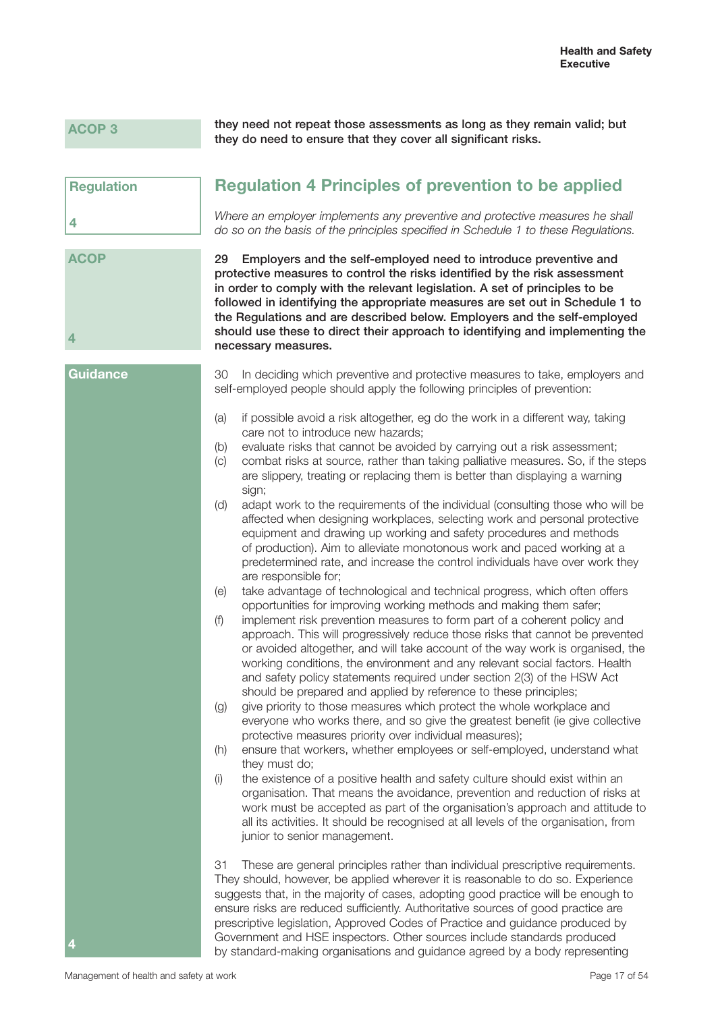**ACOP**

**4**

they need not repeat those assessments as long as they remain valid; but they do need to ensure that they cover all significant risks.

| <b>Regulation</b> |  |
|-------------------|--|
| $\overline{a}$    |  |

### **Regulation 4 Principles of prevention to be applied**

*Where an employer implements any preventive and protective measures he shall do so on the basis of the principles specified in Schedule 1 to these Regulations.*

29 Employers and the self-employed need to introduce preventive and protective measures to control the risks identified by the risk assessment in order to comply with the relevant legislation. A set of principles to be followed in identifying the appropriate measures are set out in Schedule 1 to the Regulations and are described below. Employers and the self-employed should use these to direct their approach to identifying and implementing the necessary measures.

### **Guidance**

30 In deciding which preventive and protective measures to take, employers and self-employed people should apply the following principles of prevention:

- (a) if possible avoid a risk altogether, eg do the work in a different way, taking care not to introduce new hazards;
- (b) evaluate risks that cannot be avoided by carrying out a risk assessment;
- (c) combat risks at source, rather than taking palliative measures. So, if the steps are slippery, treating or replacing them is better than displaying a warning sign;
- (d) adapt work to the requirements of the individual (consulting those who will be affected when designing workplaces, selecting work and personal protective equipment and drawing up working and safety procedures and methods of production). Aim to alleviate monotonous work and paced working at a predetermined rate, and increase the control individuals have over work they are responsible for;
- (e) take advantage of technological and technical progress, which often offers opportunities for improving working methods and making them safer;
- (f) implement risk prevention measures to form part of a coherent policy and approach. This will progressively reduce those risks that cannot be prevented or avoided altogether, and will take account of the way work is organised, the working conditions, the environment and any relevant social factors. Health and safety policy statements required under section 2(3) of the HSW Act should be prepared and applied by reference to these principles;
- (g) give priority to those measures which protect the whole workplace and everyone who works there, and so give the greatest benefit (ie give collective protective measures priority over individual measures);
- (h) ensure that workers, whether employees or self-employed, understand what they must do;
- (i) the existence of a positive health and safety culture should exist within an organisation. That means the avoidance, prevention and reduction of risks at work must be accepted as part of the organisation's approach and attitude to all its activities. It should be recognised at all levels of the organisation, from junior to senior management.

31 These are general principles rather than individual prescriptive requirements. They should, however, be applied wherever it is reasonable to do so. Experience suggests that, in the majority of cases, adopting good practice will be enough to ensure risks are reduced sufficiently. Authoritative sources of good practice are prescriptive legislation, Approved Codes of Practice and guidance produced by Government and HSE inspectors. Other sources include standards produced by standard-making organisations and guidance agreed by a body representing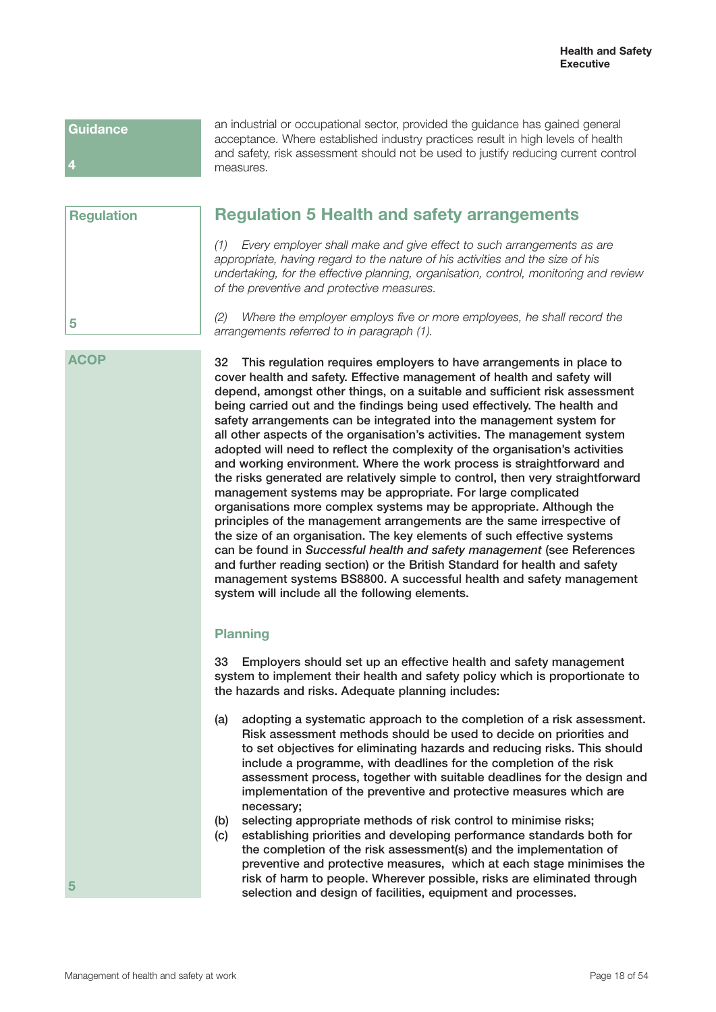### **Guidance**

**4**

an industrial or occupational sector, provided the guidance has gained general acceptance. Where established industry practices result in high levels of health and safety, risk assessment should not be used to justify reducing current control measures.

| <b>Regulation</b> |  |
|-------------------|--|
|                   |  |
|                   |  |
|                   |  |

### **Regulation 5 Health and safety arrangements**

*(1) Every employer shall make and give effect to such arrangements as are appropriate, having regard to the nature of his activities and the size of his undertaking, for the effective planning, organisation, control, monitoring and review of the preventive and protective measures.*

*(2) Where the employer employs five or more employees, he shall record the arrangements referred to in paragraph (1).* 

### **ACOP**

**5**

32 This regulation requires employers to have arrangements in place to cover health and safety. Effective management of health and safety will depend, amongst other things, on a suitable and sufficient risk assessment being carried out and the findings being used effectively. The health and safety arrangements can be integrated into the management system for all other aspects of the organisation's activities. The management system adopted will need to reflect the complexity of the organisation's activities and working environment. Where the work process is straightforward and the risks generated are relatively simple to control, then very straightforward management systems may be appropriate. For large complicated organisations more complex systems may be appropriate. Although the principles of the management arrangements are the same irrespective of the size of an organisation. The key elements of such effective systems can be found in *Successful health and safety management* (see References and further reading section) or the British Standard for health and safety management systems BS8800. A successful health and safety management system will include all the following elements.

### **Planning**

33 Employers should set up an effective health and safety management system to implement their health and safety policy which is proportionate to the hazards and risks. Adequate planning includes:

- (a) adopting a systematic approach to the completion of a risk assessment. Risk assessment methods should be used to decide on priorities and to set objectives for eliminating hazards and reducing risks. This should include a programme, with deadlines for the completion of the risk assessment process, together with suitable deadlines for the design and implementation of the preventive and protective measures which are necessary;
- (b) selecting appropriate methods of risk control to minimise risks;
- (c) establishing priorities and developing performance standards both for the completion of the risk assessment(s) and the implementation of preventive and protective measures, which at each stage minimises the risk of harm to people. Wherever possible, risks are eliminated through selection and design of facilities, equipment and processes.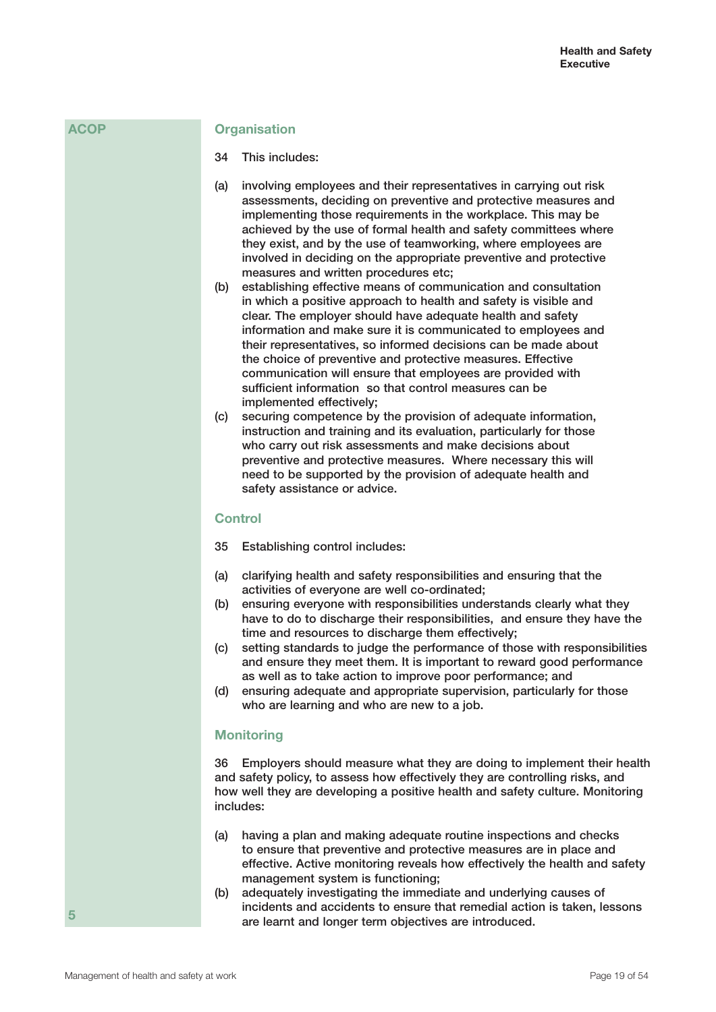#### **Organisation**

- 34 This includes:
- (a) involving employees and their representatives in carrying out risk assessments, deciding on preventive and protective measures and implementing those requirements in the workplace. This may be achieved by the use of formal health and safety committees where they exist, and by the use of teamworking, where employees are involved in deciding on the appropriate preventive and protective measures and written procedures etc;
- (b) establishing effective means of communication and consultation in which a positive approach to health and safety is visible and clear. The employer should have adequate health and safety information and make sure it is communicated to employees and their representatives, so informed decisions can be made about the choice of preventive and protective measures. Effective communication will ensure that employees are provided with sufficient information so that control measures can be implemented effectively;
- (c) securing competence by the provision of adequate information, instruction and training and its evaluation, particularly for those who carry out risk assessments and make decisions about preventive and protective measures. Where necessary this will need to be supported by the provision of adequate health and safety assistance or advice.

### **Control**

- 35 Establishing control includes:
- (a) clarifying health and safety responsibilities and ensuring that the activities of everyone are well co-ordinated;
- (b) ensuring everyone with responsibilities understands clearly what they have to do to discharge their responsibilities, and ensure they have the time and resources to discharge them effectively;
- (c) setting standards to judge the performance of those with responsibilities and ensure they meet them. It is important to reward good performance as well as to take action to improve poor performance; and
- (d) ensuring adequate and appropriate supervision, particularly for those who are learning and who are new to a job.

#### **Monitoring**

36 Employers should measure what they are doing to implement their health and safety policy, to assess how effectively they are controlling risks, and how well they are developing a positive health and safety culture. Monitoring includes:

- (a) having a plan and making adequate routine inspections and checks to ensure that preventive and protective measures are in place and effective. Active monitoring reveals how effectively the health and safety management system is functioning;
- (b) adequately investigating the immediate and underlying causes of incidents and accidents to ensure that remedial action is taken, lessons are learnt and longer term objectives are introduced.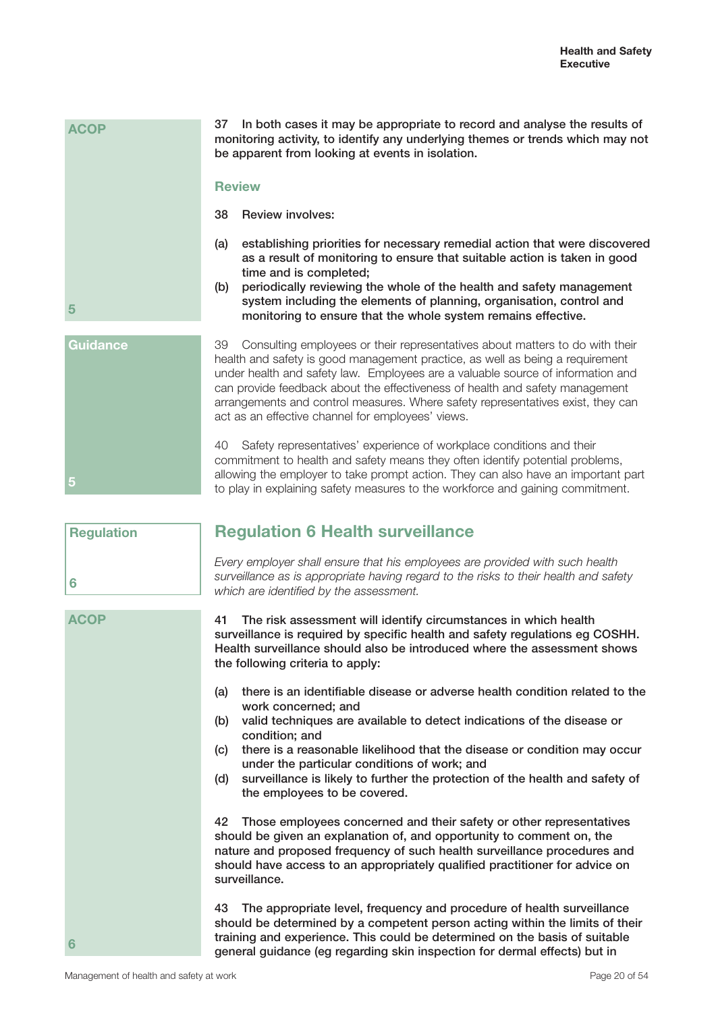| <b>ACOP</b> | In both cases it may be appropriate to record and analyse the results of<br>37<br>monitoring activity, to identify any underlying themes or trends which may not<br>be apparent from looking at events in isolation.                                                                                                                                                                                                                                                           |
|-------------|--------------------------------------------------------------------------------------------------------------------------------------------------------------------------------------------------------------------------------------------------------------------------------------------------------------------------------------------------------------------------------------------------------------------------------------------------------------------------------|
|             | <b>Review</b>                                                                                                                                                                                                                                                                                                                                                                                                                                                                  |
|             | <b>Review involves:</b><br>38                                                                                                                                                                                                                                                                                                                                                                                                                                                  |
| 5           | establishing priorities for necessary remedial action that were discovered<br>(a)<br>as a result of monitoring to ensure that suitable action is taken in good<br>time and is completed;<br>periodically reviewing the whole of the health and safety management<br>(b)<br>system including the elements of planning, organisation, control and                                                                                                                                |
|             | monitoring to ensure that the whole system remains effective.                                                                                                                                                                                                                                                                                                                                                                                                                  |
| Guidance    | Consulting employees or their representatives about matters to do with their<br>39<br>health and safety is good management practice, as well as being a requirement<br>under health and safety law. Employees are a valuable source of information and<br>can provide feedback about the effectiveness of health and safety management<br>arrangements and control measures. Where safety representatives exist, they can<br>act as an effective channel for employees' views. |
|             | Safety representatives' experience of workplace conditions and their<br>40<br>commitment to health and safety means they often identify potential problems,<br>allowing the employer to take prompt action. They can also have an important part                                                                                                                                                                                                                               |

allowing the employer to take prompt action. They can also have an important part to play in explaining safety measures to the workforce and gaining commitment.

| <b>Regulation</b> |  |
|-------------------|--|
|                   |  |
| 6                 |  |

**ACOP**

**5**

**6**

### **Regulation 6 Health surveillance**

*Every employer shall ensure that his employees are provided with such health surveillance as is appropriate having regard to the risks to their health and safety which are identified by the assessment.*

The risk assessment will identify circumstances in which health surveillance is required by specific health and safety regulations eg COSHH. Health surveillance should also be introduced where the assessment shows the following criteria to apply:

- (a) there is an identifiable disease or adverse health condition related to the work concerned; and
- (b) valid techniques are available to detect indications of the disease or condition; and
- (c) there is a reasonable likelihood that the disease or condition may occur under the particular conditions of work; and
- (d) surveillance is likely to further the protection of the health and safety of the employees to be covered.

42 Those employees concerned and their safety or other representatives should be given an explanation of, and opportunity to comment on, the nature and proposed frequency of such health surveillance procedures and should have access to an appropriately qualified practitioner for advice on surveillance.

43 The appropriate level, frequency and procedure of health surveillance should be determined by a competent person acting within the limits of their training and experience. This could be determined on the basis of suitable general guidance (eg regarding skin inspection for dermal effects) but in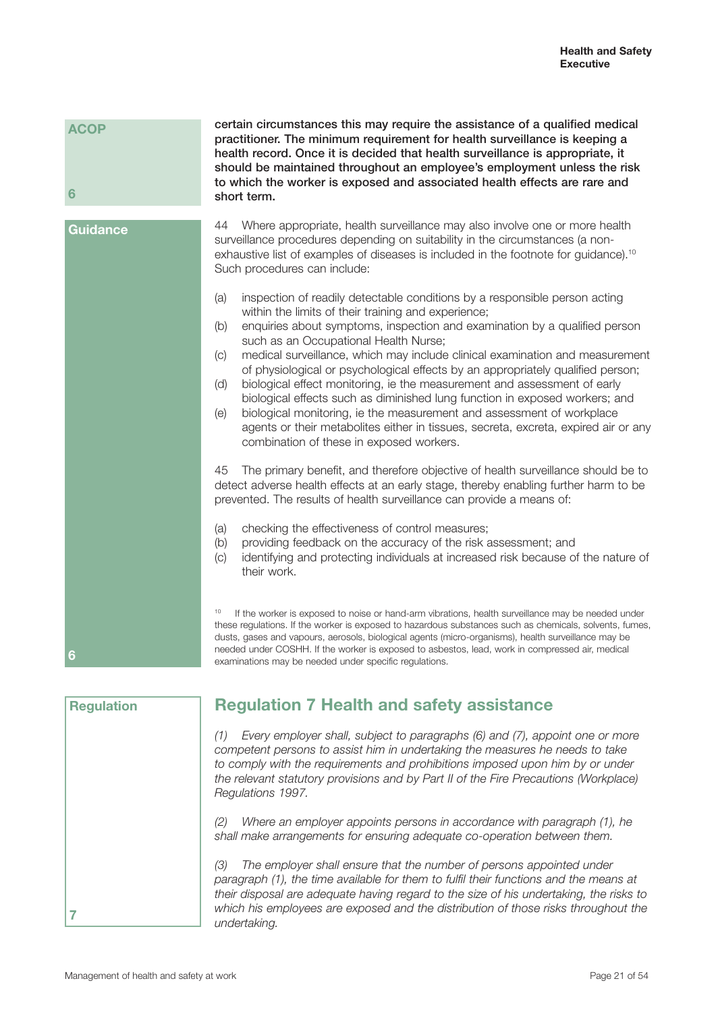#### certain circumstances this may require the assistance of a qualified medical practitioner. The minimum requirement for health surveillance is keeping a health record. Once it is decided that health surveillance is appropriate, it should be maintained throughout an employee's employment unless the risk to which the worker is exposed and associated health effects are rare and short term. **ACOP 6**

### **Guidance**

44 Where appropriate, health surveillance may also involve one or more health surveillance procedures depending on suitability in the circumstances (a nonexhaustive list of examples of diseases is included in the footnote for guidance).<sup>10</sup> Such procedures can include:

- (a) inspection of readily detectable conditions by a responsible person acting within the limits of their training and experience;
- (b) enquiries about symptoms, inspection and examination by a qualified person such as an Occupational Health Nurse;
- (c) medical surveillance, which may include clinical examination and measurement of physiological or psychological effects by an appropriately qualified person;
- (d) biological effect monitoring, ie the measurement and assessment of early biological effects such as diminished lung function in exposed workers; and
- (e) biological monitoring, ie the measurement and assessment of workplace agents or their metabolites either in tissues, secreta, excreta, expired air or any combination of these in exposed workers.

45 The primary benefit, and therefore objective of health surveillance should be to detect adverse health effects at an early stage, thereby enabling further harm to be prevented. The results of health surveillance can provide a means of:

- (a) checking the effectiveness of control measures;
- (b) providing feedback on the accuracy of the risk assessment; and
- (c) identifying and protecting individuals at increased risk because of the nature of their work.

<sup>10</sup> If the worker is exposed to noise or hand-arm vibrations, health surveillance may be needed under these regulations. If the worker is exposed to hazardous substances such as chemicals, solvents, fumes, dusts, gases and vapours, aerosols, biological agents (micro-organisms), health surveillance may be needed under COSHH. If the worker is exposed to asbestos, lead, work in compressed air, medical examinations may be needed under specific regulations.

**Regulation** 

**6**

**7**

### **Regulation 7 Health and safety assistance**

*(1) Every employer shall, subject to paragraphs (6) and (7), appoint one or more competent persons to assist him in undertaking the measures he needs to take*  to comply with the requirements and prohibitions imposed upon him by or under *the relevant statutory provisions and by Part II of the Fire Precautions (Workplace) Regulations 1997.*

*(2) Where an employer appoints persons in accordance with paragraph (1), he shall make arrangements for ensuring adequate co-operation between them.*

*(3) The employer shall ensure that the number of persons appointed under paragraph (1), the time available for them to fulfil their functions and the means at their disposal are adequate having regard to the size of his undertaking, the risks to which his employees are exposed and the distribution of those risks throughout the undertaking.*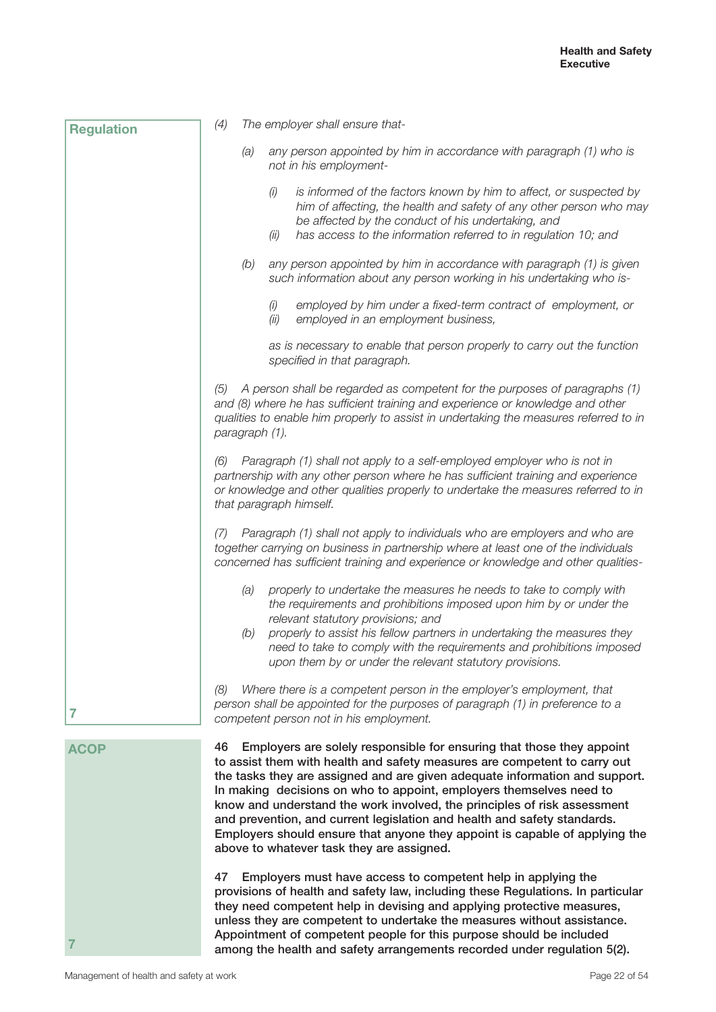| <b>Regulation</b> | The employer shall ensure that-<br>(4)                                                                                                                                                                                                                                                                                                                                                                                                                                                                                                                                                             |
|-------------------|----------------------------------------------------------------------------------------------------------------------------------------------------------------------------------------------------------------------------------------------------------------------------------------------------------------------------------------------------------------------------------------------------------------------------------------------------------------------------------------------------------------------------------------------------------------------------------------------------|
|                   | any person appointed by him in accordance with paragraph (1) who is<br>(a)<br>not in his employment-                                                                                                                                                                                                                                                                                                                                                                                                                                                                                               |
|                   | is informed of the factors known by him to affect, or suspected by<br>(i)<br>him of affecting, the health and safety of any other person who may<br>be affected by the conduct of his undertaking, and<br>has access to the information referred to in regulation 10; and<br>(ii)                                                                                                                                                                                                                                                                                                                  |
|                   | any person appointed by him in accordance with paragraph (1) is given<br>(b)<br>such information about any person working in his undertaking who is-                                                                                                                                                                                                                                                                                                                                                                                                                                               |
|                   | employed by him under a fixed-term contract of employment, or<br>(i)<br>(ii)<br>employed in an employment business,                                                                                                                                                                                                                                                                                                                                                                                                                                                                                |
|                   | as is necessary to enable that person properly to carry out the function<br>specified in that paragraph.                                                                                                                                                                                                                                                                                                                                                                                                                                                                                           |
|                   | A person shall be regarded as competent for the purposes of paragraphs (1)<br>(5)<br>and (8) where he has sufficient training and experience or knowledge and other<br>qualities to enable him properly to assist in undertaking the measures referred to in<br>paragraph (1).                                                                                                                                                                                                                                                                                                                     |
|                   | Paragraph (1) shall not apply to a self-employed employer who is not in<br>(6)<br>partnership with any other person where he has sufficient training and experience<br>or knowledge and other qualities properly to undertake the measures referred to in<br>that paragraph himself.                                                                                                                                                                                                                                                                                                               |
|                   | Paragraph (1) shall not apply to individuals who are employers and who are<br>(7)<br>together carrying on business in partnership where at least one of the individuals<br>concerned has sufficient training and experience or knowledge and other qualities-                                                                                                                                                                                                                                                                                                                                      |
|                   | properly to undertake the measures he needs to take to comply with<br>(a)<br>the requirements and prohibitions imposed upon him by or under the<br>relevant statutory provisions; and                                                                                                                                                                                                                                                                                                                                                                                                              |
|                   | properly to assist his fellow partners in undertaking the measures they<br>(b)<br>need to take to comply with the requirements and prohibitions imposed<br>upon them by or under the relevant statutory provisions.                                                                                                                                                                                                                                                                                                                                                                                |
| 7                 | Where there is a competent person in the employer's employment, that<br>(8)<br>person shall be appointed for the purposes of paragraph (1) in preference to a<br>competent person not in his employment.                                                                                                                                                                                                                                                                                                                                                                                           |
| <b>ACOP</b>       | Employers are solely responsible for ensuring that those they appoint<br>46<br>to assist them with health and safety measures are competent to carry out<br>the tasks they are assigned and are given adequate information and support.<br>In making decisions on who to appoint, employers themselves need to<br>know and understand the work involved, the principles of risk assessment<br>and prevention, and current legislation and health and safety standards.<br>Employers should ensure that anyone they appoint is capable of applying the<br>above to whatever task they are assigned. |
|                   | Employers must have access to competent help in applying the<br>47<br>provisions of health and safety law, including these Regulations. In particular<br>they need competent help in devising and applying protective measures,<br>unless they are competent to undertake the measures without assistance.                                                                                                                                                                                                                                                                                         |

Appointment of competent people for this purpose should be included among the health and safety arrangements recorded under regulation 5(2).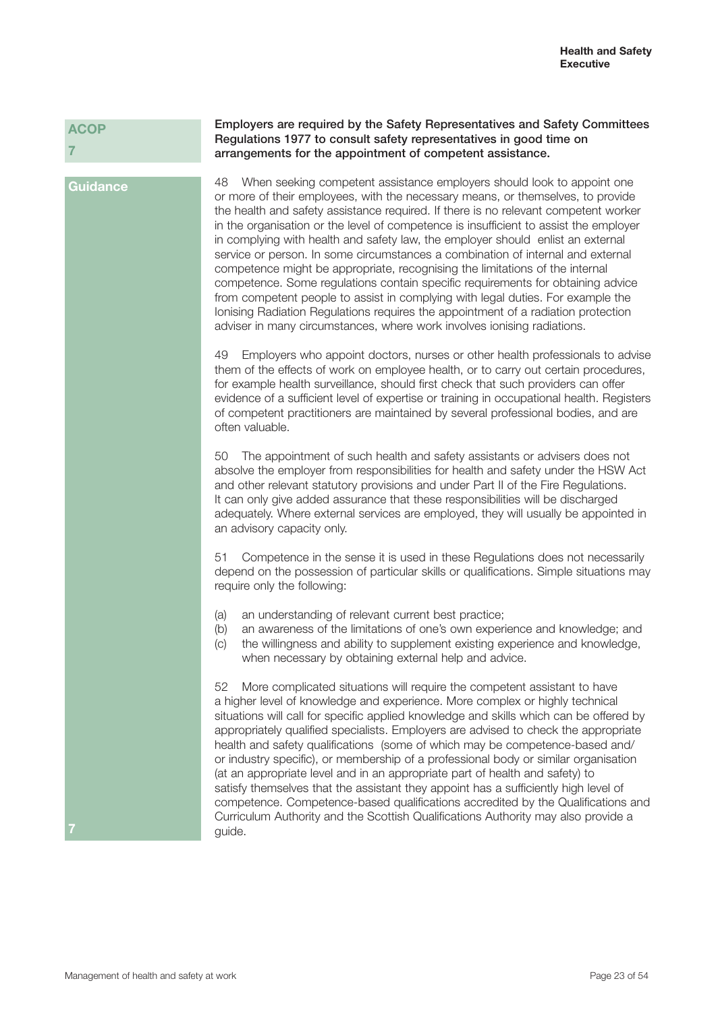**Guidance** 

Employers are required by the Safety Representatives and Safety Committees Regulations 1977 to consult safety representatives in good time on arrangements for the appointment of competent assistance.

48 When seeking competent assistance employers should look to appoint one or more of their employees, with the necessary means, or themselves, to provide the health and safety assistance required. If there is no relevant competent worker in the organisation or the level of competence is insufficient to assist the employer in complying with health and safety law, the employer should enlist an external service or person. In some circumstances a combination of internal and external competence might be appropriate, recognising the limitations of the internal competence. Some regulations contain specific requirements for obtaining advice from competent people to assist in complying with legal duties. For example the Ionising Radiation Regulations requires the appointment of a radiation protection adviser in many circumstances, where work involves ionising radiations.

49 Employers who appoint doctors, nurses or other health professionals to advise them of the effects of work on employee health, or to carry out certain procedures, for example health surveillance, should first check that such providers can offer evidence of a sufficient level of expertise or training in occupational health. Registers of competent practitioners are maintained by several professional bodies, and are often valuable.

50 The appointment of such health and safety assistants or advisers does not absolve the employer from responsibilities for health and safety under the HSW Act and other relevant statutory provisions and under Part II of the Fire Regulations. It can only give added assurance that these responsibilities will be discharged adequately. Where external services are employed, they will usually be appointed in an advisory capacity only.

51 Competence in the sense it is used in these Regulations does not necessarily depend on the possession of particular skills or qualifications. Simple situations may require only the following:

- (a) an understanding of relevant current best practice;
- (b) an awareness of the limitations of one's own experience and knowledge; and
- (c) the willingness and ability to supplement existing experience and knowledge, when necessary by obtaining external help and advice.

52 More complicated situations will require the competent assistant to have a higher level of knowledge and experience. More complex or highly technical situations will call for specific applied knowledge and skills which can be offered by appropriately qualified specialists. Employers are advised to check the appropriate health and safety qualifications (some of which may be competence-based and/ or industry specific), or membership of a professional body or similar organisation (at an appropriate level and in an appropriate part of health and safety) to satisfy themselves that the assistant they appoint has a sufficiently high level of competence. Competence-based qualifications accredited by the Qualifications and Curriculum Authority and the Scottish Qualifications Authority may also provide a guide.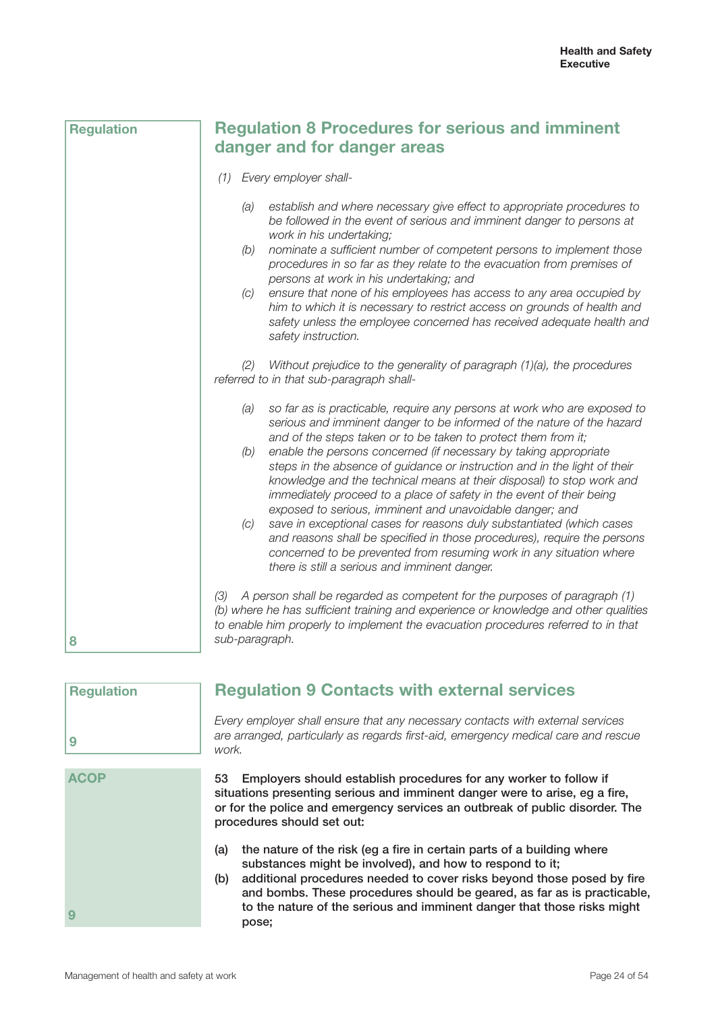| be followed in the event of serious and imminent danger to persons at<br>work in his undertaking;<br>nominate a sufficient number of competent persons to implement those<br>(b)<br>procedures in so far as they relate to the evacuation from premises of<br>persons at work in his undertaking; and                                                                                                                                                                                                                         |
|-------------------------------------------------------------------------------------------------------------------------------------------------------------------------------------------------------------------------------------------------------------------------------------------------------------------------------------------------------------------------------------------------------------------------------------------------------------------------------------------------------------------------------|
| ensure that none of his employees has access to any area occupied by<br>(C)<br>him to which it is necessary to restrict access on grounds of health and<br>safety unless the employee concerned has received adequate health and<br>safety instruction.                                                                                                                                                                                                                                                                       |
| Without prejudice to the generality of paragraph (1)(a), the procedures<br>(2)<br>referred to in that sub-paragraph shall-                                                                                                                                                                                                                                                                                                                                                                                                    |
| (a)<br>so far as is practicable, require any persons at work who are exposed to<br>serious and imminent danger to be informed of the nature of the hazard<br>and of the steps taken or to be taken to protect them from it;                                                                                                                                                                                                                                                                                                   |
| enable the persons concerned (if necessary by taking appropriate<br>(b)<br>steps in the absence of guidance or instruction and in the light of their<br>knowledge and the technical means at their disposal) to stop work and<br>immediately proceed to a place of safety in the event of their being<br>exposed to serious, imminent and unavoidable danger; and<br>save in exceptional cases for reasons duly substantiated (which cases<br>(C)<br>and reasons shall be specified in those procedures), require the persons |
| concerned to be prevented from resuming work in any situation where<br>there is still a serious and imminent danger.                                                                                                                                                                                                                                                                                                                                                                                                          |
| A person shall be regarded as competent for the purposes of paragraph (1)<br>(3)<br>(b) where he has sufficient training and experience or knowledge and other qualities<br>to enable him properly to implement the evacuation procedures referred to in that<br>sub-paragraph.                                                                                                                                                                                                                                               |
|                                                                                                                                                                                                                                                                                                                                                                                                                                                                                                                               |
| <b>Regulation 9 Contacts with external services</b>                                                                                                                                                                                                                                                                                                                                                                                                                                                                           |
| Every employer shall ensure that any necessary contacts with external services<br>are arranged, particularly as regards first-aid, emergency medical care and rescue<br>work.                                                                                                                                                                                                                                                                                                                                                 |
|                                                                                                                                                                                                                                                                                                                                                                                                                                                                                                                               |

**Regulation 8 Procedures for serious and imminent** 

*(a) establish and where necessary give effect to appropriate procedures to* 

**danger and for danger areas** 

 *(1) Every employer shall-*

**Regulation** 

**8**

**9**

**9**

**ACOP**

**Regulation** 

53 Employers should establish procedures for any worker to follow if situations presenting serious and imminent danger were to arise, eg a fire, or for the police and emergency services an outbreak of public disorder. The procedures should set out:

- (a) the nature of the risk (eg a fire in certain parts of a building where substances might be involved), and how to respond to it;
- (b) additional procedures needed to cover risks beyond those posed by fire and bombs. These procedures should be geared, as far as is practicable, to the nature of the serious and imminent danger that those risks might pose;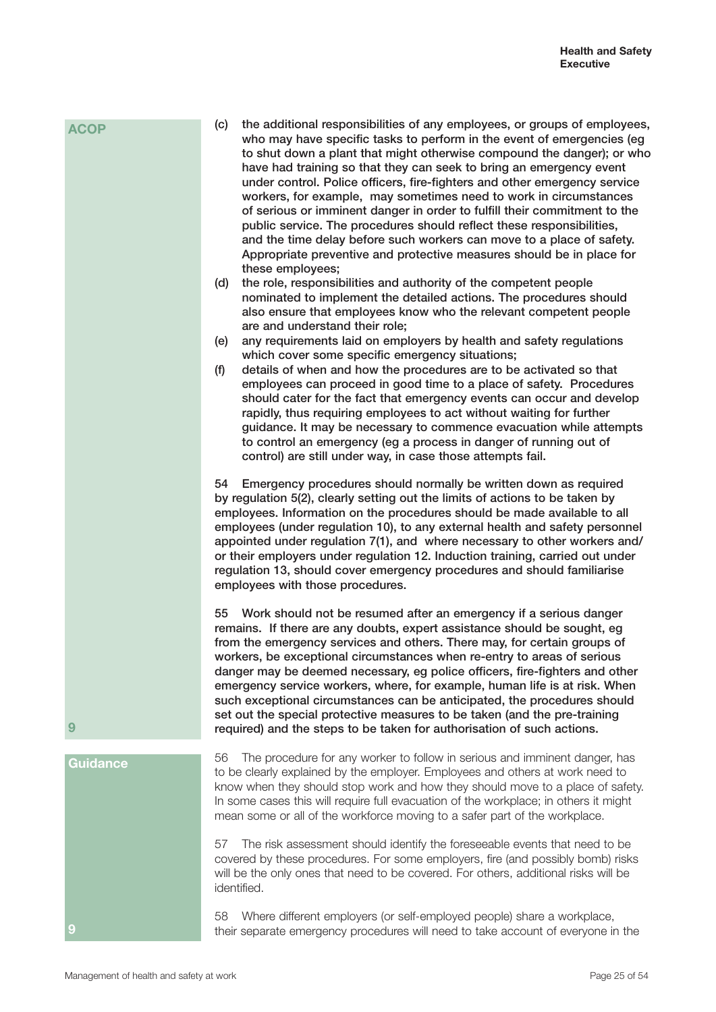| <b>ACOP</b> | the additional responsibilities of any employees, or groups of employees,<br>(c)<br>who may have specific tasks to perform in the event of emergencies (eg<br>to shut down a plant that might otherwise compound the danger); or who<br>have had training so that they can seek to bring an emergency event<br>under control. Police officers, fire-fighters and other emergency service<br>workers, for example, may sometimes need to work in circumstances<br>of serious or imminent danger in order to fulfill their commitment to the<br>public service. The procedures should reflect these responsibilities,<br>and the time delay before such workers can move to a place of safety.<br>Appropriate preventive and protective measures should be in place for<br>these employees;<br>the role, responsibilities and authority of the competent people<br>(d)<br>nominated to implement the detailed actions. The procedures should<br>also ensure that employees know who the relevant competent people<br>are and understand their role;<br>any requirements laid on employers by health and safety regulations<br>(e)<br>which cover some specific emergency situations;<br>details of when and how the procedures are to be activated so that<br>(f)<br>employees can proceed in good time to a place of safety. Procedures<br>should cater for the fact that emergency events can occur and develop<br>rapidly, thus requiring employees to act without waiting for further<br>guidance. It may be necessary to commence evacuation while attempts<br>to control an emergency (eg a process in danger of running out of<br>control) are still under way, in case those attempts fail.<br>Emergency procedures should normally be written down as required<br>54<br>by regulation 5(2), clearly setting out the limits of actions to be taken by<br>employees. Information on the procedures should be made available to all<br>employees (under regulation 10), to any external health and safety personnel<br>appointed under regulation 7(1), and where necessary to other workers and/<br>or their employers under regulation 12. Induction training, carried out under<br>regulation 13, should cover emergency procedures and should familiarise<br>employees with those procedures. |
|-------------|-------------------------------------------------------------------------------------------------------------------------------------------------------------------------------------------------------------------------------------------------------------------------------------------------------------------------------------------------------------------------------------------------------------------------------------------------------------------------------------------------------------------------------------------------------------------------------------------------------------------------------------------------------------------------------------------------------------------------------------------------------------------------------------------------------------------------------------------------------------------------------------------------------------------------------------------------------------------------------------------------------------------------------------------------------------------------------------------------------------------------------------------------------------------------------------------------------------------------------------------------------------------------------------------------------------------------------------------------------------------------------------------------------------------------------------------------------------------------------------------------------------------------------------------------------------------------------------------------------------------------------------------------------------------------------------------------------------------------------------------------------------------------------------------------------------------------------------------------------------------------------------------------------------------------------------------------------------------------------------------------------------------------------------------------------------------------------------------------------------------------------------------------------------------------------------------------------------------------------------------------------------------------------------------------------|
| 9           | 55<br>Work should not be resumed after an emergency if a serious danger<br>remains. If there are any doubts, expert assistance should be sought, eg<br>from the emergency services and others. There may, for certain groups of<br>workers, be exceptional circumstances when re-entry to areas of serious<br>danger may be deemed necessary, eg police officers, fire-fighters and other<br>emergency service workers, where, for example, human life is at risk. When<br>such exceptional circumstances can be anticipated, the procedures should<br>set out the special protective measures to be taken (and the pre-training<br>required) and the steps to be taken for authorisation of such actions.                                                                                                                                                                                                                                                                                                                                                                                                                                                                                                                                                                                                                                                                                                                                                                                                                                                                                                                                                                                                                                                                                                                                                                                                                                                                                                                                                                                                                                                                                                                                                                                            |
| Guidance    | The procedure for any worker to follow in serious and imminent danger, has<br>56<br>to be clearly explained by the employer. Employees and others at work need to<br>know when they should stop work and how they should move to a place of safety.<br>In some cases this will require full evacuation of the workplace; in others it might<br>mean some or all of the workforce moving to a safer part of the workplace.                                                                                                                                                                                                                                                                                                                                                                                                                                                                                                                                                                                                                                                                                                                                                                                                                                                                                                                                                                                                                                                                                                                                                                                                                                                                                                                                                                                                                                                                                                                                                                                                                                                                                                                                                                                                                                                                             |
|             | 57<br>The risk assessment should identify the foreseeable events that need to be<br>covered by these procedures. For some employers, fire (and possibly bomb) risks<br>will be the only ones that need to be covered. For others, additional risks will be<br>identified.                                                                                                                                                                                                                                                                                                                                                                                                                                                                                                                                                                                                                                                                                                                                                                                                                                                                                                                                                                                                                                                                                                                                                                                                                                                                                                                                                                                                                                                                                                                                                                                                                                                                                                                                                                                                                                                                                                                                                                                                                             |
| 9           | Where different employers (or self-employed people) share a workplace,<br>58<br>their separate emergency procedures will need to take account of everyone in the                                                                                                                                                                                                                                                                                                                                                                                                                                                                                                                                                                                                                                                                                                                                                                                                                                                                                                                                                                                                                                                                                                                                                                                                                                                                                                                                                                                                                                                                                                                                                                                                                                                                                                                                                                                                                                                                                                                                                                                                                                                                                                                                      |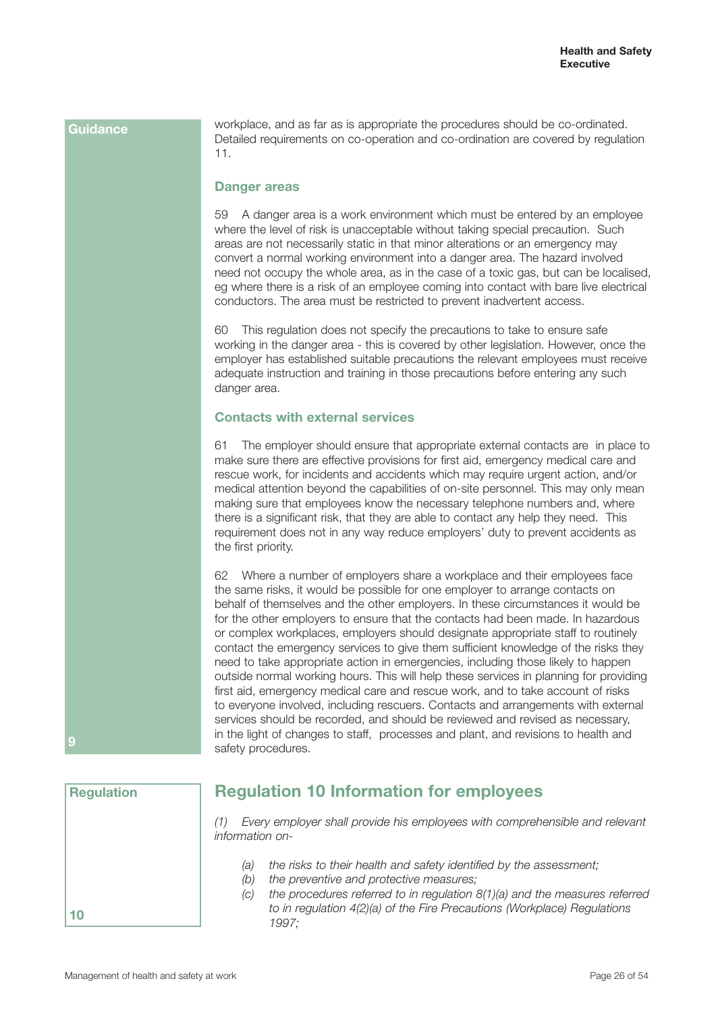### **Guidance**

workplace, and as far as is appropriate the procedures should be co-ordinated. Detailed requirements on co-operation and co-ordination are covered by regulation 11.

#### **Danger areas**

59 A danger area is a work environment which must be entered by an employee where the level of risk is unacceptable without taking special precaution. Such areas are not necessarily static in that minor alterations or an emergency may convert a normal working environment into a danger area. The hazard involved need not occupy the whole area, as in the case of a toxic gas, but can be localised, eg where there is a risk of an employee coming into contact with bare live electrical conductors. The area must be restricted to prevent inadvertent access.

60 This regulation does not specify the precautions to take to ensure safe working in the danger area - this is covered by other legislation. However, once the employer has established suitable precautions the relevant employees must receive adequate instruction and training in those precautions before entering any such danger area.

#### **Contacts with external services**

61 The employer should ensure that appropriate external contacts are in place to make sure there are effective provisions for first aid, emergency medical care and rescue work, for incidents and accidents which may require urgent action, and/or medical attention beyond the capabilities of on-site personnel. This may only mean making sure that employees know the necessary telephone numbers and, where there is a significant risk, that they are able to contact any help they need. This requirement does not in any way reduce employers' duty to prevent accidents as the first priority.

62 Where a number of employers share a workplace and their employees face the same risks, it would be possible for one employer to arrange contacts on behalf of themselves and the other employers. In these circumstances it would be for the other employers to ensure that the contacts had been made. In hazardous or complex workplaces, employers should designate appropriate staff to routinely contact the emergency services to give them sufficient knowledge of the risks they need to take appropriate action in emergencies, including those likely to happen outside normal working hours. This will help these services in planning for providing first aid, emergency medical care and rescue work, and to take account of risks to everyone involved, including rescuers. Contacts and arrangements with external services should be recorded, and should be reviewed and revised as necessary, in the light of changes to staff, processes and plant, and revisions to health and safety procedures.

| <b>Regulation</b> |  |
|-------------------|--|
|                   |  |
|                   |  |
|                   |  |
|                   |  |
|                   |  |
|                   |  |
|                   |  |
|                   |  |
| 10                |  |

**9**

### **Regulation 10 Information for employees**

*(1) Every employer shall provide his employees with comprehensible and relevant information on-*

- *(a) the risks to their health and safety identified by the assessment;*
- *(b) the preventive and protective measures;*
- *(c) the procedures referred to in regulation 8(1)(a) and the measures referred to in regulation 4(2)(a) of the Fire Precautions (Workplace) Regulations 1997;*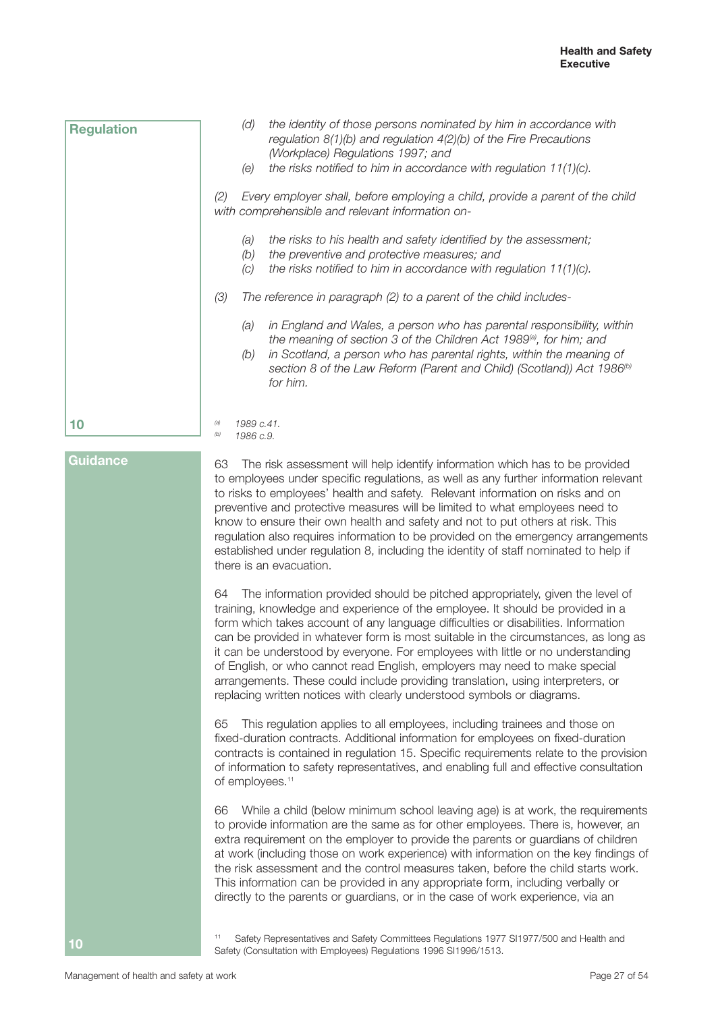| <b>Regulation</b> | the identity of those persons nominated by him in accordance with<br>(d)<br>regulation $8(1)(b)$ and regulation $4(2)(b)$ of the Fire Precautions<br>(Workplace) Regulations 1997; and                                                                                                                                                                                                                                                                                                                                                                                                                                                                                         |  |  |
|-------------------|--------------------------------------------------------------------------------------------------------------------------------------------------------------------------------------------------------------------------------------------------------------------------------------------------------------------------------------------------------------------------------------------------------------------------------------------------------------------------------------------------------------------------------------------------------------------------------------------------------------------------------------------------------------------------------|--|--|
|                   | the risks notified to him in accordance with regulation $11(1)(c)$ .<br>(e)                                                                                                                                                                                                                                                                                                                                                                                                                                                                                                                                                                                                    |  |  |
|                   | Every employer shall, before employing a child, provide a parent of the child<br>(2)<br>with comprehensible and relevant information on-                                                                                                                                                                                                                                                                                                                                                                                                                                                                                                                                       |  |  |
|                   | the risks to his health and safety identified by the assessment;<br>(a)<br>the preventive and protective measures; and<br>(b)<br>the risks notified to him in accordance with regulation $11(1)(c)$ .<br>(C)                                                                                                                                                                                                                                                                                                                                                                                                                                                                   |  |  |
|                   | (3)<br>The reference in paragraph (2) to a parent of the child includes-                                                                                                                                                                                                                                                                                                                                                                                                                                                                                                                                                                                                       |  |  |
|                   | in England and Wales, a person who has parental responsibility, within<br>(a)<br>the meaning of section 3 of the Children Act 1989 <sup>(a)</sup> , for him; and<br>in Scotland, a person who has parental rights, within the meaning of<br>(b)<br>section 8 of the Law Reform (Parent and Child) (Scotland)) Act 1986 <sup>(b)</sup><br>for him.                                                                                                                                                                                                                                                                                                                              |  |  |
| 10                | (a)<br>1989 c.41.                                                                                                                                                                                                                                                                                                                                                                                                                                                                                                                                                                                                                                                              |  |  |
|                   | (b)<br>1986 с.9.                                                                                                                                                                                                                                                                                                                                                                                                                                                                                                                                                                                                                                                               |  |  |
| <b>Guidance</b>   | The risk assessment will help identify information which has to be provided<br>63<br>to employees under specific regulations, as well as any further information relevant<br>to risks to employees' health and safety. Relevant information on risks and on<br>preventive and protective measures will be limited to what employees need to<br>know to ensure their own health and safety and not to put others at risk. This<br>regulation also requires information to be provided on the emergency arrangements<br>established under regulation 8, including the identity of staff nominated to help if<br>there is an evacuation.                                          |  |  |
|                   | The information provided should be pitched appropriately, given the level of<br>64<br>training, knowledge and experience of the employee. It should be provided in a<br>form which takes account of any language difficulties or disabilities. Information<br>can be provided in whatever form is most suitable in the circumstances, as long as<br>it can be understood by everyone. For employees with little or no understanding<br>of English, or who cannot read English, employers may need to make special<br>arrangements. These could include providing translation, using interpreters, or<br>replacing written notices with clearly understood symbols or diagrams. |  |  |
|                   | This regulation applies to all employees, including trainees and those on<br>65<br>fixed-duration contracts. Additional information for employees on fixed-duration<br>contracts is contained in regulation 15. Specific requirements relate to the provision<br>of information to safety representatives, and enabling full and effective consultation<br>of employees. <sup>11</sup>                                                                                                                                                                                                                                                                                         |  |  |
|                   | While a child (below minimum school leaving age) is at work, the requirements<br>66<br>to provide information are the same as for other employees. There is, however, an<br>extra requirement on the employer to provide the parents or guardians of children<br>at work (including those on work experience) with information on the key findings of<br>the risk assessment and the control measures taken, before the child starts work.<br>This information can be provided in any appropriate form, including verbally or<br>directly to the parents or guardians, or in the case of work experience, via an                                                               |  |  |

<sup>11</sup> Safety Representatives and Safety Committees Regulations 1977 SI1977/500 and Health and Safety (Consultation with Employees) Regulations 1996 SI1996/1513.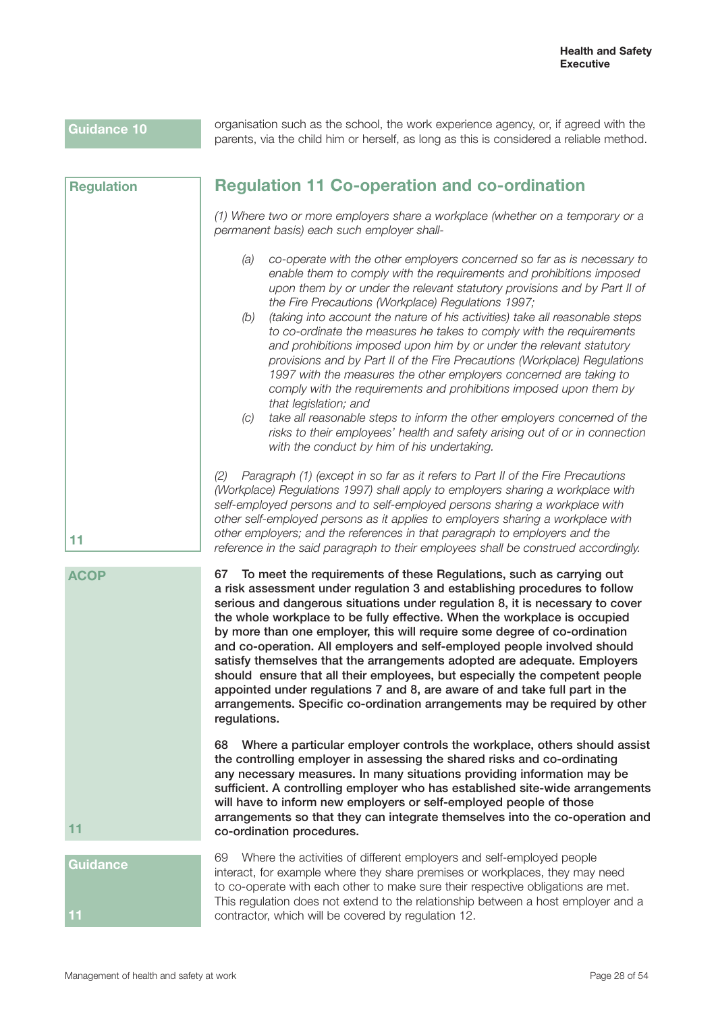### **Guidance 10**

organisation such as the school, the work experience agency, or, if agreed with the parents, via the child him or herself, as long as this is considered a reliable method.

| <b>Regulation</b> | <b>Regulation 11 Co-operation and co-ordination</b>                                                                                                                                                                                                                                                                                                                                                                                                                                                                                                                                                                                                                                                                                                                                                                                                                                                                                                                                                 |
|-------------------|-----------------------------------------------------------------------------------------------------------------------------------------------------------------------------------------------------------------------------------------------------------------------------------------------------------------------------------------------------------------------------------------------------------------------------------------------------------------------------------------------------------------------------------------------------------------------------------------------------------------------------------------------------------------------------------------------------------------------------------------------------------------------------------------------------------------------------------------------------------------------------------------------------------------------------------------------------------------------------------------------------|
|                   | (1) Where two or more employers share a workplace (whether on a temporary or a<br>permanent basis) each such employer shall-                                                                                                                                                                                                                                                                                                                                                                                                                                                                                                                                                                                                                                                                                                                                                                                                                                                                        |
|                   | co-operate with the other employers concerned so far as is necessary to<br>(a)<br>enable them to comply with the requirements and prohibitions imposed<br>upon them by or under the relevant statutory provisions and by Part II of<br>the Fire Precautions (Workplace) Regulations 1997;<br>(taking into account the nature of his activities) take all reasonable steps<br>(b)<br>to co-ordinate the measures he takes to comply with the requirements<br>and prohibitions imposed upon him by or under the relevant statutory<br>provisions and by Part II of the Fire Precautions (Workplace) Regulations<br>1997 with the measures the other employers concerned are taking to<br>comply with the requirements and prohibitions imposed upon them by<br>that legislation; and<br>(C)<br>take all reasonable steps to inform the other employers concerned of the<br>risks to their employees' health and safety arising out of or in connection<br>with the conduct by him of his undertaking. |
| 11                | Paragraph (1) (except in so far as it refers to Part II of the Fire Precautions<br>(2)<br>(Workplace) Regulations 1997) shall apply to employers sharing a workplace with<br>self-employed persons and to self-employed persons sharing a workplace with<br>other self-employed persons as it applies to employers sharing a workplace with<br>other employers; and the references in that paragraph to employers and the<br>reference in the said paragraph to their employees shall be construed accordingly.                                                                                                                                                                                                                                                                                                                                                                                                                                                                                     |
| <b>ACOP</b>       | To meet the requirements of these Regulations, such as carrying out<br>67<br>a risk assessment under regulation 3 and establishing procedures to follow<br>serious and dangerous situations under regulation 8, it is necessary to cover<br>the whole workplace to be fully effective. When the workplace is occupied<br>by more than one employer, this will require some degree of co-ordination<br>and co-operation. All employers and self-employed people involved should<br>satisfy themselves that the arrangements adopted are adequate. Employers<br>should ensure that all their employees, but especially the competent people<br>appointed under regulations 7 and 8, are aware of and take full part in the<br>arrangements. Specific co-ordination arrangements may be required by other<br>regulations.                                                                                                                                                                              |
| 11                | Where a particular employer controls the workplace, others should assist<br>68<br>the controlling employer in assessing the shared risks and co-ordinating<br>any necessary measures. In many situations providing information may be<br>sufficient. A controlling employer who has established site-wide arrangements<br>will have to inform new employers or self-employed people of those<br>arrangements so that they can integrate themselves into the co-operation and<br>co-ordination procedures.                                                                                                                                                                                                                                                                                                                                                                                                                                                                                           |
| Guidance<br>11    | Where the activities of different employers and self-employed people<br>69<br>interact, for example where they share premises or workplaces, they may need<br>to co-operate with each other to make sure their respective obligations are met.<br>This regulation does not extend to the relationship between a host employer and a<br>contractor, which will be covered by regulation 12.                                                                                                                                                                                                                                                                                                                                                                                                                                                                                                                                                                                                          |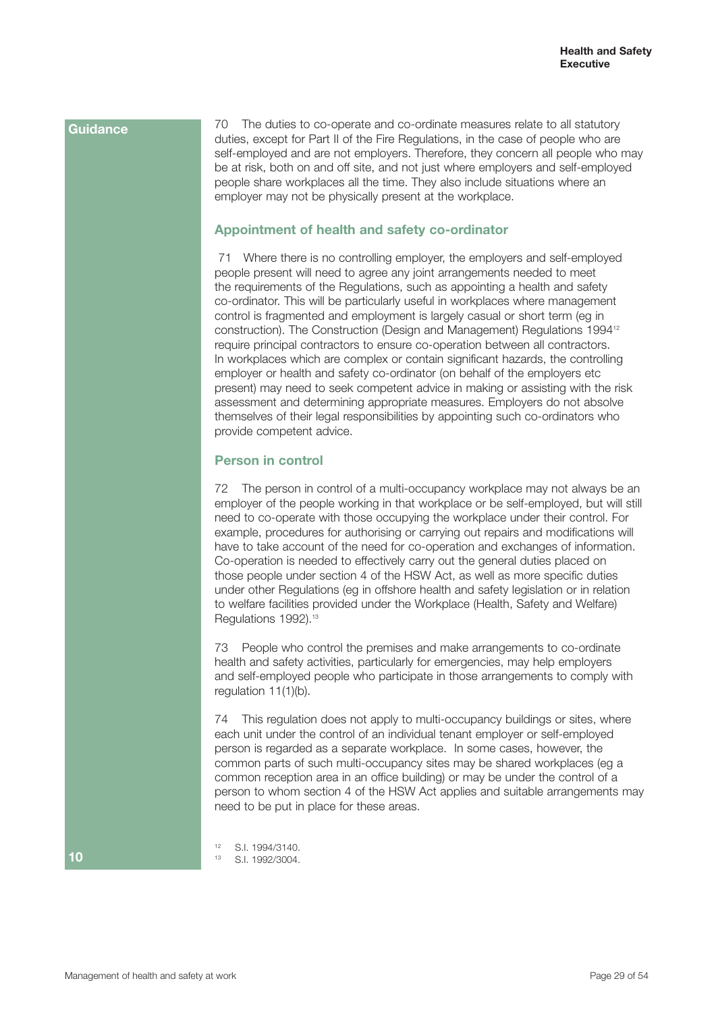#### **Guidance**

70 The duties to co-operate and co-ordinate measures relate to all statutory duties, except for Part II of the Fire Regulations, in the case of people who are self-employed and are not employers. Therefore, they concern all people who may be at risk, both on and off site, and not just where employers and self-employed people share workplaces all the time. They also include situations where an employer may not be physically present at the workplace.

### **Appointment of health and safety co-ordinator**

71 Where there is no controlling employer, the employers and self-employed people present will need to agree any joint arrangements needed to meet the requirements of the Regulations, such as appointing a health and safety co-ordinator. This will be particularly useful in workplaces where management control is fragmented and employment is largely casual or short term (eg in construction). The Construction (Design and Management) Regulations 1994<sup>12</sup> require principal contractors to ensure co-operation between all contractors. In workplaces which are complex or contain significant hazards, the controlling employer or health and safety co-ordinator (on behalf of the employers etc present) may need to seek competent advice in making or assisting with the risk assessment and determining appropriate measures. Employers do not absolve themselves of their legal responsibilities by appointing such co-ordinators who provide competent advice.

### **Person in control**

72 The person in control of a multi-occupancy workplace may not always be an employer of the people working in that workplace or be self-employed, but will still need to co-operate with those occupying the workplace under their control. For example, procedures for authorising or carrying out repairs and modifications will have to take account of the need for co-operation and exchanges of information. Co-operation is needed to effectively carry out the general duties placed on those people under section 4 of the HSW Act, as well as more specific duties under other Regulations (eg in offshore health and safety legislation or in relation to welfare facilities provided under the Workplace (Health, Safety and Welfare) Regulations 1992).<sup>13</sup>

73 People who control the premises and make arrangements to co-ordinate health and safety activities, particularly for emergencies, may help employers and self-employed people who participate in those arrangements to comply with regulation 11(1)(b).

74 This regulation does not apply to multi-occupancy buildings or sites, where each unit under the control of an individual tenant employer or self-employed person is regarded as a separate workplace. In some cases, however, the common parts of such multi-occupancy sites may be shared workplaces (eg a common reception area in an office building) or may be under the control of a person to whom section 4 of the HSW Act applies and suitable arrangements may need to be put in place for these areas.

**10**

<sup>12</sup> S.I. 1994/3140. S.I. 1992/3004.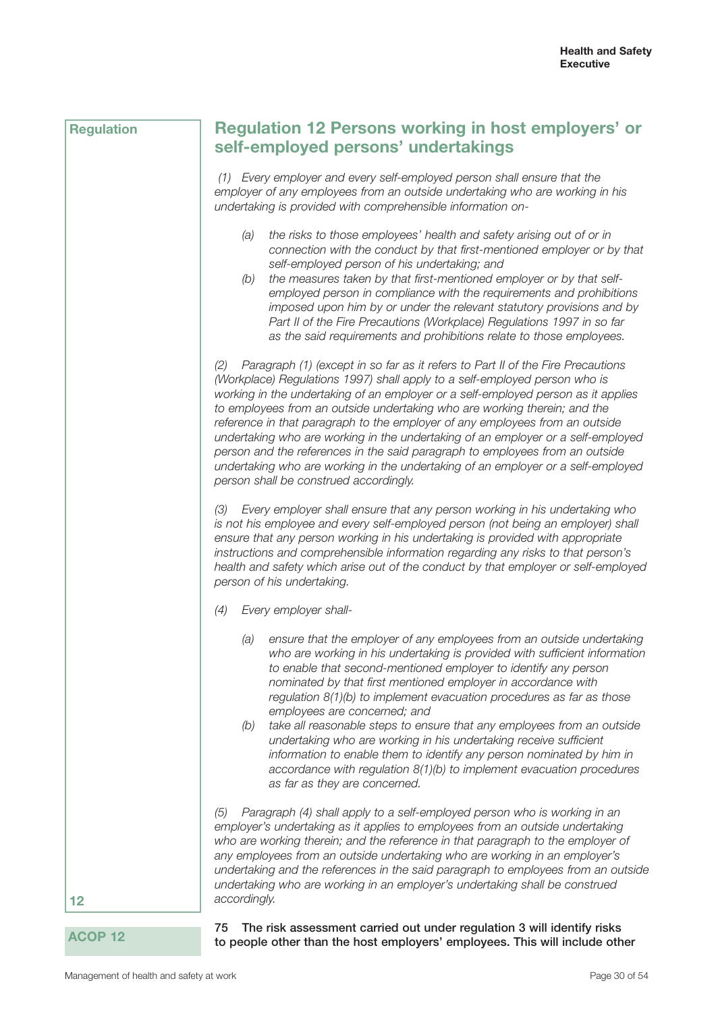### **Regulation**

### **Regulation 12 Persons working in host employers' or self-employed persons' undertakings**

 *(1) Every employer and every self-employed person shall ensure that the employer of any employees from an outside undertaking who are working in his undertaking is provided with comprehensible information on-*

- *(a) the risks to those employees' health and safety arising out of or in connection with the conduct by that first-mentioned employer or by that self-employed person of his undertaking; and*
- *(b) the measures taken by that first-mentioned employer or by that selfemployed person in compliance with the requirements and prohibitions imposed upon him by or under the relevant statutory provisions and by Part II of the Fire Precautions (Workplace) Regulations 1997 in so far as the said requirements and prohibitions relate to those employees.*

*(2) Paragraph (1) (except in so far as it refers to Part II of the Fire Precautions (Workplace) Regulations 1997) shall apply to a self-employed person who is working in the undertaking of an employer or a self-employed person as it applies to employees from an outside undertaking who are working therein; and the reference in that paragraph to the employer of any employees from an outside undertaking who are working in the undertaking of an employer or a self-employed person and the references in the said paragraph to employees from an outside undertaking who are working in the undertaking of an employer or a self-employed person shall be construed accordingly.*

*(3) Every employer shall ensure that any person working in his undertaking who is not his employee and every self-employed person (not being an employer) shall ensure that any person working in his undertaking is provided with appropriate instructions and comprehensible information regarding any risks to that person's health and safety which arise out of the conduct by that employer or self-employed person of his undertaking.*

- *(4) Every employer shall-*
	- *(a) ensure that the employer of any employees from an outside undertaking who are working in his undertaking is provided with sufficient information to enable that second-mentioned employer to identify any person nominated by that first mentioned employer in accordance with regulation 8(1)(b) to implement evacuation procedures as far as those employees are concerned; and*
	- *(b) take all reasonable steps to ensure that any employees from an outside undertaking who are working in his undertaking receive sufficient information to enable them to identify any person nominated by him in accordance with regulation 8(1)(b) to implement evacuation procedures as far as they are concerned.*

*(5) Paragraph (4) shall apply to a self-employed person who is working in an employer's undertaking as it applies to employees from an outside undertaking who are working therein; and the reference in that paragraph to the employer of any employees from an outside undertaking who are working in an employer's undertaking and the references in the said paragraph to employees from an outside undertaking who are working in an employer's undertaking shall be construed accordingly.*

#### **12**

**ACOP 12**

75 The risk assessment carried out under regulation 3 will identify risks to people other than the host employers' employees. This will include other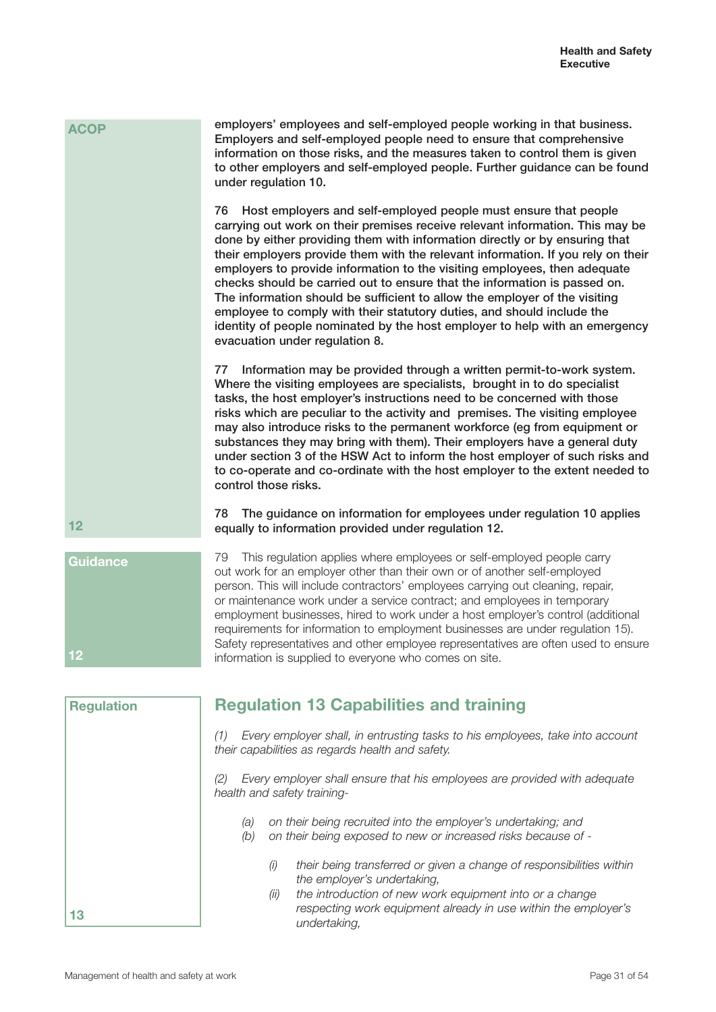employers' employees and self-employed people working in that business. Employers and self-employed people need to ensure that comprehensive information on those risks, and the measures taken to control them is given to other employers and self-employed people. Further guidance can be found under regulation 10.

76 Host employers and self-employed people must ensure that people carrying out work on their premises receive relevant information. This may be done by either providing them with information directly or by ensuring that their employers provide them with the relevant information. If you rely on their employers to provide information to the visiting employees, then adequate checks should be carried out to ensure that the information is passed on. The information should be sufficient to allow the employer of the visiting employee to comply with their statutory duties, and should include the identity of people nominated by the host employer to help with an emergency evacuation under regulation 8.

77 Information may be provided through a written permit-to-work system. Where the visiting employees are specialists, brought in to do specialist tasks, the host employer's instructions need to be concerned with those risks which are peculiar to the activity and premises. The visiting employee may also introduce risks to the permanent workforce (eg from equipment or substances they may bring with them). Their employers have a general duty under section 3 of the HSW Act to inform the host employer of such risks and to co-operate and co-ordinate with the host employer to the extent needed to control those risks.

78 The guidance on information for employees under regulation 10 applies equally to information provided under regulation 12.



**12**

79 This regulation applies where employees or self-employed people carry out work for an employer other than their own or of another self-employed person. This will include contractors' employees carrying out cleaning, repair, or maintenance work under a service contract; and employees in temporary employment businesses, hired to work under a host employer's control (additional requirements for information to employment businesses are under regulation 15). Safety representatives and other employee representatives are often used to ensure information is supplied to everyone who comes on site.

| <b>Regulation</b> |  |  |
|-------------------|--|--|
|                   |  |  |
|                   |  |  |
|                   |  |  |
|                   |  |  |
|                   |  |  |
|                   |  |  |
|                   |  |  |
|                   |  |  |
|                   |  |  |
| 13                |  |  |

### **Regulation 13 Capabilities and training**

*(1) Every employer shall, in entrusting tasks to his employees, take into account their capabilities as regards health and safety.*

*(2) Every employer shall ensure that his employees are provided with adequate health and safety training-*

- *(a) on their being recruited into the employer's undertaking; and*
- *(b) on their being exposed to new or increased risks because of* 
	- *(i) their being transferred or given a change of responsibilities within the employer's undertaking,*
	- *(ii) the introduction of new work equipment into or a change respecting work equipment already in use within the employer's undertaking,*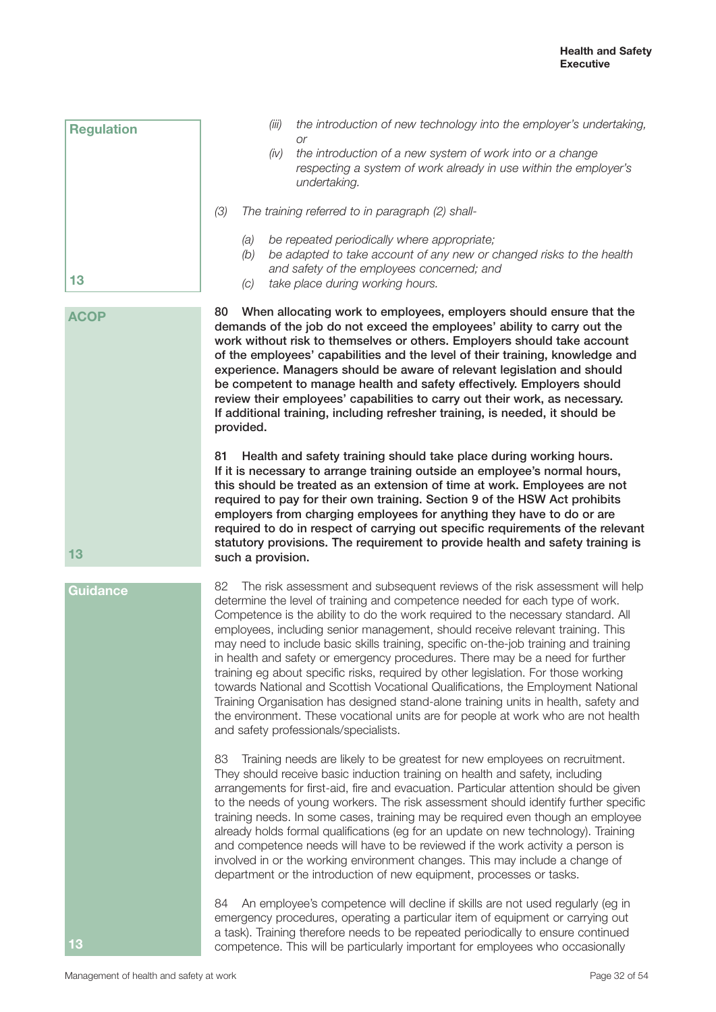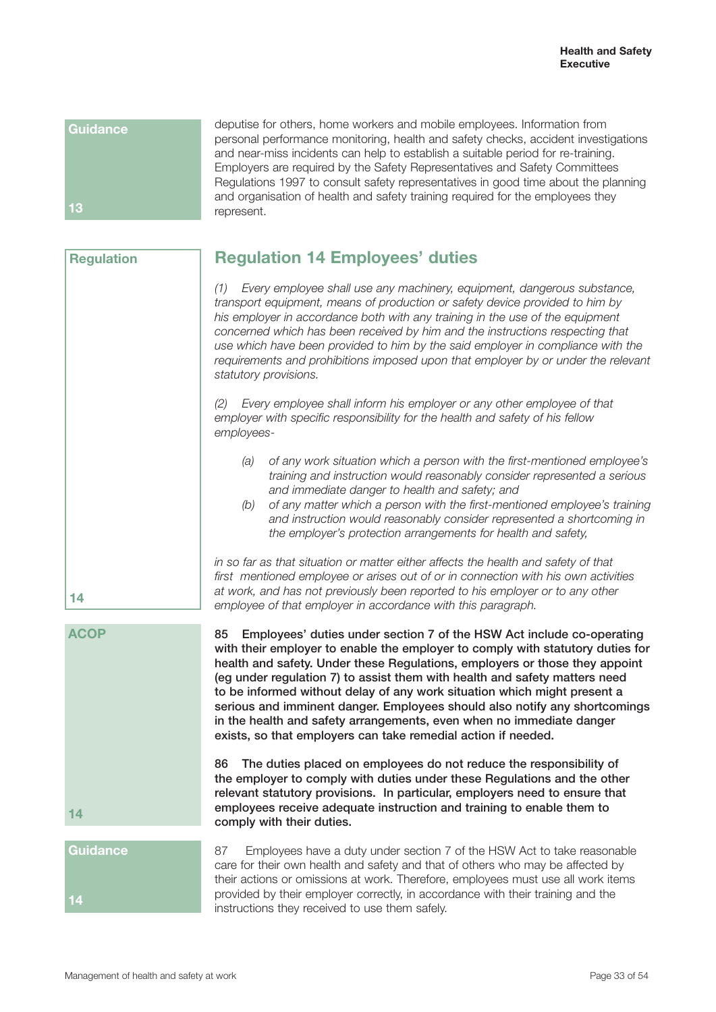### **Guidance**

**13**

**Regulation** 

deputise for others, home workers and mobile employees. Information from personal performance monitoring, health and safety checks, accident investigations and near-miss incidents can help to establish a suitable period for re-training. Employers are required by the Safety Representatives and Safety Committees Regulations 1997 to consult safety representatives in good time about the planning and organisation of health and safety training required for the employees they represent.

### **Regulation 14 Employees' duties**

*(1) Every employee shall use any machinery, equipment, dangerous substance, transport equipment, means of production or safety device provided to him by his employer in accordance both with any training in the use of the equipment concerned which has been received by him and the instructions respecting that use which have been provided to him by the said employer in compliance with the requirements and prohibitions imposed upon that employer by or under the relevant statutory provisions.*

*(2) Every employee shall inform his employer or any other employee of that employer with specific responsibility for the health and safety of his fellow employees-*

- *(a) of any work situation which a person with the first-mentioned employee's training and instruction would reasonably consider represented a serious and immediate danger to health and safety; and*
- *(b) of any matter which a person with the first-mentioned employee's training and instruction would reasonably consider represented a shortcoming in the employer's protection arrangements for health and safety,*

*in so far as that situation or matter either affects the health and safety of that first mentioned employee or arises out of or in connection with his own activities at work, and has not previously been reported to his employer or to any other employee of that employer in accordance with this paragraph.*

**ACOP**

**14**

85 Employees' duties under section 7 of the HSW Act include co-operating with their employer to enable the employer to comply with statutory duties for health and safety. Under these Regulations, employers or those they appoint (eg under regulation 7) to assist them with health and safety matters need to be informed without delay of any work situation which might present a serious and imminent danger. Employees should also notify any shortcomings in the health and safety arrangements, even when no immediate danger exists, so that employers can take remedial action if needed.

86 The duties placed on employees do not reduce the responsibility of the employer to comply with duties under these Regulations and the other relevant statutory provisions. In particular, employers need to ensure that employees receive adequate instruction and training to enable them to comply with their duties.

## **Guidance 14**

**14**

87 Employees have a duty under section 7 of the HSW Act to take reasonable care for their own health and safety and that of others who may be affected by their actions or omissions at work. Therefore, employees must use all work items provided by their employer correctly, in accordance with their training and the instructions they received to use them safely.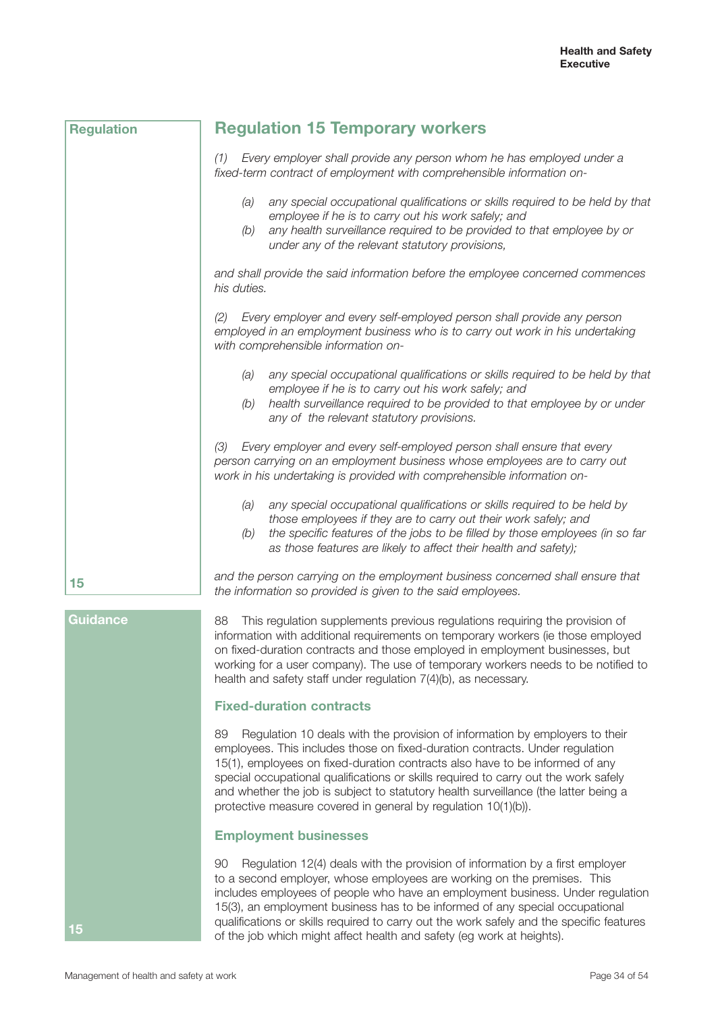**Regulation** 

### **Regulation 15 Temporary workers**

*(1) Every employer shall provide any person whom he has employed under a fixed-term contract of employment with comprehensible information on-*

- *(a) any special occupational qualifications or skills required to be held by that employee if he is to carry out his work safely; and*
- *(b) any health surveillance required to be provided to that employee by or under any of the relevant statutory provisions,*

*and shall provide the said information before the employee concerned commences his duties.*

*(2) Every employer and every self-employed person shall provide any person*  employed in an employment business who is to carry out work in his undertaking *with comprehensible information on-*

- *(a) any special occupational qualifications or skills required to be held by that employee if he is to carry out his work safely; and*
- *(b) health surveillance required to be provided to that employee by or under any of the relevant statutory provisions.*

*(3) Every employer and every self-employed person shall ensure that every person carrying on an employment business whose employees are to carry out work in his undertaking is provided with comprehensible information on-*

- *(a) any special occupational qualifications or skills required to be held by those employees if they are to carry out their work safely; and*
- *(b) the specific features of the jobs to be filled by those employees (in so far as those features are likely to affect their health and safety);*

*and the person carrying on the employment business concerned shall ensure that the information so provided is given to the said employees.* 

### **Guidance**

**15**

**15**

88 This regulation supplements previous regulations requiring the provision of information with additional requirements on temporary workers (ie those employed on fixed-duration contracts and those employed in employment businesses, but working for a user company). The use of temporary workers needs to be notified to health and safety staff under regulation 7(4)(b), as necessary.

### **Fixed-duration contracts**

89 Regulation 10 deals with the provision of information by employers to their employees. This includes those on fixed-duration contracts. Under regulation 15(1), employees on fixed-duration contracts also have to be informed of any special occupational qualifications or skills required to carry out the work safely and whether the job is subject to statutory health surveillance (the latter being a protective measure covered in general by regulation 10(1)(b)).

### **Employment businesses**

90 Regulation 12(4) deals with the provision of information by a first employer to a second employer, whose employees are working on the premises. This includes employees of people who have an employment business. Under regulation 15(3), an employment business has to be informed of any special occupational qualifications or skills required to carry out the work safely and the specific features of the job which might affect health and safety (eg work at heights).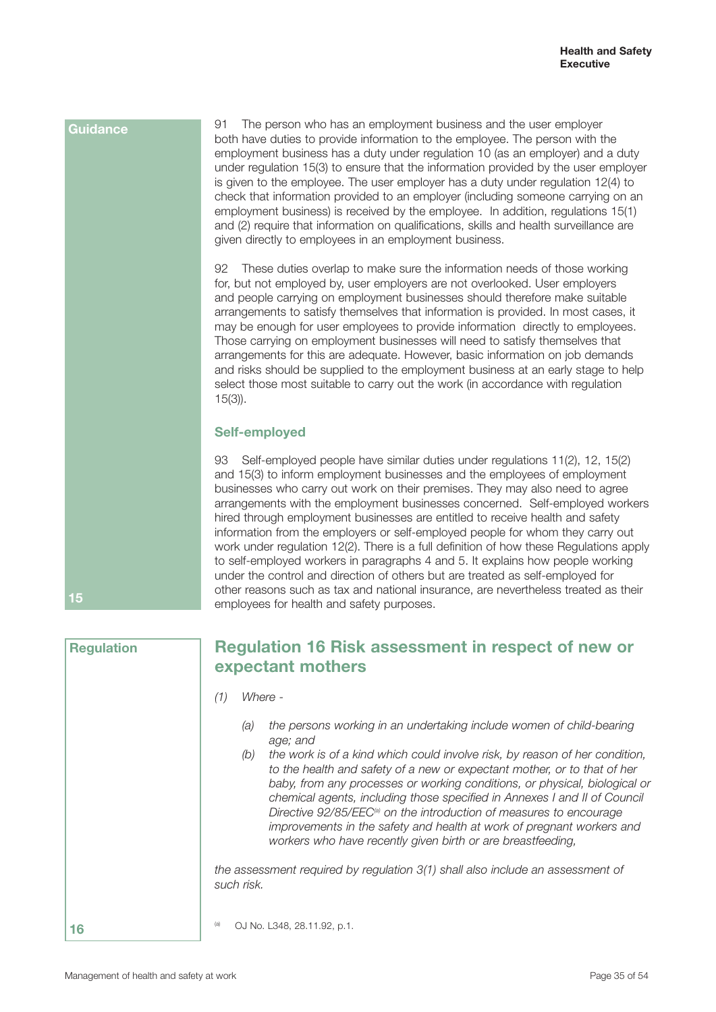#### **Guidance**

**15**

91 The person who has an employment business and the user employer both have duties to provide information to the employee. The person with the employment business has a duty under regulation 10 (as an employer) and a duty under regulation 15(3) to ensure that the information provided by the user employer is given to the employee. The user employer has a duty under regulation 12(4) to check that information provided to an employer (including someone carrying on an employment business) is received by the employee. In addition, regulations 15(1) and (2) require that information on qualifications, skills and health surveillance are given directly to employees in an employment business.

92 These duties overlap to make sure the information needs of those working for, but not employed by, user employers are not overlooked. User employers and people carrying on employment businesses should therefore make suitable arrangements to satisfy themselves that information is provided. In most cases, it may be enough for user employees to provide information directly to employees. Those carrying on employment businesses will need to satisfy themselves that arrangements for this are adequate. However, basic information on job demands and risks should be supplied to the employment business at an early stage to help select those most suitable to carry out the work (in accordance with regulation 15(3)).

### **Self-employed**

93 Self-employed people have similar duties under regulations 11(2), 12, 15(2) and 15(3) to inform employment businesses and the employees of employment businesses who carry out work on their premises. They may also need to agree arrangements with the employment businesses concerned. Self-employed workers hired through employment businesses are entitled to receive health and safety information from the employers or self-employed people for whom they carry out work under regulation 12(2). There is a full definition of how these Regulations apply to self-employed workers in paragraphs 4 and 5. It explains how people working under the control and direction of others but are treated as self-employed for other reasons such as tax and national insurance, are nevertheless treated as their employees for health and safety purposes.

| <b>Regulation</b> | <b>Regulation 16 Risk assessment in respect of new or</b><br>expectant mothers                                                                                                                                                                                                                                                                                                                                                                                                                                                                                                                                                                  |  |  |
|-------------------|-------------------------------------------------------------------------------------------------------------------------------------------------------------------------------------------------------------------------------------------------------------------------------------------------------------------------------------------------------------------------------------------------------------------------------------------------------------------------------------------------------------------------------------------------------------------------------------------------------------------------------------------------|--|--|
|                   | Where -<br>(1)                                                                                                                                                                                                                                                                                                                                                                                                                                                                                                                                                                                                                                  |  |  |
|                   | the persons working in an undertaking include women of child-bearing<br>(a)<br>age; and<br>the work is of a kind which could involve risk, by reason of her condition,<br>(b)<br>to the health and safety of a new or expectant mother, or to that of her<br>baby, from any processes or working conditions, or physical, biological or<br>chemical agents, including those specified in Annexes I and II of Council<br>Directive 92/85/EEC <sup>(a)</sup> on the introduction of measures to encourage<br>improvements in the safety and health at work of pregnant workers and<br>workers who have recently given birth or are breastfeeding, |  |  |
|                   | the assessment required by regulation 3(1) shall also include an assessment of<br>such risk.                                                                                                                                                                                                                                                                                                                                                                                                                                                                                                                                                    |  |  |
| 16                | OJ No. L348, 28.11.92, p.1.<br>(a)                                                                                                                                                                                                                                                                                                                                                                                                                                                                                                                                                                                                              |  |  |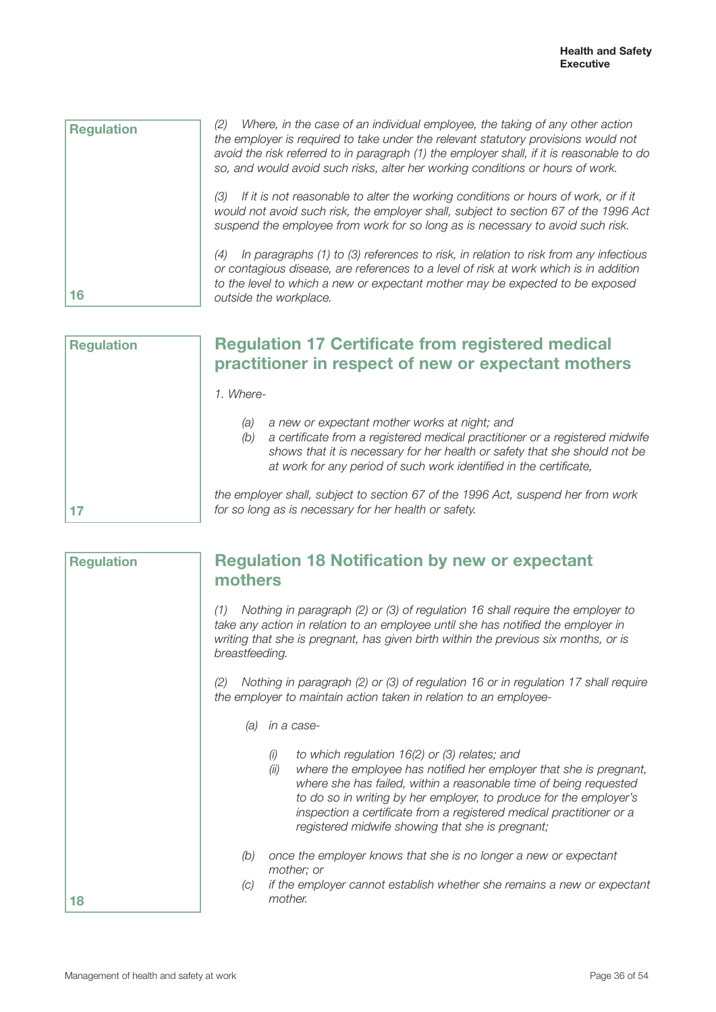| <b>Regulation</b> | Where, in the case of an individual employee, the taking of any other action<br>(2)<br>the employer is required to take under the relevant statutory provisions would not<br>avoid the risk referred to in paragraph (1) the employer shall, if it is reasonable to do<br>so, and would avoid such risks, alter her working conditions or hours of work. |
|-------------------|----------------------------------------------------------------------------------------------------------------------------------------------------------------------------------------------------------------------------------------------------------------------------------------------------------------------------------------------------------|
|                   | If it is not reasonable to alter the working conditions or hours of work, or if it<br>(3)<br>would not avoid such risk, the employer shall, subject to section 67 of the 1996 Act<br>suspend the employee from work for so long as is necessary to avoid such risk.                                                                                      |
| 16                | In paragraphs (1) to (3) references to risk, in relation to risk from any infectious<br>(4)<br>or contagious disease, are references to a level of risk at work which is in addition<br>to the level to which a new or expectant mother may be expected to be exposed<br>outside the workplace.                                                          |

| <b>Regulation</b> | <b>Regulation 17 Certificate from registered medical</b><br>practitioner in respect of new or expectant mothers                                                                                                                                                                                 |  |  |  |
|-------------------|-------------------------------------------------------------------------------------------------------------------------------------------------------------------------------------------------------------------------------------------------------------------------------------------------|--|--|--|
| 1. Where-         |                                                                                                                                                                                                                                                                                                 |  |  |  |
|                   | a new or expectant mother works at night; and<br>(a)<br>a certificate from a registered medical practitioner or a registered midwife<br>(b)<br>shows that it is necessary for her health or safety that she should not be<br>at work for any period of such work identified in the certificate, |  |  |  |
|                   | the employer shall, subject to section 67 of the 1996 Act, suspend her from work<br>for so long as is necessary for her health or safety.                                                                                                                                                       |  |  |  |

| <b>Regulation</b> | <b>Regulation 18 Notification by new or expectant</b><br>mothers                                                                                                                                                                                                                                                                                                                                          |  |  |  |  |
|-------------------|-----------------------------------------------------------------------------------------------------------------------------------------------------------------------------------------------------------------------------------------------------------------------------------------------------------------------------------------------------------------------------------------------------------|--|--|--|--|
|                   | Nothing in paragraph (2) or (3) of regulation 16 shall require the employer to<br>(1)<br>take any action in relation to an employee until she has notified the employer in<br>writing that she is pregnant, has given birth within the previous six months, or is<br>breastfeeding.                                                                                                                       |  |  |  |  |
|                   | Nothing in paragraph (2) or (3) of regulation 16 or in regulation 17 shall require<br>(2)<br>the employer to maintain action taken in relation to an employee-                                                                                                                                                                                                                                            |  |  |  |  |
|                   | in a case-<br>(a)                                                                                                                                                                                                                                                                                                                                                                                         |  |  |  |  |
|                   | to which regulation 16(2) or (3) relates; and<br>(i)<br>where the employee has notified her employer that she is pregnant,<br>(ii)<br>where she has failed, within a reasonable time of being requested<br>to do so in writing by her employer, to produce for the employer's<br>inspection a certificate from a registered medical practitioner or a<br>registered midwife showing that she is pregnant; |  |  |  |  |
|                   | once the employer knows that she is no longer a new or expectant<br>(b)<br>mother; or                                                                                                                                                                                                                                                                                                                     |  |  |  |  |
| 18                | if the employer cannot establish whether she remains a new or expectant<br>(C)<br>mother.                                                                                                                                                                                                                                                                                                                 |  |  |  |  |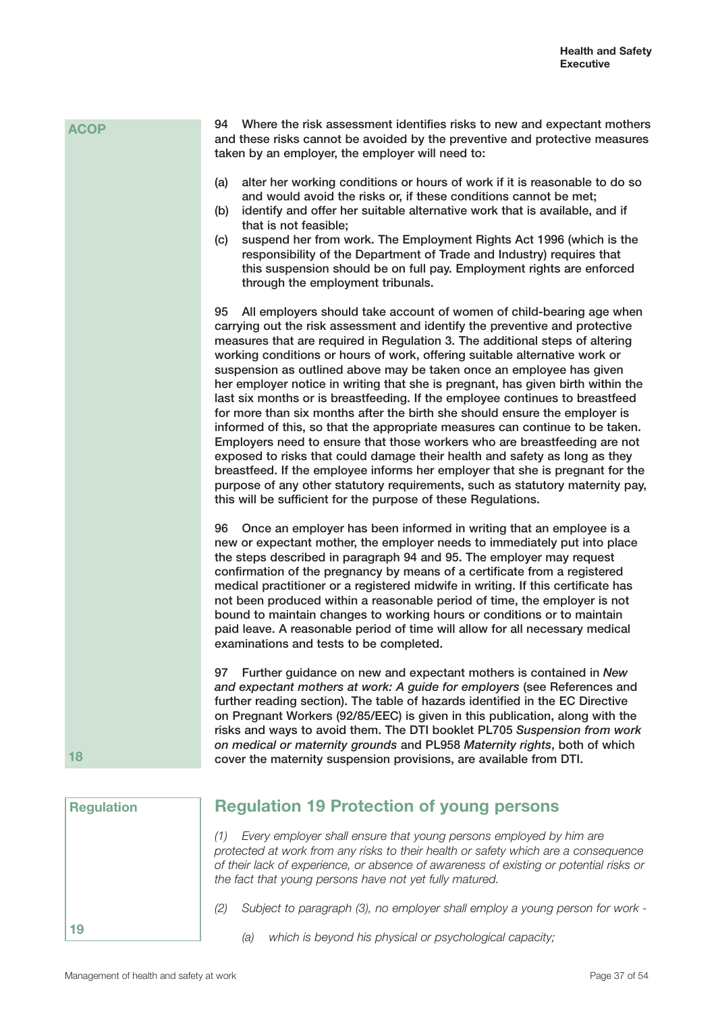| <b>ACOP</b>       | Where the risk assessment identifies risks to new and expectant mothers<br>94<br>and these risks cannot be avoided by the preventive and protective measures<br>taken by an employer, the employer will need to:                                                                                                                                                                                                                                                                                                                                                                                                                                                                                                                                                                                                                                                                                                                                                                                                                                                                                                               |
|-------------------|--------------------------------------------------------------------------------------------------------------------------------------------------------------------------------------------------------------------------------------------------------------------------------------------------------------------------------------------------------------------------------------------------------------------------------------------------------------------------------------------------------------------------------------------------------------------------------------------------------------------------------------------------------------------------------------------------------------------------------------------------------------------------------------------------------------------------------------------------------------------------------------------------------------------------------------------------------------------------------------------------------------------------------------------------------------------------------------------------------------------------------|
|                   | alter her working conditions or hours of work if it is reasonable to do so<br>(a)<br>and would avoid the risks or, if these conditions cannot be met;<br>identify and offer her suitable alternative work that is available, and if<br>(b)<br>that is not feasible;                                                                                                                                                                                                                                                                                                                                                                                                                                                                                                                                                                                                                                                                                                                                                                                                                                                            |
|                   | suspend her from work. The Employment Rights Act 1996 (which is the<br>(c)<br>responsibility of the Department of Trade and Industry) requires that<br>this suspension should be on full pay. Employment rights are enforced<br>through the employment tribunals.                                                                                                                                                                                                                                                                                                                                                                                                                                                                                                                                                                                                                                                                                                                                                                                                                                                              |
|                   | All employers should take account of women of child-bearing age when<br>95<br>carrying out the risk assessment and identify the preventive and protective<br>measures that are required in Regulation 3. The additional steps of altering<br>working conditions or hours of work, offering suitable alternative work or<br>suspension as outlined above may be taken once an employee has given<br>her employer notice in writing that she is pregnant, has given birth within the<br>last six months or is breastfeeding. If the employee continues to breastfeed<br>for more than six months after the birth she should ensure the employer is<br>informed of this, so that the appropriate measures can continue to be taken.<br>Employers need to ensure that those workers who are breastfeeding are not<br>exposed to risks that could damage their health and safety as long as they<br>breastfeed. If the employee informs her employer that she is pregnant for the<br>purpose of any other statutory requirements, such as statutory maternity pay,<br>this will be sufficient for the purpose of these Regulations. |
|                   | 96<br>Once an employer has been informed in writing that an employee is a<br>new or expectant mother, the employer needs to immediately put into place<br>the steps described in paragraph 94 and 95. The employer may request<br>confirmation of the pregnancy by means of a certificate from a registered<br>medical practitioner or a registered midwife in writing. If this certificate has<br>not been produced within a reasonable period of time, the employer is not<br>bound to maintain changes to working hours or conditions or to maintain<br>paid leave. A reasonable period of time will allow for all necessary medical<br>examinations and tests to be completed.                                                                                                                                                                                                                                                                                                                                                                                                                                             |
| 18                | Further guidance on new and expectant mothers is contained in New<br>97<br>and expectant mothers at work: A guide for employers (see References and<br>further reading section). The table of hazards identified in the EC Directive<br>on Pregnant Workers (92/85/EEC) is given in this publication, along with the<br>risks and ways to avoid them. The DTI booklet PL705 Suspension from work<br>on medical or maternity grounds and PL958 Maternity rights, both of which<br>cover the maternity suspension provisions, are available from DTI.                                                                                                                                                                                                                                                                                                                                                                                                                                                                                                                                                                            |
|                   |                                                                                                                                                                                                                                                                                                                                                                                                                                                                                                                                                                                                                                                                                                                                                                                                                                                                                                                                                                                                                                                                                                                                |
| <b>Regulation</b> | <b>Regulation 19 Protection of young persons</b>                                                                                                                                                                                                                                                                                                                                                                                                                                                                                                                                                                                                                                                                                                                                                                                                                                                                                                                                                                                                                                                                               |
|                   | Every employer shall ensure that young persons employed by him are<br>(1)<br>protected at work from any risks to their health or safety which are a consequence<br>of their lack of experience, or absence of awareness of existing or potential risks or<br>the fact that young persons have not yet fully matured.                                                                                                                                                                                                                                                                                                                                                                                                                                                                                                                                                                                                                                                                                                                                                                                                           |

- *(2) Subject to paragraph (3), no employer shall employ a young person for work -*
	- *(a) which is beyond his physical or psychological capacity;*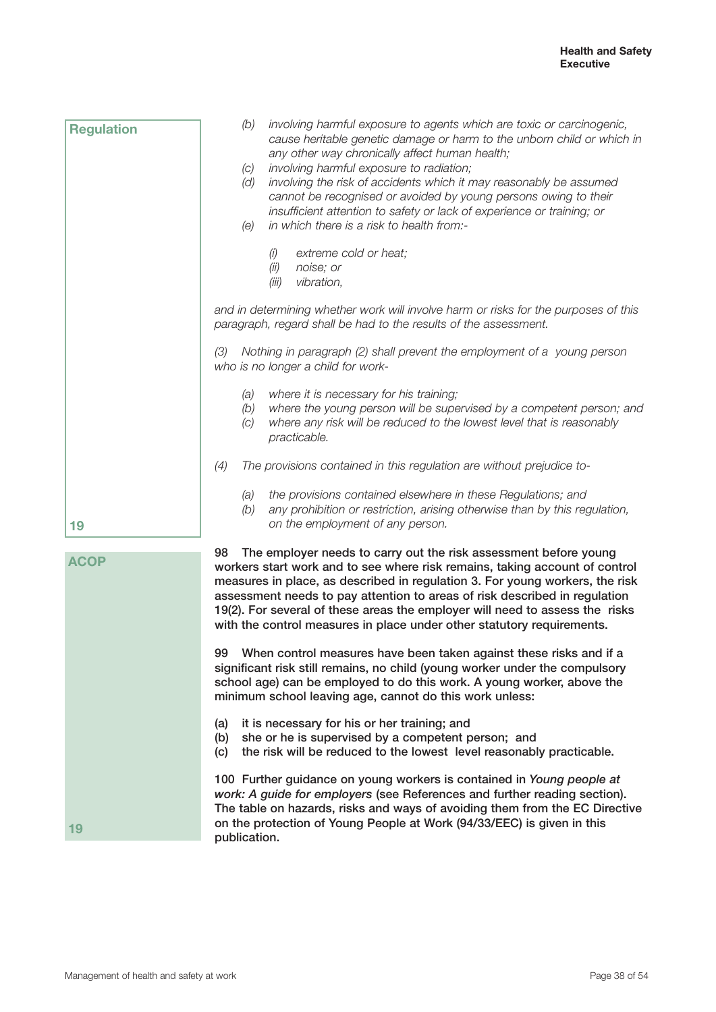| <b>Regulation</b> | involving harmful exposure to agents which are toxic or carcinogenic,<br>(b)<br>cause heritable genetic damage or harm to the unborn child or which in<br>any other way chronically affect human health;<br>involving harmful exposure to radiation;<br>(C)<br>involving the risk of accidents which it may reasonably be assumed<br>(d)<br>cannot be recognised or avoided by young persons owing to their<br>insufficient attention to safety or lack of experience or training; or<br>in which there is a risk to health from:-<br>(e)<br>extreme cold or heat;<br>(i)<br>(ii) noise; or<br>(iii) vibration,                                                                                                                                                               |
|-------------------|-------------------------------------------------------------------------------------------------------------------------------------------------------------------------------------------------------------------------------------------------------------------------------------------------------------------------------------------------------------------------------------------------------------------------------------------------------------------------------------------------------------------------------------------------------------------------------------------------------------------------------------------------------------------------------------------------------------------------------------------------------------------------------|
|                   | and in determining whether work will involve harm or risks for the purposes of this<br>paragraph, regard shall be had to the results of the assessment.                                                                                                                                                                                                                                                                                                                                                                                                                                                                                                                                                                                                                       |
|                   | Nothing in paragraph (2) shall prevent the employment of a young person<br>(3)<br>who is no longer a child for work-                                                                                                                                                                                                                                                                                                                                                                                                                                                                                                                                                                                                                                                          |
|                   | where it is necessary for his training;<br>(a)<br>where the young person will be supervised by a competent person; and<br>(b)<br>where any risk will be reduced to the lowest level that is reasonably<br>(C)<br>practicable.                                                                                                                                                                                                                                                                                                                                                                                                                                                                                                                                                 |
|                   | (4)<br>The provisions contained in this regulation are without prejudice to-                                                                                                                                                                                                                                                                                                                                                                                                                                                                                                                                                                                                                                                                                                  |
| 19                | the provisions contained elsewhere in these Regulations; and<br>(a)<br>any prohibition or restriction, arising otherwise than by this regulation,<br>(b)<br>on the employment of any person.                                                                                                                                                                                                                                                                                                                                                                                                                                                                                                                                                                                  |
| <b>ACOP</b>       | 98<br>The employer needs to carry out the risk assessment before young<br>workers start work and to see where risk remains, taking account of control<br>measures in place, as described in regulation 3. For young workers, the risk<br>assessment needs to pay attention to areas of risk described in regulation<br>19(2). For several of these areas the employer will need to assess the risks<br>with the control measures in place under other statutory requirements.<br>99<br>When control measures have been taken against these risks and if a<br>significant risk still remains, no child (young worker under the compulsory<br>school age) can be employed to do this work. A young worker, above the<br>minimum school leaving age, cannot do this work unless: |

- (a) it is necessary for his or her training; and
- (b) she or he is supervised by a competent person; and
- (c) the risk will be reduced to the lowest level reasonably practicable.

100 Further guidance on young workers is contained in *Young people at work: A guide for employers* (see References and further reading section). The table on hazards, risks and ways of avoiding them from the EC Directive on the protection of Young People at Work (94/33/EEC) is given in this publication.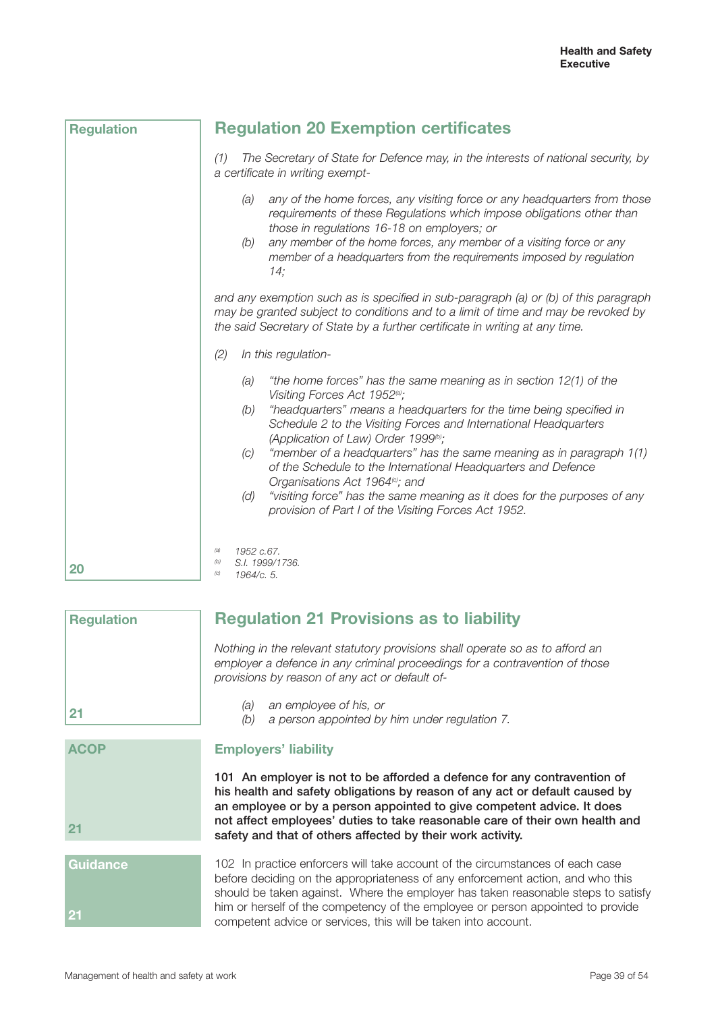**Regulation** 

### **Regulation 20 Exemption certificates**

*(1) The Secretary of State for Defence may, in the interests of national security, by a certificate in writing exempt-*

- *(a) any of the home forces, any visiting force or any headquarters from those requirements of these Regulations which impose obligations other than those in regulations 16-18 on employers; or*
- *(b) any member of the home forces, any member of a visiting force or any member of a headquarters from the requirements imposed by regulation 14;*

*and any exemption such as is specified in sub-paragraph (a) or (b) of this paragraph may be granted subject to conditions and to a limit of time and may be revoked by the said Secretary of State by a further certificate in writing at any time.*

- *(2) In this regulation-*
	- *(a) "the home forces" has the same meaning as in section 12(1) of the Visiting Forces Act 1952(a);*
	- *(b) "headquarters" means a headquarters for the time being specified in Schedule 2 to the Visiting Forces and International Headquarters (Application of Law) Order 1999(b);*
	- *(c) "member of a headquarters" has the same meaning as in paragraph 1(1) of the Schedule to the International Headquarters and Defence*  Organisations Act 1964<sup>(c)</sup>; and
	- *(d) "visiting force" has the same meaning as it does for the purposes of any provision of Part I of the Visiting Forces Act 1952.*
- *(a) 1952 c.67.*
	- *(b) S.I. 1999/1736.*
- *(c) 1964/c. 5.*

|    | <b>Regulation</b> |  |  |
|----|-------------------|--|--|
|    |                   |  |  |
|    |                   |  |  |
|    |                   |  |  |
| 21 |                   |  |  |

**20**

**ACOP**

**21**

### **Regulation 21 Provisions as to liability**

*Nothing in the relevant statutory provisions shall operate so as to afford an employer a defence in any criminal proceedings for a contravention of those provisions by reason of any act or default of-*

- *(a) an employee of his, or*
- *(b) a person appointed by him under regulation 7.*

### **Employers' liability**

101 An employer is not to be afforded a defence for any contravention of his health and safety obligations by reason of any act or default caused by an employee or by a person appointed to give competent advice. It does not affect employees' duties to take reasonable care of their own health and safety and that of others affected by their work activity.

**Guidance 21**

102 In practice enforcers will take account of the circumstances of each case before deciding on the appropriateness of any enforcement action, and who this should be taken against. Where the employer has taken reasonable steps to satisfy him or herself of the competency of the employee or person appointed to provide competent advice or services, this will be taken into account.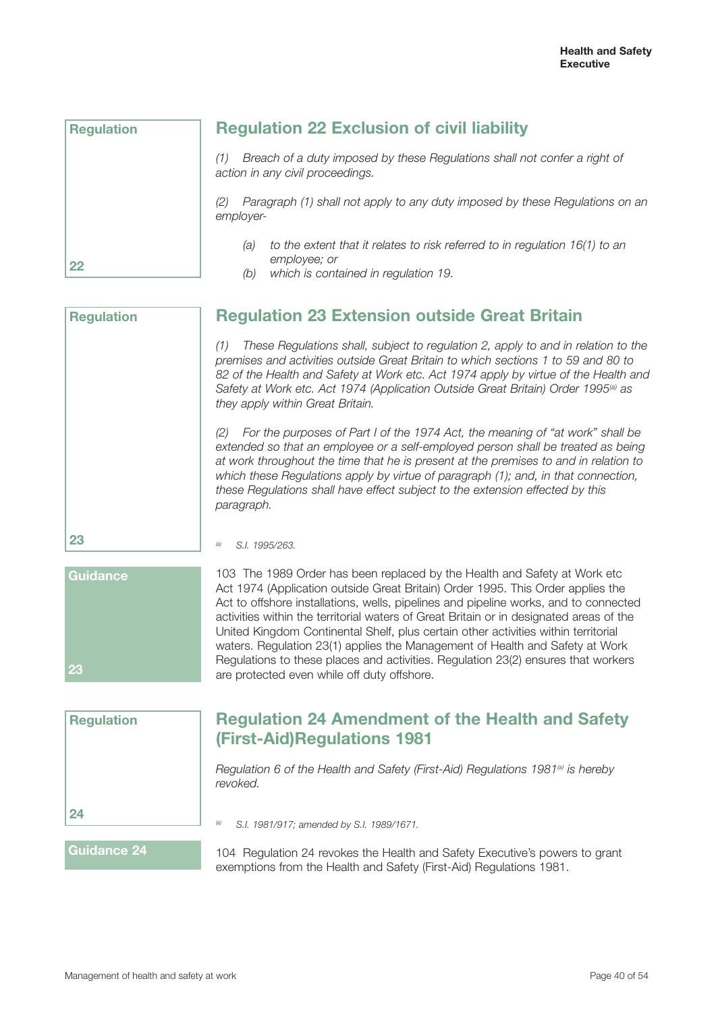**Regulation** 

**22**

**23**

**Regulation** 

### **Regulation 22 Exclusion of civil liability**

*(1) Breach of a duty imposed by these Regulations shall not confer a right of action in any civil proceedings.*

*(2) Paragraph (1) shall not apply to any duty imposed by these Regulations on an employer-*

- *(a) to the extent that it relates to risk referred to in regulation 16(1) to an employee; or*
- *(b) which is contained in regulation 19.*

### **Regulation 23 Extension outside Great Britain**

*(1) These Regulations shall, subject to regulation 2, apply to and in relation to the premises and activities outside Great Britain to which sections 1 to 59 and 80 to 82 of the Health and Safety at Work etc. Act 1974 apply by virtue of the Health and*  Safety at Work etc. Act 1974 (Application Outside Great Britain) Order 1995<sup>(a)</sup> as *they apply within Great Britain.*

*(2) For the purposes of Part I of the 1974 Act, the meaning of "at work" shall be*  extended so that an employee or a self-employed person shall be treated as being *at work throughout the time that he is present at the premises to and in relation to which these Regulations apply by virtue of paragraph (1); and, in that connection, these Regulations shall have effect subject to the extension effected by this paragraph.*

*(a) S.I. 1995/263.*

**Guidance 23**

103 The 1989 Order has been replaced by the Health and Safety at Work etc Act 1974 (Application outside Great Britain) Order 1995. This Order applies the Act to offshore installations, wells, pipelines and pipeline works, and to connected activities within the territorial waters of Great Britain or in designated areas of the United Kingdom Continental Shelf, plus certain other activities within territorial waters. Regulation 23(1) applies the Management of Health and Safety at Work Regulations to these places and activities. Regulation 23(2) ensures that workers are protected even while off duty offshore.

| <b>Regulation</b> |  |
|-------------------|--|
|                   |  |
|                   |  |
|                   |  |
| 24                |  |

### **Regulation 24 Amendment of the Health and Safety (First-Aid)Regulations 1981**

*Regulation 6 of the Health and Safety (First-Aid) Regulations 1981<sup>(a)</sup> is hereby revoked.*

*(a) S.I. 1981/917; amended by S.I. 1989/1671.* 

### **Guidance 24**

104 Regulation 24 revokes the Health and Safety Executive's powers to grant exemptions from the Health and Safety (First-Aid) Regulations 1981.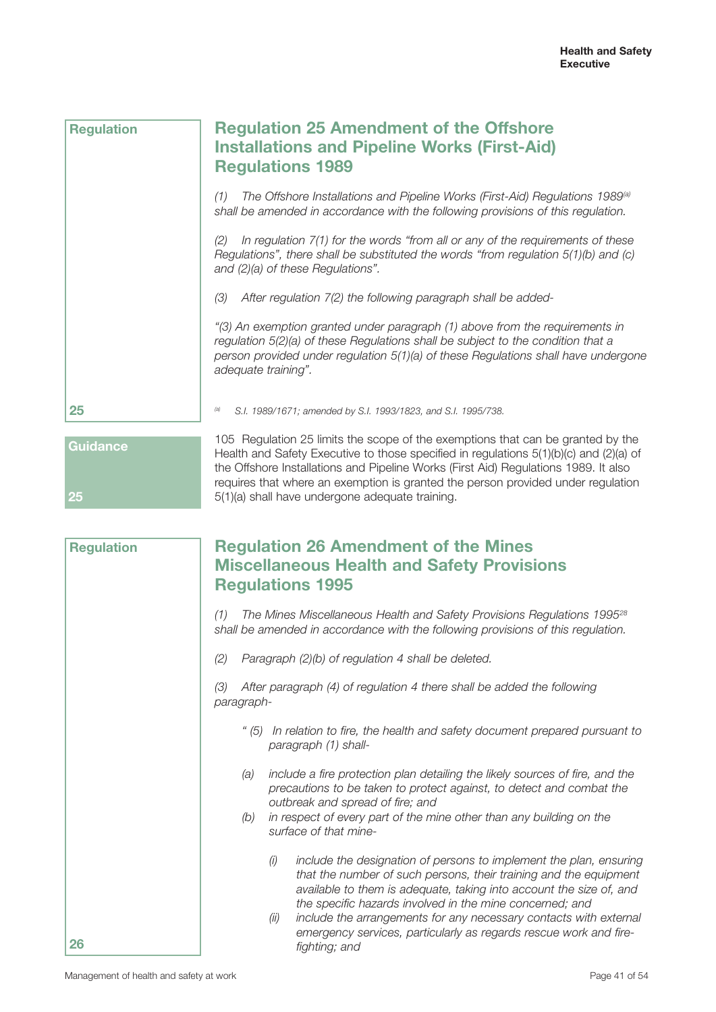### **Regulation 25 Amendment of the Offshore Installations and Pipeline Works (First-Aid) Regulations 1989 Regulation**

*(1) The Offshore Installations and Pipeline Works (First-Aid) Regulations 1989(a) shall be amended in accordance with the following provisions of this regulation.*

*(2) In regulation 7(1) for the words "from all or any of the requirements of these Regulations", there shall be substituted the words "from regulation 5(1)(b) and (c) and (2)(a) of these Regulations".*

*(3) After regulation 7(2) the following paragraph shall be added-*

*"(3) An exemption granted under paragraph (1) above from the requirements in regulation 5(2)(a) of these Regulations shall be subject to the condition that a person provided under regulation 5(1)(a) of these Regulations shall have undergone adequate training".*

**25**

*(a) S.I. 1989/1671; amended by S.I. 1993/1823, and S.I. 1995/738.*

| Guidance |  |
|----------|--|
|          |  |
| -25      |  |

105 Regulation 25 limits the scope of the exemptions that can be granted by the Health and Safety Executive to those specified in regulations 5(1)(b)(c) and (2)(a) of the Offshore Installations and Pipeline Works (First Aid) Regulations 1989. It also requires that where an exemption is granted the person provided under regulation 5(1)(a) shall have undergone adequate training.

| <b>Regulation</b> | <b>Regulation 26 Amendment of the Mines</b><br><b>Miscellaneous Health and Safety Provisions</b><br><b>Regulations 1995</b>                                                                                                                                                                                                                                                                                                                          |
|-------------------|------------------------------------------------------------------------------------------------------------------------------------------------------------------------------------------------------------------------------------------------------------------------------------------------------------------------------------------------------------------------------------------------------------------------------------------------------|
|                   | The Mines Miscellaneous Health and Safety Provisions Regulations 1995 <sup>28</sup><br>(1)<br>shall be amended in accordance with the following provisions of this regulation.                                                                                                                                                                                                                                                                       |
|                   | (2)<br>Paragraph (2)(b) of regulation 4 shall be deleted.                                                                                                                                                                                                                                                                                                                                                                                            |
|                   | After paragraph (4) of regulation 4 there shall be added the following<br>(3)<br>paragraph-                                                                                                                                                                                                                                                                                                                                                          |
|                   | In relation to fire, the health and safety document prepared pursuant to<br>" $(5)$<br>paragraph (1) shall-                                                                                                                                                                                                                                                                                                                                          |
|                   | include a fire protection plan detailing the likely sources of fire, and the<br>(a)<br>precautions to be taken to protect against, to detect and combat the<br>outbreak and spread of fire; and<br>in respect of every part of the mine other than any building on the<br>(b)<br>surface of that mine-                                                                                                                                               |
| 26                | (i)<br>include the designation of persons to implement the plan, ensuring<br>that the number of such persons, their training and the equipment<br>available to them is adequate, taking into account the size of, and<br>the specific hazards involved in the mine concerned; and<br>include the arrangements for any necessary contacts with external<br>(ii)<br>emergency services, particularly as regards rescue work and fire-<br>fighting; and |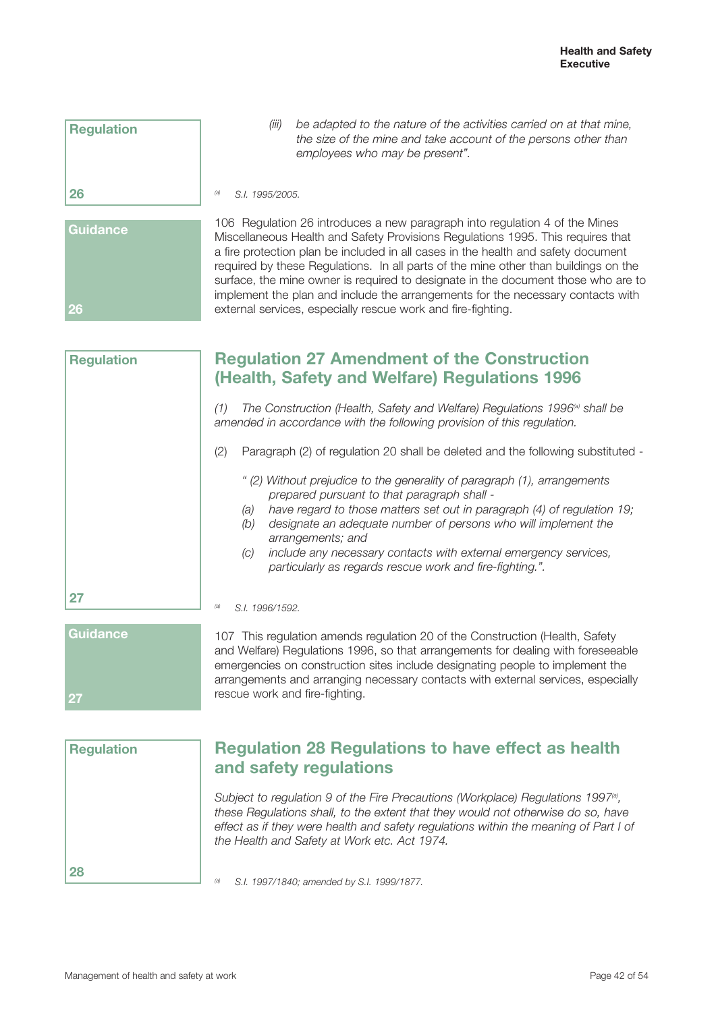

*(iii) be adapted to the nature of the activities carried on at that mine, the size of the mine and take account of the persons other than employees who may be present".*

*(a) S.I. 1995/2005.*

**Guidance 26**

106 Regulation 26 introduces a new paragraph into regulation 4 of the Mines Miscellaneous Health and Safety Provisions Regulations 1995. This requires that a fire protection plan be included in all cases in the health and safety document required by these Regulations. In all parts of the mine other than buildings on the surface, the mine owner is required to designate in the document those who are to implement the plan and include the arrangements for the necessary contacts with external services, especially rescue work and fire-fighting.

| <b>Regulation</b> | <b>Regulation 27 Amendment of the Construction</b><br>(Health, Safety and Welfare) Regulations 1996                                                                                                                                                                                                                                                                                                                                            |  |  |
|-------------------|------------------------------------------------------------------------------------------------------------------------------------------------------------------------------------------------------------------------------------------------------------------------------------------------------------------------------------------------------------------------------------------------------------------------------------------------|--|--|
|                   | The Construction (Health, Safety and Welfare) Regulations 1996 <sup>(a)</sup> shall be<br>(1)<br>amended in accordance with the following provision of this regulation.                                                                                                                                                                                                                                                                        |  |  |
|                   | Paragraph (2) of regulation 20 shall be deleted and the following substituted -<br>(2)                                                                                                                                                                                                                                                                                                                                                         |  |  |
|                   | " (2) Without prejudice to the generality of paragraph (1), arrangements<br>prepared pursuant to that paragraph shall -<br>have regard to those matters set out in paragraph (4) of regulation 19;<br>(a)<br>designate an adequate number of persons who will implement the<br>(b)<br>arrangements; and<br>include any necessary contacts with external emergency services,<br>(C)<br>particularly as regards rescue work and fire-fighting.". |  |  |
| 27                | (a)<br>S.I. 1996/1592.                                                                                                                                                                                                                                                                                                                                                                                                                         |  |  |
| Guidance          | 107 This regulation amends regulation 20 of the Construction (Health, Safety<br>and Welfare) Regulations 1996, so that arrangements for dealing with foreseeable<br>emergencies on construction sites include designating people to implement the<br>arrangements and arranging necessary contacts with external services, especially                                                                                                          |  |  |



**27**

### **Regulation 28 Regulations to have effect as health and safety regulations**

*Subject to regulation 9 of the Fire Precautions (Workplace) Regulations 1997<sup>(a)</sup>, these Regulations shall, to the extent that they would not otherwise do so, have*  effect as if they were health and safety regulations within the meaning of Part I of *the Health and Safety at Work etc. Act 1974.* 

*(a) S.I. 1997/1840; amended by S.I. 1999/1877.*

rescue work and fire-fighting.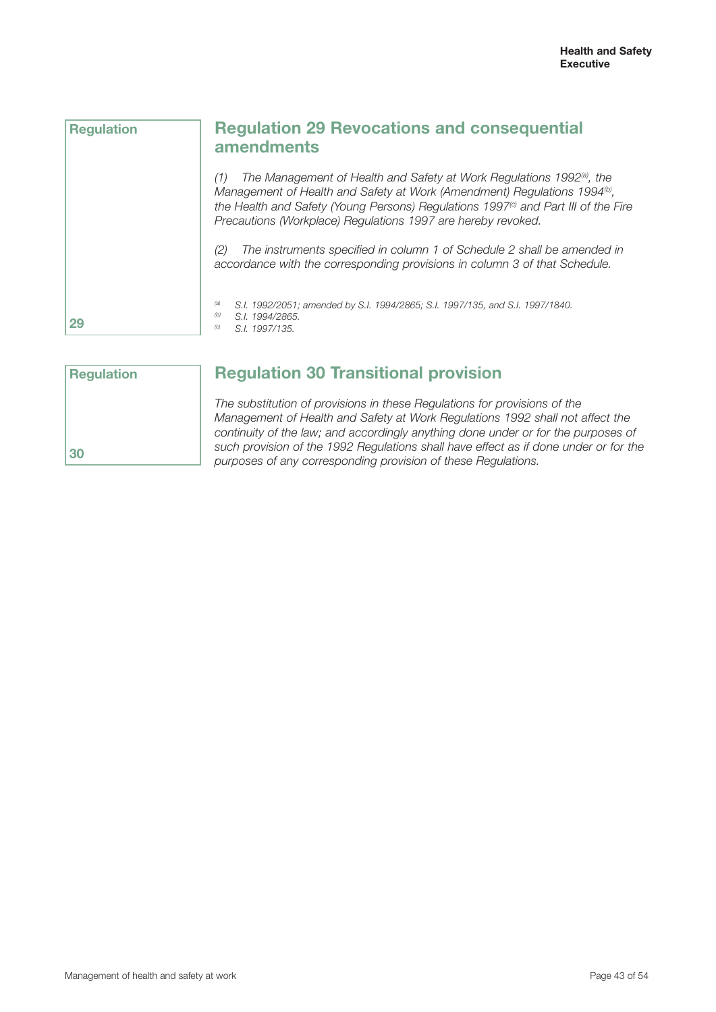**Regulation 29**

### **Regulation 29 Revocations and consequential amendments**

*(1) The Management of Health and Safety at Work Regulations 1992(a), the Management of Health and Safety at Work (Amendment) Regulations 1994<sup>(b)</sup>,* the Health and Safety (Young Persons) Regulations 1997<sup>(c)</sup> and Part III of the Fire *Precautions (Workplace) Regulations 1997 are hereby revoked.*

*(2) The instruments specified in column 1 of Schedule 2 shall be amended in accordance with the corresponding provisions in column 3 of that Schedule.*

- *(a) S.I. 1992/2051; amended by S.I. 1994/2865; S.I. 1997/135, and S.I. 1997/1840.*
- *(b) S.I. 1994/2865.*
	- *(c) S.I. 1997/135.*

| <b>Regulation</b> |
|-------------------|
| 30                |

### **Regulation 30 Transitional provision**

*The substitution of provisions in these Regulations for provisions of the Management of Health and Safety at Work Regulations 1992 shall not affect the continuity of the law; and accordingly anything done under or for the purposes of such provision of the 1992 Regulations shall have effect as if done under or for the purposes of any corresponding provision of these Regulations.*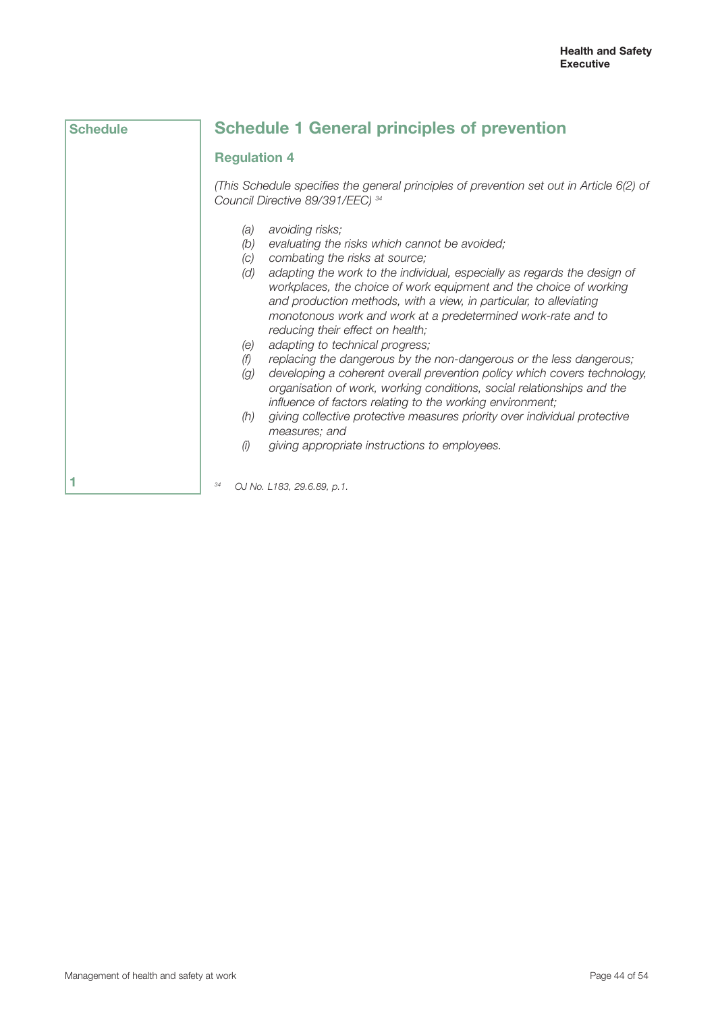| <b>Schedule</b> | <b>Schedule 1 General principles of prevention</b>                                                                                                                                                                                                                                                                                                                                                                                                                                                                                                                                                                                                                                                                                                                                                                                                                                                                                                                        |  |  |
|-----------------|---------------------------------------------------------------------------------------------------------------------------------------------------------------------------------------------------------------------------------------------------------------------------------------------------------------------------------------------------------------------------------------------------------------------------------------------------------------------------------------------------------------------------------------------------------------------------------------------------------------------------------------------------------------------------------------------------------------------------------------------------------------------------------------------------------------------------------------------------------------------------------------------------------------------------------------------------------------------------|--|--|
|                 | <b>Regulation 4</b>                                                                                                                                                                                                                                                                                                                                                                                                                                                                                                                                                                                                                                                                                                                                                                                                                                                                                                                                                       |  |  |
|                 | (This Schedule specifies the general principles of prevention set out in Article 6(2) of<br>Council Directive 89/391/EEC) 34                                                                                                                                                                                                                                                                                                                                                                                                                                                                                                                                                                                                                                                                                                                                                                                                                                              |  |  |
|                 | avoiding risks;<br>(a)<br>(b)<br>evaluating the risks which cannot be avoided;<br>combating the risks at source;<br>(C)<br>adapting the work to the individual, especially as regards the design of<br>(d)<br>workplaces, the choice of work equipment and the choice of working<br>and production methods, with a view, in particular, to alleviating<br>monotonous work and work at a predetermined work-rate and to<br>reducing their effect on health;<br>adapting to technical progress;<br>(e)<br>replacing the dangerous by the non-dangerous or the less dangerous;<br>(f)<br>developing a coherent overall prevention policy which covers technology,<br>(g)<br>organisation of work, working conditions, social relationships and the<br>influence of factors relating to the working environment;<br>giving collective protective measures priority over individual protective<br>(h)<br>measures; and<br>giving appropriate instructions to employees.<br>(i) |  |  |
|                 | 34<br>OJ No. L183, 29.6.89, p.1.                                                                                                                                                                                                                                                                                                                                                                                                                                                                                                                                                                                                                                                                                                                                                                                                                                                                                                                                          |  |  |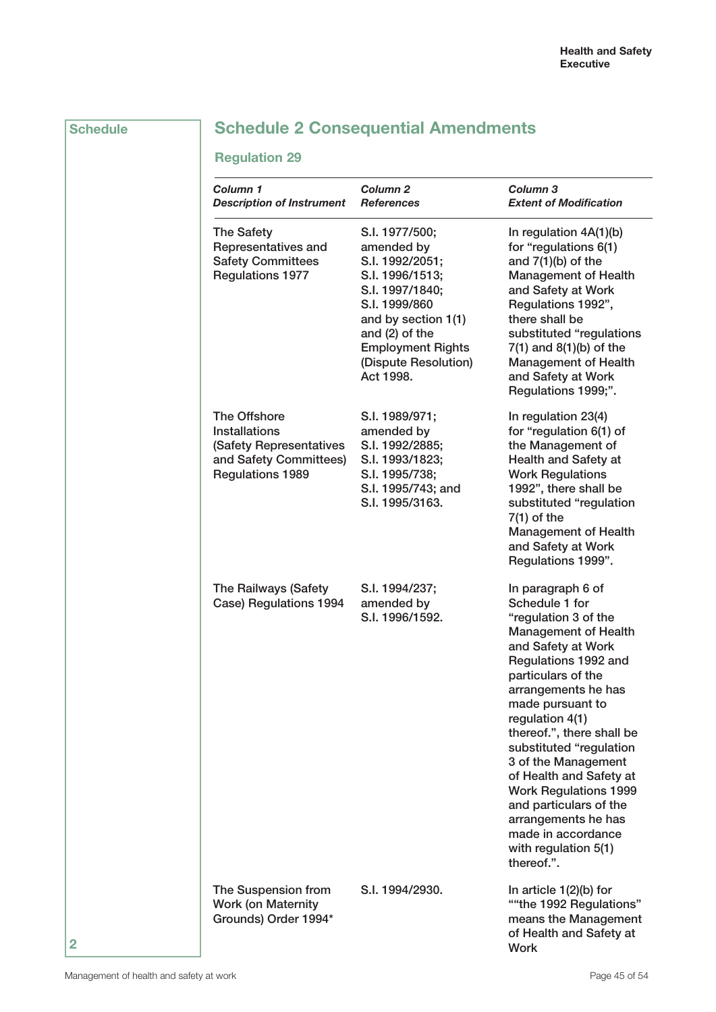### **Schedule**

### **Schedule 2 Consequential Amendments**

**Regulation 29**

| Column 1<br><b>Description of Instrument</b>                                                                         | Column 2<br><b>References</b>                                                                                                                                                                                    | Column 3<br><b>Extent of Modification</b>                                                                                                                                                                                                                                                                                                                                                                                                                                             |
|----------------------------------------------------------------------------------------------------------------------|------------------------------------------------------------------------------------------------------------------------------------------------------------------------------------------------------------------|---------------------------------------------------------------------------------------------------------------------------------------------------------------------------------------------------------------------------------------------------------------------------------------------------------------------------------------------------------------------------------------------------------------------------------------------------------------------------------------|
| <b>The Safety</b><br>Representatives and<br><b>Safety Committees</b><br><b>Regulations 1977</b>                      | S.I. 1977/500;<br>amended by<br>S.I. 1992/2051;<br>S.I. 1996/1513;<br>S.I. 1997/1840;<br>S.I. 1999/860<br>and by section 1(1)<br>and (2) of the<br><b>Employment Rights</b><br>(Dispute Resolution)<br>Act 1998. | In regulation $4A(1)(b)$<br>for "regulations 6(1)<br>and $7(1)(b)$ of the<br><b>Management of Health</b><br>and Safety at Work<br>Regulations 1992",<br>there shall be<br>substituted "regulations<br>$7(1)$ and $8(1)(b)$ of the<br><b>Management of Health</b><br>and Safety at Work<br>Regulations 1999;".                                                                                                                                                                         |
| The Offshore<br><b>Installations</b><br>(Safety Representatives<br>and Safety Committees)<br><b>Regulations 1989</b> | S.I. 1989/971;<br>amended by<br>S.I. 1992/2885;<br>S.I. 1993/1823;<br>S.I. 1995/738;<br>S.I. 1995/743; and<br>S.I. 1995/3163.                                                                                    | In regulation 23(4)<br>for "regulation 6(1) of<br>the Management of<br><b>Health and Safety at</b><br><b>Work Regulations</b><br>1992", there shall be<br>substituted "regulation<br>$7(1)$ of the<br><b>Management of Health</b><br>and Safety at Work<br>Regulations 1999".                                                                                                                                                                                                         |
| <b>The Railways (Safety</b><br>Case) Regulations 1994                                                                | S.I. 1994/237;<br>amended by<br>S.I. 1996/1592.                                                                                                                                                                  | In paragraph 6 of<br>Schedule 1 for<br>"regulation 3 of the<br><b>Management of Health</b><br>and Safety at Work<br>Regulations 1992 and<br>particulars of the<br>arrangements he has<br>made pursuant to<br>regulation 4(1)<br>thereof.", there shall be<br>substituted "regulation<br>3 of the Management<br>of Health and Safety at<br><b>Work Regulations 1999</b><br>and particulars of the<br>arrangements he has<br>made in accordance<br>with regulation $5(1)$<br>thereof.". |
| The Suspension from<br><b>Work (on Maternity</b><br>Grounds) Order 1994*                                             | S.I. 1994/2930.                                                                                                                                                                                                  | In article $1(2)(b)$ for<br>""the 1992 Regulations"<br>means the Management<br>of Health and Safety at<br><b>Work</b>                                                                                                                                                                                                                                                                                                                                                                 |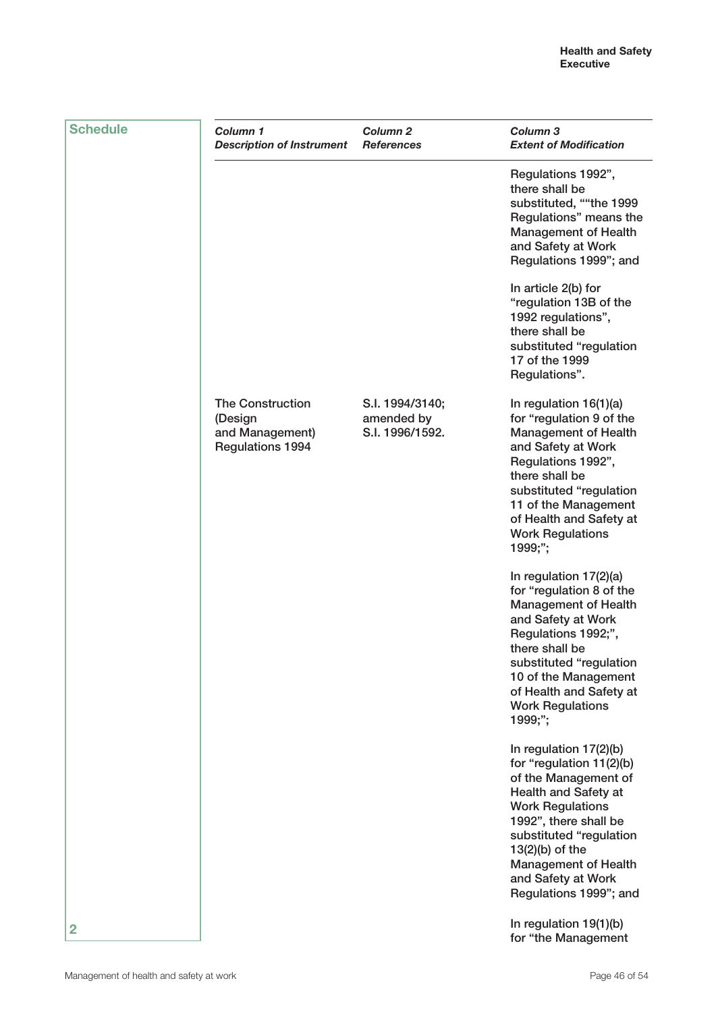| <b>Schedule</b> | Column 1<br><b>Description of Instrument</b>                                     | Column <sub>2</sub><br><b>References</b>         | Column <sub>3</sub><br><b>Extent of Modification</b>                                                                                                                                                                                                                                         |
|-----------------|----------------------------------------------------------------------------------|--------------------------------------------------|----------------------------------------------------------------------------------------------------------------------------------------------------------------------------------------------------------------------------------------------------------------------------------------------|
|                 |                                                                                  |                                                  | Regulations 1992",<br>there shall be<br>substituted, ""the 1999<br>Regulations" means the<br><b>Management of Health</b><br>and Safety at Work<br>Regulations 1999"; and                                                                                                                     |
|                 |                                                                                  |                                                  | In article 2(b) for<br>"regulation 13B of the<br>1992 regulations",<br>there shall be<br>substituted "regulation<br>17 of the 1999<br>Regulations".                                                                                                                                          |
|                 | <b>The Construction</b><br>(Design<br>and Management)<br><b>Regulations 1994</b> | S.I. 1994/3140;<br>amended by<br>S.I. 1996/1592. | In regulation $16(1)(a)$<br>for "regulation 9 of the<br><b>Management of Health</b><br>and Safety at Work<br>Regulations 1992",<br>there shall be<br>substituted "regulation<br>11 of the Management<br>of Health and Safety at<br><b>Work Regulations</b><br>1999;";                        |
|                 |                                                                                  |                                                  | In regulation 17(2)(a)<br>for "regulation 8 of the<br><b>Management of Health</b><br>and Safety at Work<br>Regulations 1992;",<br>there shall be<br>substituted "regulation<br>10 of the Management<br>of Health and Safety at<br><b>Work Regulations</b><br>1999;";                         |
|                 |                                                                                  |                                                  | In regulation 17(2)(b)<br>for "regulation 11(2)(b)<br>of the Management of<br><b>Health and Safety at</b><br><b>Work Regulations</b><br>1992", there shall be<br>substituted "regulation<br>$13(2)(b)$ of the<br><b>Management of Health</b><br>and Safety at Work<br>Regulations 1999"; and |
| $\overline{2}$  |                                                                                  |                                                  | In regulation 19(1)(b)<br>for "the Management                                                                                                                                                                                                                                                |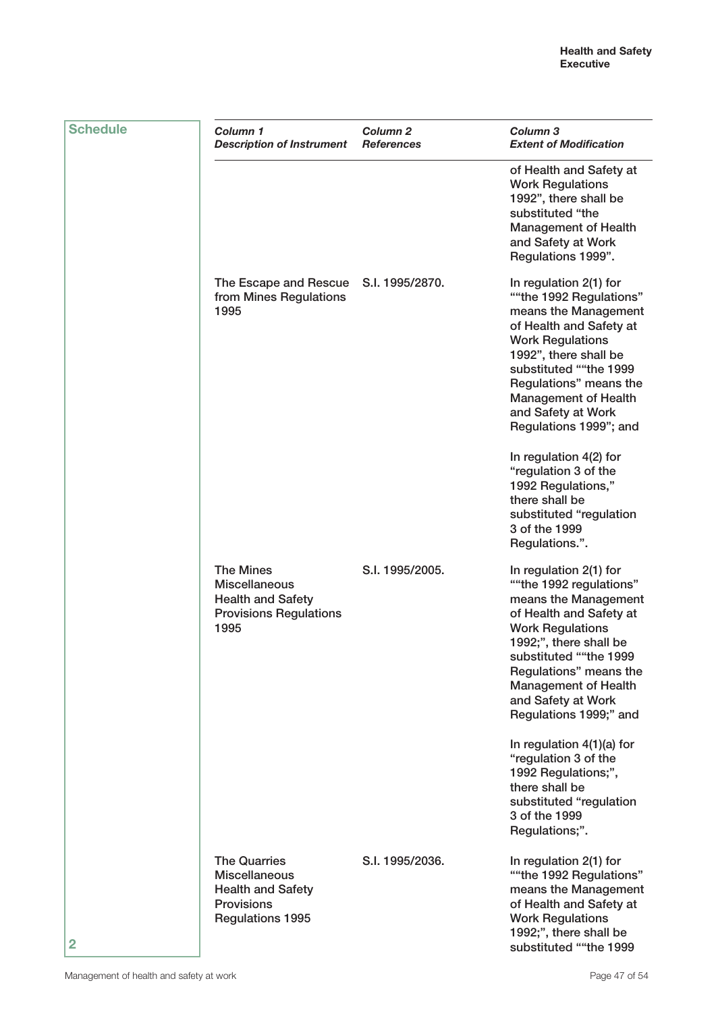| <b>Schedule</b> | Column 1<br><b>Description of Instrument</b>                                                                            | Column <sub>2</sub><br><b>References</b> | Column <sub>3</sub><br><b>Extent of Modification</b>                                                                                                                                                                                                                                                                  |
|-----------------|-------------------------------------------------------------------------------------------------------------------------|------------------------------------------|-----------------------------------------------------------------------------------------------------------------------------------------------------------------------------------------------------------------------------------------------------------------------------------------------------------------------|
|                 |                                                                                                                         |                                          | of Health and Safety at<br><b>Work Regulations</b><br>1992", there shall be<br>substituted "the<br><b>Management of Health</b><br>and Safety at Work<br>Regulations 1999".                                                                                                                                            |
|                 | The Escape and Rescue<br>from Mines Regulations<br>1995                                                                 | S.I. 1995/2870.                          | In regulation 2(1) for<br>""the 1992 Regulations"<br>means the Management<br>of Health and Safety at<br><b>Work Regulations</b><br>1992", there shall be<br>substituted ""the 1999<br>Regulations" means the<br><b>Management of Health</b><br>and Safety at Work<br>Regulations 1999"; and<br>In regulation 4(2) for |
|                 |                                                                                                                         |                                          | "regulation 3 of the<br>1992 Regulations,"<br>there shall be<br>substituted "regulation<br>3 of the 1999<br>Regulations.".                                                                                                                                                                                            |
|                 | <b>The Mines</b><br><b>Miscellaneous</b><br><b>Health and Safety</b><br><b>Provisions Regulations</b><br>1995           | S.I. 1995/2005.                          | In regulation 2(1) for<br>""the 1992 regulations"<br>means the Management<br>of Health and Safety at<br><b>Work Regulations</b><br>1992;", there shall be<br>substituted ""the 1999<br>Regulations" means the<br><b>Management of Health</b><br>and Safety at Work<br>Regulations 1999;" and                          |
|                 |                                                                                                                         |                                          | In regulation $4(1)(a)$ for<br>"regulation 3 of the<br>1992 Regulations;",<br>there shall be<br>substituted "regulation<br>3 of the 1999<br>Regulations;".                                                                                                                                                            |
| $\overline{2}$  | <b>The Quarries</b><br><b>Miscellaneous</b><br><b>Health and Safety</b><br><b>Provisions</b><br><b>Regulations 1995</b> | S.I. 1995/2036.                          | In regulation 2(1) for<br>""the 1992 Regulations"<br>means the Management<br>of Health and Safety at<br><b>Work Regulations</b><br>1992;", there shall be<br>substituted ""the 1999                                                                                                                                   |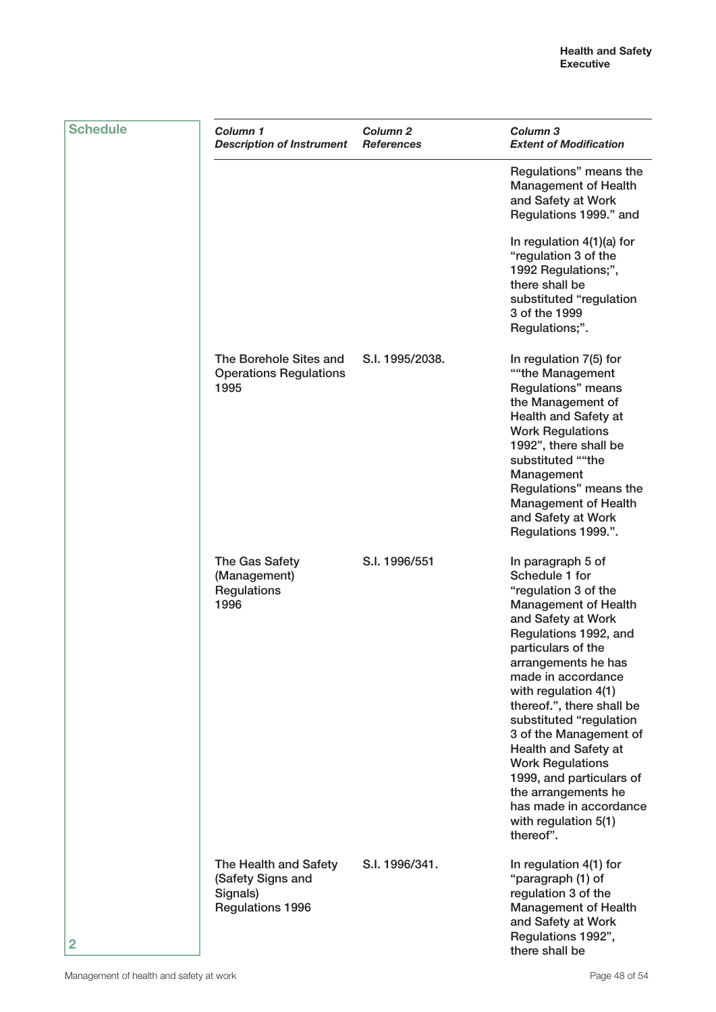| <b>Schedule</b> | Column 1<br><b>Description of Instrument</b>                                      | Column <sub>2</sub><br><b>References</b> | Column <sub>3</sub><br><b>Extent of Modification</b>                                                                                                                                                                                                                                                                                                                                                                                                                                               |
|-----------------|-----------------------------------------------------------------------------------|------------------------------------------|----------------------------------------------------------------------------------------------------------------------------------------------------------------------------------------------------------------------------------------------------------------------------------------------------------------------------------------------------------------------------------------------------------------------------------------------------------------------------------------------------|
|                 |                                                                                   |                                          | Regulations" means the<br><b>Management of Health</b><br>and Safety at Work<br>Regulations 1999." and                                                                                                                                                                                                                                                                                                                                                                                              |
|                 |                                                                                   |                                          | In regulation 4(1)(a) for<br>"regulation 3 of the<br>1992 Regulations;",<br>there shall be<br>substituted "regulation<br>3 of the 1999<br>Regulations;".                                                                                                                                                                                                                                                                                                                                           |
|                 | The Borehole Sites and<br><b>Operations Regulations</b><br>1995                   | S.I. 1995/2038.                          | In regulation 7(5) for<br>""the Management<br>Regulations" means<br>the Management of<br><b>Health and Safety at</b><br><b>Work Regulations</b><br>1992", there shall be<br>substituted ""the<br>Management<br>Regulations" means the<br><b>Management of Health</b><br>and Safety at Work<br>Regulations 1999.".                                                                                                                                                                                  |
|                 | The Gas Safety<br>(Management)<br>Regulations<br>1996                             | S.I. 1996/551                            | In paragraph 5 of<br>Schedule 1 for<br>"regulation 3 of the<br><b>Management of Health</b><br>and Safety at Work<br>Regulations 1992, and<br>particulars of the<br>arrangements he has<br>made in accordance<br>with regulation 4(1)<br>thereof.", there shall be<br>substituted "regulation<br>3 of the Management of<br><b>Health and Safety at</b><br><b>Work Regulations</b><br>1999, and particulars of<br>the arrangements he<br>has made in accordance<br>with regulation 5(1)<br>thereof". |
| $\overline{2}$  | The Health and Safety<br>(Safety Signs and<br>Signals)<br><b>Regulations 1996</b> | S.I. 1996/341.                           | In regulation 4(1) for<br>"paragraph (1) of<br>regulation 3 of the<br><b>Management of Health</b><br>and Safety at Work<br>Regulations 1992",<br>there shall be                                                                                                                                                                                                                                                                                                                                    |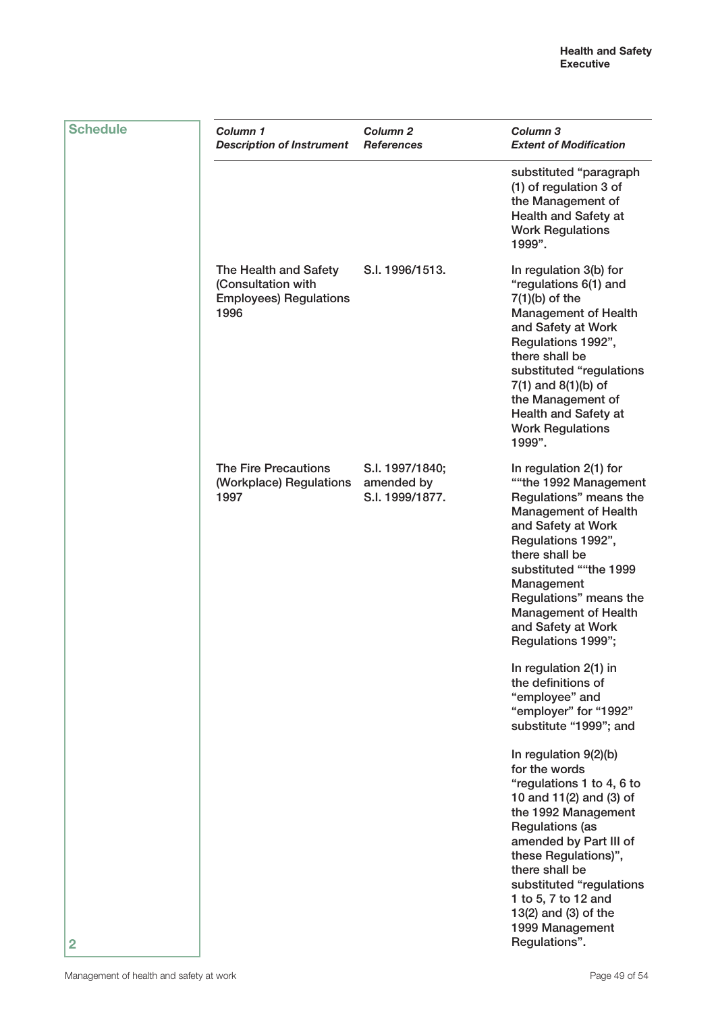| <b>Schedule</b> | Column 1<br><b>Description of Instrument</b>                                         | Column <sub>2</sub><br><b>References</b>         | Column <sub>3</sub><br><b>Extent of Modification</b>                                                                                                                                                                                                                                                                                                                                                          |
|-----------------|--------------------------------------------------------------------------------------|--------------------------------------------------|---------------------------------------------------------------------------------------------------------------------------------------------------------------------------------------------------------------------------------------------------------------------------------------------------------------------------------------------------------------------------------------------------------------|
|                 |                                                                                      |                                                  | substituted "paragraph<br>(1) of regulation 3 of<br>the Management of<br><b>Health and Safety at</b><br><b>Work Regulations</b><br>1999".                                                                                                                                                                                                                                                                     |
|                 | The Health and Safety<br>(Consultation with<br><b>Employees) Regulations</b><br>1996 | S.I. 1996/1513.                                  | In regulation 3(b) for<br>"regulations 6(1) and<br>$7(1)(b)$ of the<br><b>Management of Health</b><br>and Safety at Work<br>Regulations 1992",<br>there shall be<br>substituted "regulations<br>$7(1)$ and $8(1)(b)$ of<br>the Management of<br><b>Health and Safety at</b><br><b>Work Regulations</b><br>1999".                                                                                              |
|                 | The Fire Precautions<br>(Workplace) Regulations<br>1997                              | S.I. 1997/1840;<br>amended by<br>S.I. 1999/1877. | In regulation 2(1) for<br>""the 1992 Management<br>Regulations" means the<br><b>Management of Health</b><br>and Safety at Work<br>Regulations 1992",<br>there shall be<br>substituted ""the 1999<br>Management<br>Regulations" means the<br><b>Management of Health</b><br>and Safety at Work<br>Regulations 1999";<br>In regulation 2(1) in<br>the definitions of<br>"employee" and<br>"employer" for "1992" |
| $\overline{2}$  |                                                                                      |                                                  | substitute "1999"; and<br>In regulation $9(2)(b)$<br>for the words<br>"regulations 1 to 4, 6 to<br>10 and 11(2) and (3) of<br>the 1992 Management<br><b>Regulations (as</b><br>amended by Part III of<br>these Regulations)",<br>there shall be<br>substituted "regulations<br>1 to 5, 7 to 12 and<br>13(2) and (3) of the<br>1999 Management<br>Regulations".                                                |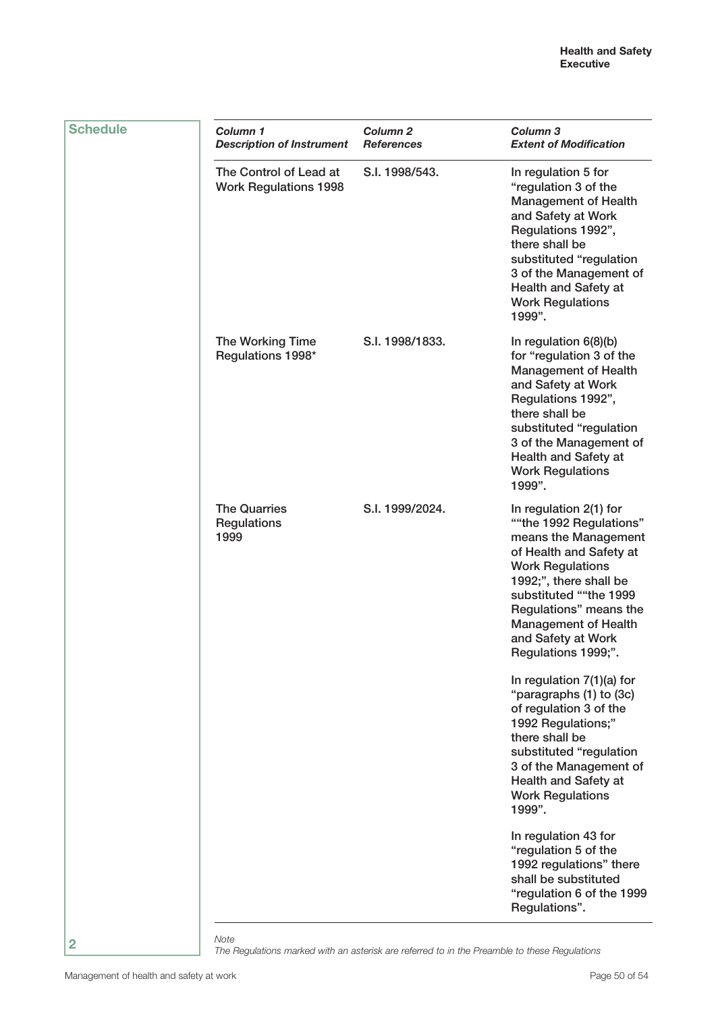| <b>Schedule</b> | Column 1<br><b>Description of Instrument</b>           | Column <sub>2</sub><br><b>References</b> | Column <sub>3</sub><br><b>Extent of Modification</b>                                                                                                                                                                                                                                     |
|-----------------|--------------------------------------------------------|------------------------------------------|------------------------------------------------------------------------------------------------------------------------------------------------------------------------------------------------------------------------------------------------------------------------------------------|
|                 | The Control of Lead at<br><b>Work Regulations 1998</b> | S.I. 1998/543.                           | In regulation 5 for<br>"regulation 3 of the<br><b>Management of Health</b><br>and Safety at Work<br>Regulations 1992",<br>there shall be<br>substituted "regulation<br>3 of the Management of<br>Health and Safety at<br><b>Work Regulations</b><br>1999".                               |
|                 | The Working Time<br>Regulations 1998*                  | S.I. 1998/1833.                          | In regulation $6(8)(b)$<br>for "regulation 3 of the<br><b>Management of Health</b><br>and Safety at Work<br>Regulations 1992",<br>there shall be<br>substituted "regulation<br>3 of the Management of<br>Health and Safety at<br><b>Work Regulations</b><br>1999".                       |
|                 | <b>The Quarries</b><br>Regulations<br>1999             | S.I. 1999/2024.                          | In regulation 2(1) for<br>""the 1992 Regulations"<br>means the Management<br>of Health and Safety at<br><b>Work Regulations</b><br>1992;", there shall be<br>substituted ""the 1999<br>Regulations" means the<br><b>Management of Health</b><br>and Safety at Work<br>Regulations 1999;" |
|                 |                                                        |                                          | In regulation $7(1)(a)$ for<br>"paragraphs (1) to (3c)<br>of regulation 3 of the<br>1992 Regulations;"<br>there shall be<br>substituted "regulation<br>3 of the Management of<br><b>Health and Safety at</b><br><b>Work Regulations</b><br>1999".                                        |
|                 |                                                        |                                          | In regulation 43 for<br>"regulation 5 of the<br>1992 regulations" there<br>shall be substituted<br>"regulation 6 of the 1999<br>Regulations".                                                                                                                                            |

*The Regulations marked with an asterisk are referred to in the Preamble to these Regulations*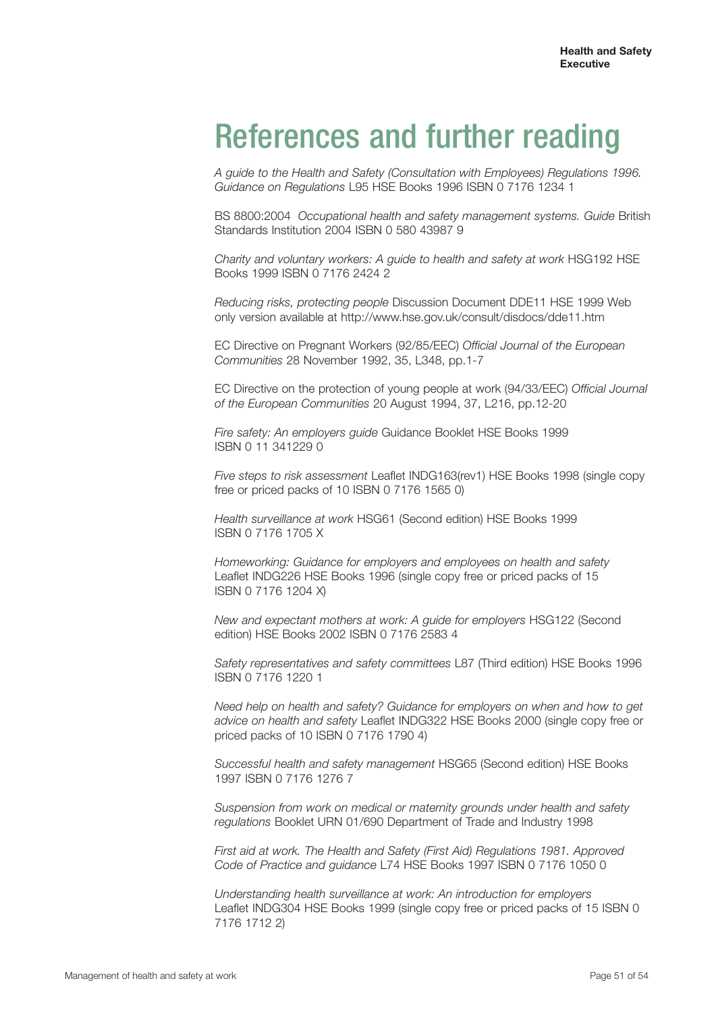## References and further reading

*A guide to the Health and Safety (Consultation with Employees) Regulations 1996. Guidance on Regulations* L95 HSE Books 1996 ISBN 0 7176 1234 1

BS 8800:2004 *Occupational health and safety management systems. Guide* British Standards Institution 2004 ISBN 0 580 43987 9

*Charity and voluntary workers: A guide to health and safety at work* HSG192 HSE Books 1999 ISBN 0 7176 2424 2

*Reducing risks, protecting people* Discussion Document DDE11 HSE 1999 Web only version available at http://www.hse.gov.uk/consult/disdocs/dde11.htm

EC Directive on Pregnant Workers (92/85/EEC) *Official Journal of the European Communities* 28 November 1992, 35, L348, pp.1-7

EC Directive on the protection of young people at work (94/33/EEC) *Official Journal of the European Communities* 20 August 1994, 37, L216, pp.12-20

*Fire safety: An employers guide* Guidance Booklet HSE Books 1999 ISBN 0 11 341229 0

*Five steps to risk assessment* Leaflet INDG163(rev1) HSE Books 1998 (single copy free or priced packs of 10 ISBN 0 7176 1565 0)

*Health surveillance at work* HSG61 (Second edition) HSE Books 1999 ISBN 0 7176 1705 X

*Homeworking: Guidance for employers and employees on health and safety*  Leaflet INDG226 HSE Books 1996 (single copy free or priced packs of 15 ISBN 0 7176 1204 X)

*New and expectant mothers at work: A guide for employers* HSG122 (Second edition) HSE Books 2002 ISBN 0 7176 2583 4

*Safety representatives and safety committees* L87 (Third edition) HSE Books 1996 ISBN 0 7176 1220 1

*Need help on health and safety? Guidance for employers on when and how to get advice on health and safety* Leaflet INDG322 HSE Books 2000 (single copy free or priced packs of 10 ISBN 0 7176 1790 4)

*Successful health and safety management* HSG65 (Second edition) HSE Books 1997 ISBN 0 7176 1276 7

*Suspension from work on medical or maternity grounds under health and safety regulations* Booklet URN 01/690 Department of Trade and Industry 1998

*First aid at work. The Health and Safety (First Aid) Regulations 1981. Approved Code of Practice and guidance* L74 HSE Books 1997 ISBN 0 7176 1050 0

*Understanding health surveillance at work: An introduction for employers*  Leaflet INDG304 HSE Books 1999 (single copy free or priced packs of 15 ISBN 0 7176 1712 2)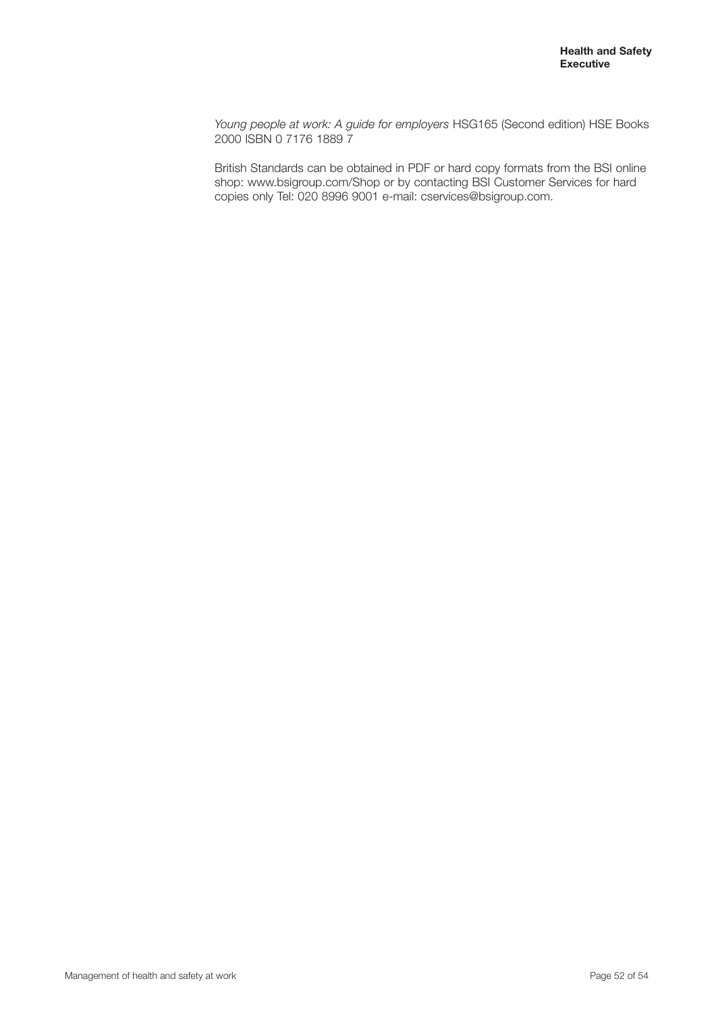*Young people at work: A guide for employers* HSG165 (Second edition) HSE Books 2000 ISBN 0 7176 1889 7

British Standards can be obtained in PDF or hard copy formats from the BSI online shop: www.bsigroup.com/Shop or by contacting BSI Customer Services for hard copies only Tel: 020 8996 9001 e-mail: cservices@bsigroup.com.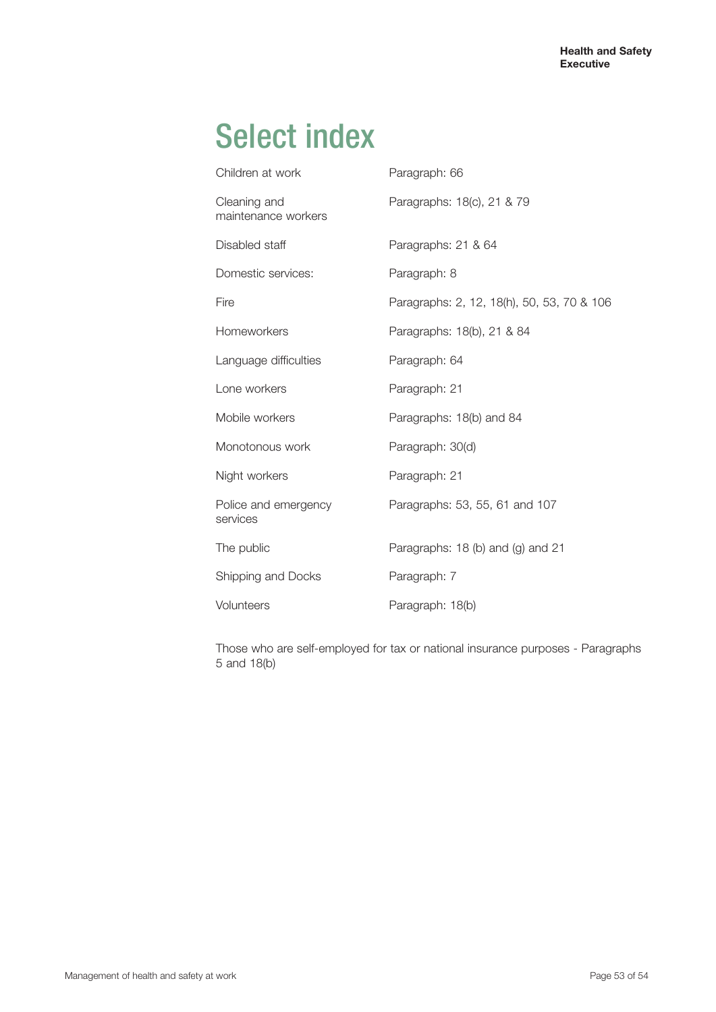## Select index

| Children at work                    | Paragraph: 66                              |
|-------------------------------------|--------------------------------------------|
| Cleaning and<br>maintenance workers | Paragraphs: 18(c), 21 & 79                 |
| Disabled staff                      | Paragraphs: 21 & 64                        |
| Domestic services:                  | Paragraph: 8                               |
| Fire                                | Paragraphs: 2, 12, 18(h), 50, 53, 70 & 106 |
| Homeworkers                         | Paragraphs: 18(b), 21 & 84                 |
| Language difficulties               | Paragraph: 64                              |
| Lone workers                        | Paragraph: 21                              |
| Mobile workers                      | Paragraphs: 18(b) and 84                   |
| Monotonous work                     | Paragraph: 30(d)                           |
| Night workers                       | Paragraph: 21                              |
| Police and emergency<br>services    | Paragraphs: 53, 55, 61 and 107             |
| The public                          | Paragraphs: 18 (b) and (g) and 21          |
| Shipping and Docks                  | Paragraph: 7                               |
| Volunteers                          | Paragraph: 18(b)                           |

Those who are self-employed for tax or national insurance purposes - Paragraphs 5 and 18(b)